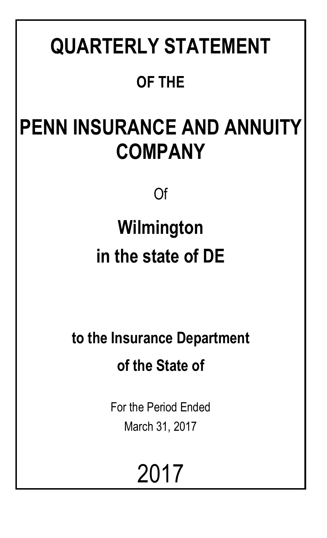# **QUARTERLY STATEMENT**

# **OF THE**

# **PENN INSURANCE AND ANNUITY COMPANY**

Of

# **Wilmington in the state of DE**

**to the Insurance Department of the State of**

> For the Period Ended March 31, 2017

> > 2017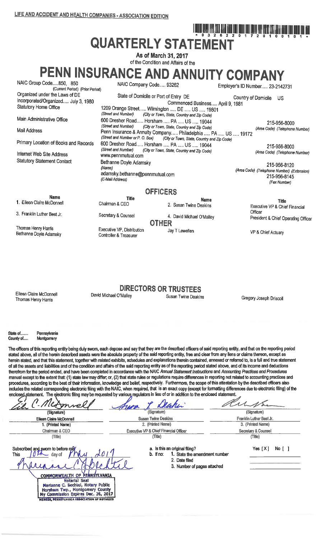# <u>, Tim And And And And And And Gon ton the Bird And And And And Modificity in th</u> **QUARTERLY STATEMENT**

As of March 31, 2017 of the Condition and Affairs of the

PENN INSURANCE AND ANNUITY COMPANY

| NAIC Group Code850, 850<br>(Current Period) (Prior Period)                                            | NAIC Company Code 93262                                                                 |                                                                                                                                                        | Employer's ID Number 23-2142731 |                                                                            |
|-------------------------------------------------------------------------------------------------------|-----------------------------------------------------------------------------------------|--------------------------------------------------------------------------------------------------------------------------------------------------------|---------------------------------|----------------------------------------------------------------------------|
| Organized under the Laws of DE<br>Incorporated/Organized July 3, 1980<br><b>Statutory Home Office</b> |                                                                                         | State of Domicile or Port of Entry DE<br>Commenced Business April 9, 1981                                                                              | Country of Domicile             | US.                                                                        |
| Main Administrative Office                                                                            | (Street and Number)                                                                     | 1209 Orange Street Wilmington  DE  US  19801<br>(City or Town, State, Country and Zip Code)                                                            |                                 |                                                                            |
| Mail Address                                                                                          | (Street and Number)                                                                     | 600 Dresher Road Horsham  PA  US  19044<br>(City or Town, State, Country and Zip Code)<br>Penn Insurance & Annuity Company Philadelphia  PA  US  19172 |                                 | 215-956-8000<br>(Area Code) (Telephone Number)                             |
| Primary Location of Books and Records                                                                 |                                                                                         | (Street and Number or P. O. Box) (City or Town, State, Country and Zip Code)<br>600 Dresher Road Horsham  PA  US  19044                                |                                 | 215-956-8000                                                               |
| Internet Web Site Address                                                                             | (Street and Number)<br>www.pennmutual.com                                               | (City or Town, State, Country and Zip Code)                                                                                                            |                                 | (Area Code) (Telephone Number)                                             |
| <b>Statutory Statement Contact</b>                                                                    | Bethanne Doyle Adamsky<br>(Name)<br>adamsky.bethanne@pennmutual.com<br>(E-Mail Address) |                                                                                                                                                        |                                 | 215-956-8120<br>(Area Code) (Telephone Number) (Extension)<br>215-956-8145 |
|                                                                                                       |                                                                                         | <b>OFFICERS</b>                                                                                                                                        |                                 | (Fax Number)                                                               |
| <b>Name</b>                                                                                           | <b>Title</b>                                                                            |                                                                                                                                                        |                                 |                                                                            |
| 1. Eileen Claire McDonnell                                                                            | Chairman & CEO                                                                          | <b>Name</b><br>2. Susan Twine Deakins                                                                                                                  |                                 | <b>Title</b><br>Executive VP & Chief Financial                             |
| 3. Franklin Luther Best Jr.                                                                           | Secretary & Counsel                                                                     | 4. David Michael O'Malley<br><b>OTHER</b>                                                                                                              | Officer                         | President & Chief Operating Officer                                        |
|                                                                                                       |                                                                                         |                                                                                                                                                        |                                 |                                                                            |

VP & Chief Actuary

Eileen Claire McDonnell Thomas Henry Harris

Thomas Henry Harris

Bethanne Doyle Adamsky

David Michael O'Malley

Executive VP, Distribution

Controller & Treasurer

**DIRECTORS OR TRUSTEES** Susan Twine Deakins

Jav T Lewellen

Gregory Joseph Driscoll

State of ... Pennsylvania County of..... Montgomery

**MEMBER, PENNSYLVANIA ASSOCIATION OF NOTARIE** 

The officers of this reporting entity being duly swom, each depose and say that they are the described officers of said reporting entity, and that on the reporting period stated above, all of the herein described assets were the absolute property of the said reporting entity, free and clear from any liens or claims thereon, except as herein stated, and that this statement, together with related exhibits, schedules and explanations therein contained, annexed or referred to, is a full and true statement of all the assets and liabilities and of the condition and affairs of the said reporting entity as of the reporting period stated above, and of its income and deductions therefrom for the period ended, and have been completed in accordance with the NAIC Annual Statement Instructions and Accounting Practices and Procedures manual except to the extent that: (1) state law may differ, or, (2) that state rules or regulations require differences in reporting not related to accounting practices and procedures, according to the best of their information, knowledge and belief, respectively. Furthermore, the scope of this attestation by the described officers also includes the related corresponding electronic filing with the NAIC, when required, that is an exact copy (except for formatting differences due to electronic filing) of the enclosed statement. The electronic filing may be requested by various regulators in lieu of or in addition to the enclosed statement.

|                                                                                                                                                                                                                              | encreasing the material material and the context of a series in the context of the second interest of the context of the context of the context of the context of the context of the context of the context of the context of<br>Deaker |                                               |
|------------------------------------------------------------------------------------------------------------------------------------------------------------------------------------------------------------------------------|-----------------------------------------------------------------------------------------------------------------------------------------------------------------------------------------------------------------------------------------|-----------------------------------------------|
| (Signature)                                                                                                                                                                                                                  | (Signature)                                                                                                                                                                                                                             | (Signature)                                   |
| <b>Eileen Claire McDonnell</b><br>1. (Printed Name)                                                                                                                                                                          | <b>Susan Twine Deakins</b><br>2. (Printed Name)                                                                                                                                                                                         | Franklin Luther Best Jr.<br>3. (Printed Name) |
| Chairman & CEO<br>(Title)                                                                                                                                                                                                    | <b>Executive VP &amp; Chief Financial Officer</b><br>(Title)                                                                                                                                                                            | Secretary & Counsel<br>(Title)                |
| Subscribed and sworn to before mey<br>This<br>day of<br>COMMONWEALTH OF PENNSYLVANIA<br><b>Notarial Seal</b><br>Marianne C. Bechtel, Notary Public<br>Horsham Twp., Montgomery County<br>My Commission Expires Dec. 26, 2017 | a. Is this an original filing?<br>b. If no:<br>1. State the amendment number<br>2. Date filed<br>3. Number of pages attached                                                                                                            | Yes $[X]$<br>No <sub>1</sub>                  |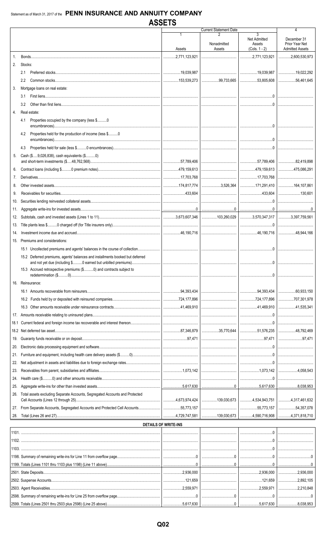|      |                                                                               | <b>AJJEIJ</b>               |                               |                                                |                                                         |
|------|-------------------------------------------------------------------------------|-----------------------------|-------------------------------|------------------------------------------------|---------------------------------------------------------|
|      |                                                                               |                             | <b>Current Statement Date</b> |                                                | 4                                                       |
|      |                                                                               | Assets                      | Nonadmitted<br>Assets         | 3<br>Net Admitted<br>Assets<br>$(Cols. 1 - 2)$ | December 31<br>Prior Year Net<br><b>Admitted Assets</b> |
| 1.   |                                                                               |                             |                               |                                                | $\ldots$ 2,600,530,973                                  |
| 2.   | Stocks:                                                                       |                             |                               |                                                |                                                         |
|      | 2.1                                                                           |                             |                               |                                                | 19,022,292                                              |
|      | $2.2^{\circ}$                                                                 |                             |                               | 99,733,665 53,805,608                          | 56.461.645                                              |
| 3.   | Mortgage loans on real estate:                                                |                             |                               |                                                |                                                         |
|      |                                                                               |                             |                               |                                                |                                                         |
|      | 3.1                                                                           |                             |                               |                                                |                                                         |
|      | 3.2                                                                           |                             |                               |                                                |                                                         |
| 4.   | Real estate:                                                                  |                             |                               |                                                |                                                         |
|      | Properties occupied by the company (less \$0<br>4.1                           |                             |                               |                                                |                                                         |
|      | Properties held for the production of income (less \$0<br>4.2                 |                             |                               |                                                |                                                         |
|      | 4.3                                                                           |                             |                               |                                                |                                                         |
| 5.   | Cash (\$9,026,838), cash equivalents (\$0)                                    |                             |                               |                                                |                                                         |
|      |                                                                               |                             |                               |                                                |                                                         |
| 6.   |                                                                               |                             |                               |                                                |                                                         |
| 7.   |                                                                               |                             |                               |                                                |                                                         |
| 8.   |                                                                               |                             |                               |                                                | 164,107,861                                             |
| 9.   |                                                                               |                             |                               |                                                |                                                         |
| 10.  |                                                                               |                             |                               |                                                |                                                         |
| 11.  |                                                                               |                             |                               |                                                |                                                         |
| 12.  |                                                                               |                             |                               |                                                |                                                         |
| 13.  |                                                                               |                             |                               |                                                |                                                         |
| 14.  |                                                                               |                             |                               |                                                |                                                         |
| 15.  | Premiums and considerations:                                                  |                             |                               |                                                |                                                         |
|      |                                                                               |                             |                               |                                                |                                                         |
|      | 15.2 Deferred premiums, agents' balances and installments booked but deferred |                             |                               | $\Omega$                                       |                                                         |
|      | 15.3 Accrued retrospective premiums (\$0) and contracts subject to            |                             |                               |                                                |                                                         |
|      | 16. Reinsurance:                                                              |                             |                               |                                                |                                                         |
|      |                                                                               |                             |                               |                                                |                                                         |
|      |                                                                               |                             |                               |                                                |                                                         |
|      |                                                                               |                             |                               |                                                | 41,535,341                                              |
| 17.  |                                                                               |                             |                               |                                                |                                                         |
| 18.1 |                                                                               |                             |                               |                                                |                                                         |
|      |                                                                               |                             |                               |                                                | 48.792.469                                              |
| 19.  |                                                                               |                             |                               |                                                |                                                         |
| 20.  |                                                                               |                             |                               |                                                |                                                         |
| 21.  |                                                                               |                             |                               |                                                |                                                         |
| 22.  |                                                                               |                             |                               |                                                |                                                         |
| 23.  |                                                                               |                             |                               |                                                |                                                         |
| 24.  |                                                                               |                             |                               |                                                |                                                         |
| 25.  |                                                                               |                             |                               |                                                |                                                         |
| 26.  | Total assets excluding Separate Accounts, Segregated Accounts and Protected   |                             |                               | 139,030,673   4,534,943,751   4,317,461,632    |                                                         |
| 27.  |                                                                               |                             |                               |                                                | $\ldots$ 54,357,078                                     |
| 28.  |                                                                               |                             |                               | 139,030,673 4,590,716,908 4,371,818,710        |                                                         |
|      |                                                                               | <b>DETAILS OF WRITE-INS</b> |                               |                                                |                                                         |
|      |                                                                               |                             |                               |                                                |                                                         |
|      |                                                                               |                             |                               |                                                |                                                         |
|      |                                                                               |                             |                               |                                                |                                                         |
|      |                                                                               |                             |                               |                                                |                                                         |
|      | 1199 Totals (Lines 1101 thru 1103 plus 1198) (Line 11 above)                  |                             | $\cap$                        |                                                |                                                         |

 $\dots$ 2,936,000

 $...121,659$ 

 $.2,559,971$ 

 $0$ ..  $.5,617,630$   $.2,936,000$ 

 $.121,659$ 

2,559,971

 $.5,617,630$ 

 $\ddotsc$ 

 $0$ .

 $\overline{\mathbf{0}}$ .

 $.2,936,000$ 

 $.2,892,105$ 

.2,210,848

.8,038,953

 $0$ ..

2501. State Deposits....

2502. Suspense Accounts..

2503. Agent Receivables..

2598. Summary of remaining write-ins for Line 25 from overflow page.

2599. Totals (Lines 2501 thru 2503 plus 2598) (Line 25 above).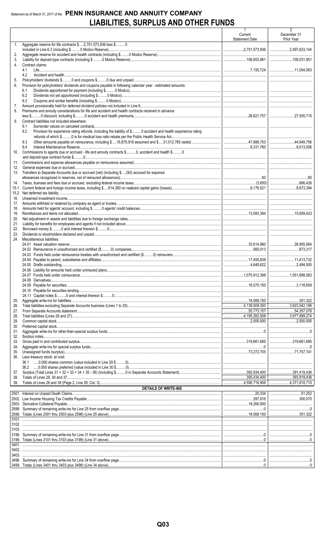# Statement as of March 31, 2017 of the PENN INSURANCE AND ANNUITY COMPANY LIABILITIES, SURPLUS AND OTHER FUNDS

| 2.<br>3.<br>4.<br>Contract claims:<br>4.1<br>4.2<br>5.<br>Provision for policyholders' dividends and coupons payable in following calendar year - estimated amounts:<br>6.<br>6.1<br>6.2<br>6.3<br>7.<br>Premiums and annuity considerations for life and accident and health contracts received in advance<br>8.<br>Contract liabilities not included elsewhere:<br>9.<br>9.1<br>Provision for experience rating refunds, including the liability of \$ 0 accident and health experience rating<br>9.2<br>9.3<br>9.4<br>Commissions to agents due or accrued - life and annuity contracts \$0, accident and health \$0<br>10.<br>11.<br>12.<br>Transfers to Separate Accounts due or accrued (net) (including \$(93) accrued for expense<br>13.<br>14.<br>15.1<br>16.<br>17.<br>18.<br>19.<br>20.<br>21.<br>22.<br>23.<br>Miscellaneous liabilities:<br>24.<br>28,905,064<br>351,322<br>25.<br>26.<br>54,357,078<br>27.<br>3,977,899,274<br>4,195,282,508<br>28.<br>29.<br>30.<br>31.<br>32.<br>33.<br>34.<br>35.<br>Less treasury stock, at cost:<br>36.<br>37.<br>1395,434,400 393,919,436<br>38.<br>39.<br>DETAILS OF WRITE-INS<br>300.070 |    |                                                               | 1<br>Current<br><b>Statement Date</b> | 2<br>December 31<br>Prior Year |
|------------------------------------------------------------------------------------------------------------------------------------------------------------------------------------------------------------------------------------------------------------------------------------------------------------------------------------------------------------------------------------------------------------------------------------------------------------------------------------------------------------------------------------------------------------------------------------------------------------------------------------------------------------------------------------------------------------------------------------------------------------------------------------------------------------------------------------------------------------------------------------------------------------------------------------------------------------------------------------------------------------------------------------------------------------------------------------------------------------------------------------------------|----|---------------------------------------------------------------|---------------------------------------|--------------------------------|
|                                                                                                                                                                                                                                                                                                                                                                                                                                                                                                                                                                                                                                                                                                                                                                                                                                                                                                                                                                                                                                                                                                                                                | 1. | Aggregate reserve for life contracts \$2,751,573,936 less \$0 |                                       |                                |
|                                                                                                                                                                                                                                                                                                                                                                                                                                                                                                                                                                                                                                                                                                                                                                                                                                                                                                                                                                                                                                                                                                                                                |    |                                                               |                                       |                                |
|                                                                                                                                                                                                                                                                                                                                                                                                                                                                                                                                                                                                                                                                                                                                                                                                                                                                                                                                                                                                                                                                                                                                                |    |                                                               |                                       |                                |
|                                                                                                                                                                                                                                                                                                                                                                                                                                                                                                                                                                                                                                                                                                                                                                                                                                                                                                                                                                                                                                                                                                                                                |    |                                                               |                                       |                                |
|                                                                                                                                                                                                                                                                                                                                                                                                                                                                                                                                                                                                                                                                                                                                                                                                                                                                                                                                                                                                                                                                                                                                                |    |                                                               |                                       |                                |
|                                                                                                                                                                                                                                                                                                                                                                                                                                                                                                                                                                                                                                                                                                                                                                                                                                                                                                                                                                                                                                                                                                                                                |    |                                                               |                                       |                                |
|                                                                                                                                                                                                                                                                                                                                                                                                                                                                                                                                                                                                                                                                                                                                                                                                                                                                                                                                                                                                                                                                                                                                                |    |                                                               |                                       |                                |
|                                                                                                                                                                                                                                                                                                                                                                                                                                                                                                                                                                                                                                                                                                                                                                                                                                                                                                                                                                                                                                                                                                                                                |    |                                                               |                                       |                                |
|                                                                                                                                                                                                                                                                                                                                                                                                                                                                                                                                                                                                                                                                                                                                                                                                                                                                                                                                                                                                                                                                                                                                                |    |                                                               |                                       |                                |
|                                                                                                                                                                                                                                                                                                                                                                                                                                                                                                                                                                                                                                                                                                                                                                                                                                                                                                                                                                                                                                                                                                                                                |    |                                                               |                                       |                                |
|                                                                                                                                                                                                                                                                                                                                                                                                                                                                                                                                                                                                                                                                                                                                                                                                                                                                                                                                                                                                                                                                                                                                                |    |                                                               |                                       |                                |
|                                                                                                                                                                                                                                                                                                                                                                                                                                                                                                                                                                                                                                                                                                                                                                                                                                                                                                                                                                                                                                                                                                                                                |    |                                                               |                                       |                                |
|                                                                                                                                                                                                                                                                                                                                                                                                                                                                                                                                                                                                                                                                                                                                                                                                                                                                                                                                                                                                                                                                                                                                                |    |                                                               |                                       |                                |
|                                                                                                                                                                                                                                                                                                                                                                                                                                                                                                                                                                                                                                                                                                                                                                                                                                                                                                                                                                                                                                                                                                                                                |    |                                                               |                                       |                                |
|                                                                                                                                                                                                                                                                                                                                                                                                                                                                                                                                                                                                                                                                                                                                                                                                                                                                                                                                                                                                                                                                                                                                                |    |                                                               |                                       |                                |
|                                                                                                                                                                                                                                                                                                                                                                                                                                                                                                                                                                                                                                                                                                                                                                                                                                                                                                                                                                                                                                                                                                                                                |    |                                                               |                                       |                                |
|                                                                                                                                                                                                                                                                                                                                                                                                                                                                                                                                                                                                                                                                                                                                                                                                                                                                                                                                                                                                                                                                                                                                                |    |                                                               |                                       |                                |
|                                                                                                                                                                                                                                                                                                                                                                                                                                                                                                                                                                                                                                                                                                                                                                                                                                                                                                                                                                                                                                                                                                                                                |    |                                                               |                                       |                                |
|                                                                                                                                                                                                                                                                                                                                                                                                                                                                                                                                                                                                                                                                                                                                                                                                                                                                                                                                                                                                                                                                                                                                                |    |                                                               |                                       |                                |
|                                                                                                                                                                                                                                                                                                                                                                                                                                                                                                                                                                                                                                                                                                                                                                                                                                                                                                                                                                                                                                                                                                                                                |    |                                                               |                                       |                                |
|                                                                                                                                                                                                                                                                                                                                                                                                                                                                                                                                                                                                                                                                                                                                                                                                                                                                                                                                                                                                                                                                                                                                                |    |                                                               |                                       |                                |
|                                                                                                                                                                                                                                                                                                                                                                                                                                                                                                                                                                                                                                                                                                                                                                                                                                                                                                                                                                                                                                                                                                                                                |    |                                                               |                                       |                                |
|                                                                                                                                                                                                                                                                                                                                                                                                                                                                                                                                                                                                                                                                                                                                                                                                                                                                                                                                                                                                                                                                                                                                                |    |                                                               |                                       |                                |
|                                                                                                                                                                                                                                                                                                                                                                                                                                                                                                                                                                                                                                                                                                                                                                                                                                                                                                                                                                                                                                                                                                                                                |    |                                                               |                                       |                                |
|                                                                                                                                                                                                                                                                                                                                                                                                                                                                                                                                                                                                                                                                                                                                                                                                                                                                                                                                                                                                                                                                                                                                                |    |                                                               |                                       |                                |
|                                                                                                                                                                                                                                                                                                                                                                                                                                                                                                                                                                                                                                                                                                                                                                                                                                                                                                                                                                                                                                                                                                                                                |    |                                                               |                                       |                                |
|                                                                                                                                                                                                                                                                                                                                                                                                                                                                                                                                                                                                                                                                                                                                                                                                                                                                                                                                                                                                                                                                                                                                                |    |                                                               |                                       |                                |
|                                                                                                                                                                                                                                                                                                                                                                                                                                                                                                                                                                                                                                                                                                                                                                                                                                                                                                                                                                                                                                                                                                                                                |    |                                                               |                                       |                                |
|                                                                                                                                                                                                                                                                                                                                                                                                                                                                                                                                                                                                                                                                                                                                                                                                                                                                                                                                                                                                                                                                                                                                                |    |                                                               |                                       |                                |
|                                                                                                                                                                                                                                                                                                                                                                                                                                                                                                                                                                                                                                                                                                                                                                                                                                                                                                                                                                                                                                                                                                                                                |    |                                                               |                                       |                                |
|                                                                                                                                                                                                                                                                                                                                                                                                                                                                                                                                                                                                                                                                                                                                                                                                                                                                                                                                                                                                                                                                                                                                                |    |                                                               |                                       |                                |
|                                                                                                                                                                                                                                                                                                                                                                                                                                                                                                                                                                                                                                                                                                                                                                                                                                                                                                                                                                                                                                                                                                                                                |    |                                                               |                                       |                                |
|                                                                                                                                                                                                                                                                                                                                                                                                                                                                                                                                                                                                                                                                                                                                                                                                                                                                                                                                                                                                                                                                                                                                                |    |                                                               |                                       |                                |
|                                                                                                                                                                                                                                                                                                                                                                                                                                                                                                                                                                                                                                                                                                                                                                                                                                                                                                                                                                                                                                                                                                                                                |    |                                                               |                                       |                                |
|                                                                                                                                                                                                                                                                                                                                                                                                                                                                                                                                                                                                                                                                                                                                                                                                                                                                                                                                                                                                                                                                                                                                                |    |                                                               |                                       |                                |
|                                                                                                                                                                                                                                                                                                                                                                                                                                                                                                                                                                                                                                                                                                                                                                                                                                                                                                                                                                                                                                                                                                                                                |    |                                                               |                                       |                                |
|                                                                                                                                                                                                                                                                                                                                                                                                                                                                                                                                                                                                                                                                                                                                                                                                                                                                                                                                                                                                                                                                                                                                                |    |                                                               |                                       |                                |
|                                                                                                                                                                                                                                                                                                                                                                                                                                                                                                                                                                                                                                                                                                                                                                                                                                                                                                                                                                                                                                                                                                                                                |    |                                                               |                                       |                                |
|                                                                                                                                                                                                                                                                                                                                                                                                                                                                                                                                                                                                                                                                                                                                                                                                                                                                                                                                                                                                                                                                                                                                                |    |                                                               |                                       |                                |
|                                                                                                                                                                                                                                                                                                                                                                                                                                                                                                                                                                                                                                                                                                                                                                                                                                                                                                                                                                                                                                                                                                                                                |    |                                                               |                                       |                                |
|                                                                                                                                                                                                                                                                                                                                                                                                                                                                                                                                                                                                                                                                                                                                                                                                                                                                                                                                                                                                                                                                                                                                                |    |                                                               |                                       |                                |
|                                                                                                                                                                                                                                                                                                                                                                                                                                                                                                                                                                                                                                                                                                                                                                                                                                                                                                                                                                                                                                                                                                                                                |    |                                                               |                                       |                                |
|                                                                                                                                                                                                                                                                                                                                                                                                                                                                                                                                                                                                                                                                                                                                                                                                                                                                                                                                                                                                                                                                                                                                                |    |                                                               |                                       |                                |
|                                                                                                                                                                                                                                                                                                                                                                                                                                                                                                                                                                                                                                                                                                                                                                                                                                                                                                                                                                                                                                                                                                                                                |    |                                                               |                                       |                                |
|                                                                                                                                                                                                                                                                                                                                                                                                                                                                                                                                                                                                                                                                                                                                                                                                                                                                                                                                                                                                                                                                                                                                                |    |                                                               |                                       |                                |
|                                                                                                                                                                                                                                                                                                                                                                                                                                                                                                                                                                                                                                                                                                                                                                                                                                                                                                                                                                                                                                                                                                                                                |    |                                                               |                                       |                                |
|                                                                                                                                                                                                                                                                                                                                                                                                                                                                                                                                                                                                                                                                                                                                                                                                                                                                                                                                                                                                                                                                                                                                                |    |                                                               |                                       |                                |
|                                                                                                                                                                                                                                                                                                                                                                                                                                                                                                                                                                                                                                                                                                                                                                                                                                                                                                                                                                                                                                                                                                                                                |    |                                                               |                                       |                                |
|                                                                                                                                                                                                                                                                                                                                                                                                                                                                                                                                                                                                                                                                                                                                                                                                                                                                                                                                                                                                                                                                                                                                                |    |                                                               |                                       |                                |
|                                                                                                                                                                                                                                                                                                                                                                                                                                                                                                                                                                                                                                                                                                                                                                                                                                                                                                                                                                                                                                                                                                                                                |    |                                                               |                                       |                                |
|                                                                                                                                                                                                                                                                                                                                                                                                                                                                                                                                                                                                                                                                                                                                                                                                                                                                                                                                                                                                                                                                                                                                                |    |                                                               |                                       |                                |
|                                                                                                                                                                                                                                                                                                                                                                                                                                                                                                                                                                                                                                                                                                                                                                                                                                                                                                                                                                                                                                                                                                                                                |    |                                                               |                                       |                                |
|                                                                                                                                                                                                                                                                                                                                                                                                                                                                                                                                                                                                                                                                                                                                                                                                                                                                                                                                                                                                                                                                                                                                                |    |                                                               |                                       |                                |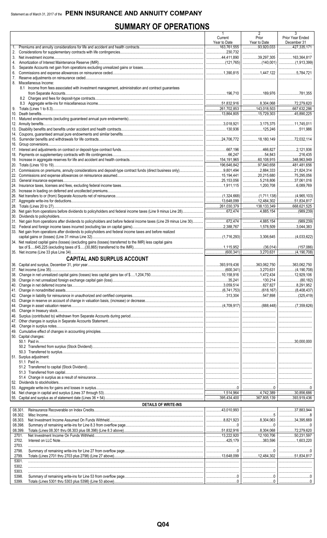# **SUMMARY OF OPERATIONS**

|          |                                                                                                              | $\mathbf{1}$<br>Current                  | $\overline{2}$<br>Prior                                    | 3<br>Prior Year Ended                     |
|----------|--------------------------------------------------------------------------------------------------------------|------------------------------------------|------------------------------------------------------------|-------------------------------------------|
|          |                                                                                                              | Year to Date                             | Year to Date                                               | December 31                               |
| 1.       |                                                                                                              | $\frac{1}{163,761,555}$<br>230,732       | $\frac{93,920,033}{2}$                                     |                                           |
|          |                                                                                                              | 44,411,890                               | 39,297,305                                                 | $\vert$ 163,364,817                       |
| 4.       |                                                                                                              |                                          |                                                            |                                           |
| 5.<br>6. |                                                                                                              |                                          |                                                            |                                           |
|          |                                                                                                              |                                          |                                                            |                                           |
|          | 8. Miscellaneous Income:                                                                                     |                                          |                                                            |                                           |
|          | 8.1 Income from fees associated with investment management, administration and contract guarantees           |                                          |                                                            |                                           |
|          |                                                                                                              |                                          |                                                            |                                           |
|          |                                                                                                              |                                          | 8,304,068                                                  | 72,279,620                                |
|          |                                                                                                              | $\frac{1}{261}$ .261,702,853 143,018,503 |                                                            | $\vert$ 667,632,286<br>$\vert$ 45,890,225 |
|          |                                                                                                              |                                          |                                                            |                                           |
|          |                                                                                                              | $\ldots$ 3.018.921                       | 3,175,375                                                  | $\vert$ 11,745,011                        |
|          |                                                                                                              |                                          | 125,246                                                    | $\vert$ 511,986                           |
|          |                                                                                                              |                                          | 18,180,149                                                 | 1                                         |
|          |                                                                                                              |                                          |                                                            |                                           |
|          |                                                                                                              |                                          | 466.827                                                    | $\ldots$ 2,121.936                        |
|          |                                                                                                              | 154,191,965                              | $\ldots$ 54,843<br>60,108,915   348,963,949                |                                           |
|          |                                                                                                              | 196,646,842                              | $\overline{97,840,658}$                                    | $1$ 481,481,656                           |
|          |                                                                                                              |                                          | 2,884,333                                                  | 21,824,314                                |
|          |                                                                                                              | 15,194,441                               | 20,215,680                                                 |                                           |
|          |                                                                                                              | 25.153.056                               | 5,218,806                                                  | $\vert$ 37,061,016                        |
|          |                                                                                                              |                                          |                                                            |                                           |
|          |                                                                                                              |                                          |                                                            |                                           |
|          |                                                                                                              | 13,648,099                               |                                                            |                                           |
|          |                                                                                                              |                                          | 138,133,349                                                | $\vert$ 668,621,525                       |
|          |                                                                                                              |                                          |                                                            |                                           |
|          |                                                                                                              |                                          | 4,885,154                                                  | (989,239)                                 |
|          |                                                                                                              |                                          |                                                            |                                           |
|          | 33. Net gain from operations after dividends to policyholders and federal income taxes and before realized   |                                          |                                                            |                                           |
|          | 34. Net realized capital gains (losses) (excluding gains (losses) transferred to the IMR) less capital gains |                                          |                                                            |                                           |
|          |                                                                                                              |                                          |                                                            |                                           |
|          |                                                                                                              |                                          | 3.270.631                                                  |                                           |
|          | <b>CAPITAL AND SURPLUS ACCOUNT</b>                                                                           |                                          |                                                            |                                           |
|          |                                                                                                              |                                          |                                                            |                                           |
|          | 37. Net income (Line 35)                                                                                     |                                          |                                                            |                                           |
|          |                                                                                                              |                                          |                                                            |                                           |
|          |                                                                                                              |                                          | 827,827                                                    | $\vert$ 8,291,952                         |
|          |                                                                                                              |                                          |                                                            |                                           |
|          |                                                                                                              |                                          |                                                            |                                           |
|          |                                                                                                              |                                          |                                                            | <u>  </u> .                               |
|          |                                                                                                              |                                          |                                                            |                                           |
|          |                                                                                                              |                                          |                                                            |                                           |
|          |                                                                                                              |                                          |                                                            |                                           |
|          |                                                                                                              |                                          |                                                            |                                           |
|          | 50. Capital changes:                                                                                         |                                          |                                                            | 1                                         |
|          |                                                                                                              |                                          |                                                            | $\vert$ 30.000.000                        |
|          |                                                                                                              |                                          |                                                            | 1                                         |
|          | 51. Surplus adjustment:                                                                                      |                                          |                                                            |                                           |
|          |                                                                                                              |                                          |                                                            |                                           |
|          |                                                                                                              |                                          |                                                            |                                           |
|          |                                                                                                              |                                          |                                                            |                                           |
|          |                                                                                                              |                                          |                                                            |                                           |
|          |                                                                                                              |                                          |                                                            |                                           |
|          |                                                                                                              |                                          |                                                            |                                           |
|          |                                                                                                              |                                          |                                                            |                                           |
|          | <b>DETAILS OF WRITE-INS</b>                                                                                  |                                          |                                                            |                                           |
|          | 08.301.                                                                                                      |                                          |                                                            | $\vert$ 37,883,944                        |
|          | 08.302.<br>08.303.                                                                                           |                                          |                                                            | 8<br>$\vert$ 34,395,669                   |
|          | 08.398                                                                                                       |                                          |                                                            |                                           |
|          | 08.399.                                                                                                      |                                          |                                                            | $1$ 72,279,620                            |
|          | 2701.<br>2702.                                                                                               | 425.179                                  | 383.596                                                    |                                           |
|          | 2703.                                                                                                        |                                          |                                                            |                                           |
|          | 2798.                                                                                                        |                                          | $\begin{array}{l} \rule{0.2cm}{0.15mm} \ldots \end{array}$ | 0                                         |
|          | 2799.                                                                                                        |                                          |                                                            |                                           |
|          | 5301.<br>5302.                                                                                               |                                          |                                                            |                                           |
|          | 5303.                                                                                                        |                                          |                                                            |                                           |
|          | 5398.                                                                                                        |                                          |                                                            |                                           |
|          | 5399.                                                                                                        |                                          |                                                            |                                           |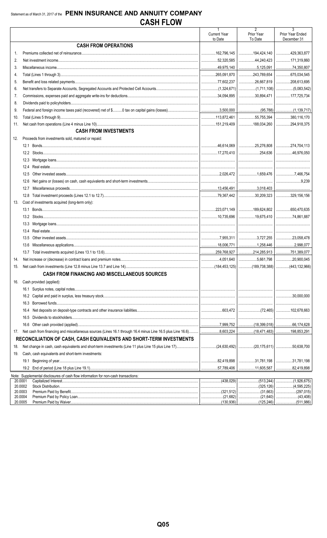|                    |                                                                                                                            |                                | 2                                | 3                               |
|--------------------|----------------------------------------------------------------------------------------------------------------------------|--------------------------------|----------------------------------|---------------------------------|
|                    |                                                                                                                            | <b>Current Year</b><br>to Date | Prior Year<br>To Date            | Prior Year Ended<br>December 31 |
|                    | <b>CASH FROM OPERATIONS</b>                                                                                                |                                |                                  |                                 |
|                    |                                                                                                                            | 162,796,145                    |                                  |                                 |
| 2.                 |                                                                                                                            | 32,320,585                     |                                  |                                 |
| 3.                 |                                                                                                                            | 49,975,140                     |                                  |                                 |
| 4.                 |                                                                                                                            |                                | $\ldots$ 243,789,654 675,034,545 |                                 |
| 5.                 |                                                                                                                            |                                |                                  |                                 |
| 6.                 |                                                                                                                            |                                |                                  |                                 |
| 7.                 |                                                                                                                            |                                | $\ldots$ 30,894,471              | 177,725,734                     |
| 8.                 |                                                                                                                            |                                |                                  |                                 |
| 9.                 |                                                                                                                            |                                |                                  |                                 |
| 10.                |                                                                                                                            |                                | $\ldots$ 55,755,394 380,116,170  |                                 |
| 11.                |                                                                                                                            |                                |                                  |                                 |
|                    | <b>CASH FROM INVESTMENTS</b>                                                                                               |                                |                                  |                                 |
| 12.                | Proceeds from investments sold, matured or repaid:                                                                         |                                |                                  |                                 |
|                    |                                                                                                                            |                                |                                  |                                 |
|                    |                                                                                                                            |                                |                                  |                                 |
|                    |                                                                                                                            |                                |                                  |                                 |
|                    | 12.4                                                                                                                       |                                |                                  |                                 |
|                    | 12.5                                                                                                                       |                                | 「1,659,476 │7,466,754            |                                 |
|                    | 12.6                                                                                                                       |                                |                                  | $\vert$ 9,239                   |
|                    | 12.7                                                                                                                       |                                |                                  |                                 |
|                    |                                                                                                                            |                                | $\ldots$ 30,209,323 329,156,156  |                                 |
| 13.                | Cost of investments acquired (long-term only):                                                                             |                                |                                  |                                 |
|                    |                                                                                                                            |                                |                                  |                                 |
|                    |                                                                                                                            | 10.735.696                     | 19,675,410                       | 74.861.887                      |
|                    |                                                                                                                            |                                |                                  |                                 |
|                    | 13.3                                                                                                                       |                                |                                  |                                 |
|                    | 13.4                                                                                                                       |                                |                                  |                                 |
|                    | 13.5                                                                                                                       |                                |                                  |                                 |
|                    | 13.6                                                                                                                       |                                |                                  |                                 |
|                    | 13.7                                                                                                                       |                                |                                  |                                 |
| 14.                |                                                                                                                            |                                | $\ldots$ 5,661,798 20,900,045    |                                 |
| 15.                |                                                                                                                            |                                |                                  |                                 |
|                    | <b>CASH FROM FINANCING AND MISCELLANEOUS SOURCES</b>                                                                       |                                |                                  |                                 |
| 16.                | Cash provided (applied):                                                                                                   |                                |                                  |                                 |
|                    |                                                                                                                            |                                |                                  |                                 |
|                    |                                                                                                                            |                                |                                  | $\ldots$ 30.000.000             |
|                    |                                                                                                                            |                                |                                  |                                 |
|                    | 16.4                                                                                                                       |                                |                                  |                                 |
|                    | 16.5                                                                                                                       |                                |                                  |                                 |
|                    |                                                                                                                            |                                |                                  |                                 |
| 17.                |                                                                                                                            |                                |                                  |                                 |
|                    | RECONCILIATION OF CASH, CASH EQUIVALENTS AND SHORT-TERM INVESTMENTS                                                        |                                |                                  |                                 |
| 18.                | Net change in cash, cash equivalents and short-term investments (Line 11 plus Line 15 plus Line 17)(20,175,611) 50,638,700 |                                |                                  |                                 |
| 19.                | Cash, cash equivalents and short-term investments:                                                                         |                                |                                  |                                 |
|                    | 19.1                                                                                                                       |                                | $\ldots$ 31,781,198 31,781,198   |                                 |
|                    |                                                                                                                            |                                |                                  | .82,419,898<br>.                |
|                    | Note: Supplemental disclosures of cash flow information for non-cash transactions:                                         |                                |                                  |                                 |
| 20.0001            |                                                                                                                            |                                |                                  |                                 |
| 20.0002            |                                                                                                                            |                                | (325, 126)<br>.                  | (4, 595, 225)<br>.              |
| 20.0003<br>20.0004 |                                                                                                                            |                                | (31.663)<br>(21,640)<br>.        | (297,015)                       |
| 20.0005            |                                                                                                                            |                                |                                  |                                 |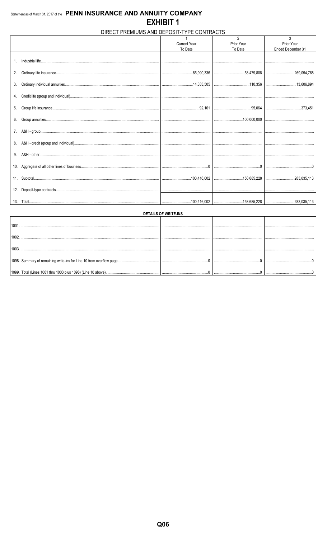# DIRECT PREMIUMS AND DEPOSIT-TYPE CONTRACTS

|    |                     | $\overline{2}$ | 3                 |
|----|---------------------|----------------|-------------------|
|    | <b>Current Year</b> | Prior Year     | Prior Year        |
|    | To Date             | To Date        | Ended December 31 |
|    |                     |                |                   |
|    |                     |                |                   |
|    |                     |                |                   |
|    |                     |                |                   |
| 2. |                     |                |                   |
|    |                     |                |                   |
| 3. |                     |                |                   |
|    |                     |                |                   |
|    |                     |                |                   |
|    |                     |                |                   |
|    |                     |                |                   |
|    |                     |                |                   |
|    |                     |                |                   |
|    |                     |                |                   |
|    |                     |                |                   |
|    |                     |                |                   |
|    |                     |                |                   |
|    |                     |                |                   |
|    |                     |                |                   |
|    |                     |                |                   |
|    |                     |                |                   |
|    |                     |                |                   |
|    |                     |                |                   |
|    |                     |                |                   |
|    |                     |                |                   |
|    |                     |                |                   |
|    |                     |                |                   |
|    |                     |                |                   |
|    |                     |                |                   |

| <b>DETAILS OF WRITE-INS</b> |  |  |  |  |  |  |  |  |  |
|-----------------------------|--|--|--|--|--|--|--|--|--|
| 100 <sup>1</sup>            |  |  |  |  |  |  |  |  |  |
| 100z                        |  |  |  |  |  |  |  |  |  |
|                             |  |  |  |  |  |  |  |  |  |
|                             |  |  |  |  |  |  |  |  |  |
|                             |  |  |  |  |  |  |  |  |  |
|                             |  |  |  |  |  |  |  |  |  |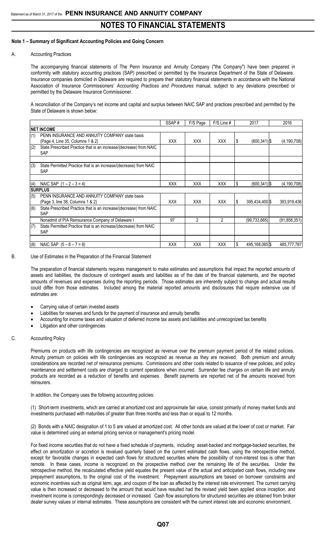### **Note 1 – Summary of Significant Accounting Policies and Going Concern**

### A. Accounting Practices

The accompanying financial statements of The Penn Insurance and Annuity Company ("the Company") have been prepared in conformity with statutory accounting practices (SAP) prescribed or permitted by the Insurance Department of the State of Delaware. Insurance companies domiciled in Delaware are required to prepare their statutory financial statements in accordance with the National Association of Insurance Commissioners' *Accounting Practices and Procedures* manual, subject to any deviations prescribed or permitted by the Delaware Insurance Commissioner.

A reconciliation of the Company's net income and capital and surplus between NAIC SAP and practices prescribed and permitted by the State of Delaware is shown below:

|     |                                                                                    | SSAP#      | F/S Page       | $F/S$ Line #  |    | 2017            | 2016           |
|-----|------------------------------------------------------------------------------------|------------|----------------|---------------|----|-----------------|----------------|
|     | <b>INET INCOME</b>                                                                 |            |                |               |    |                 |                |
| (1) | PENN INSURANCE AND ANNUITY COMPANY state basis<br>(Page 4, Line 35, Columns 1 & 2) | <b>XXX</b> | XXX.           | <b>XXX</b>    | S  | $(600, 341)$ \$ | (4, 190, 708)  |
| (2) | State Prescribed Practice that is an increase/(decrease) from NAIC<br><b>SAP</b>   |            |                |               |    |                 |                |
| (3) | State Permitted Practice that is an increase/(decrease) from NAIC<br><b>SAP</b>    |            |                |               |    |                 |                |
| (4) | NAIC SAP $(1 – 2 – 3 = 4)$                                                         | <b>XXX</b> | <b>XXX</b>     | <b>XXX</b>    | \$ | $(600, 341)$ \$ | (4, 190, 708)  |
|     | <b>ISURPLUS</b>                                                                    |            |                |               |    |                 |                |
| (5) | PENN INSURANCE AND ANNUITY COMPANY state basis<br>(Page 3, line 38, Columns 1 & 2) | <b>XXX</b> | <b>XXX</b>     | <b>XXX</b>    | S  | 395,434,400 \$  | 393,919,436    |
| (6) | State Prescribed Practice that is an increase/(decrease) from NAIC<br>SAP          |            |                |               |    |                 |                |
|     | Nonadmit of PIA Reinsurance Company of Delaware I                                  | 97         | $\overline{2}$ | $\mathcal{P}$ |    | (99, 733, 665)  | (91, 858, 351) |
| (7) | State Permitted Practice that is an increase/(decrease) from NAIC<br><b>SAP</b>    |            |                |               |    |                 |                |
| (8) | NAIC SAP $(5 - 6 - 7 = 8)$                                                         | <b>XXX</b> | <b>XXX</b>     | <b>XXX</b>    | \$ | 495,168,065 \$  | 485,777,787    |

### B. Use of Estimates in the Preparation of the Financial Statement

The preparation of financial statements requires management to make estimates and assumptions that impact the reported amounts of assets and liabilities, the disclosure of contingent assets and liabilities as of the date of the financial statements, and the reported amounts of revenues and expenses during the reporting periods. Those estimates are inherently subject to change and actual results could differ from those estimates. Included among the material reported amounts and disclosures that require extensive use of estimates are:

- Carrying value of certain invested assets
- Liabilities for reserves and funds for the payment of insurance and annuity benefits
- Accounting for income taxes and valuation of deferred income tax assets and liabilities and unrecognized tax benefits
- Litigation and other contingencies

### C. Accounting Policy

Premiums on products with life contingencies are recognized as revenue over the premium payment period of the related policies. Annuity premium on policies with life contingencies are recognized as revenue as they are received. Both premium and annuity considerations are recorded net of reinsurance premiums. Commissions and other costs related to issuance of new policies, and policy maintenance and settlement costs are charged to current operations when incurred. Surrender fee charges on certain life and annuity products are recorded as a reduction of benefits and expenses. Benefit payments are reported net of the amounts received from reinsurers.

In addition, the Company uses the following accounting policies:

(1) Short-term investments, which are carried at amortized cost and approximate fair value, consist primarily of money market funds and investments purchased with maturities of greater than three months and less than or equal to 12 months.

(2) Bonds with a NAIC designation of 1 to 5 are valued at amortized cost. All other bonds are valued at the lower of cost or market. Fair value is determined using an external pricing service or management's pricing model.

For fixed income securities that do not have a fixed schedule of payments, including asset-backed and mortgage-backed securities, the effect on amortization or accretion is revalued quarterly based on the current estimated cash flows, using the retrospective method, except for favorable changes in expected cash flows for structured securities where the possibility of non-interest loss is other than remote. In these cases, income is recognized on the prospective method over the remaining life of the securities. Under the retrospective method, the recalculated effective yield equates the present value of the actual and anticipated cash flows, including new prepayment assumptions, to the original cost of the investment. Prepayment assumptions are based on borrower constraints and economic incentives such as original term, age, and coupon of the loan as affected by the interest rate environment. The current carrying value is then increased or decreased to the amount that would have resulted had the revised yield been applied since inception, and investment income is correspondingly decreased or increased. Cash flow assumptions for structured securities are obtained from broker dealer survey values or internal estimates. These assumptions are consistent with the current interest rate and economic environment.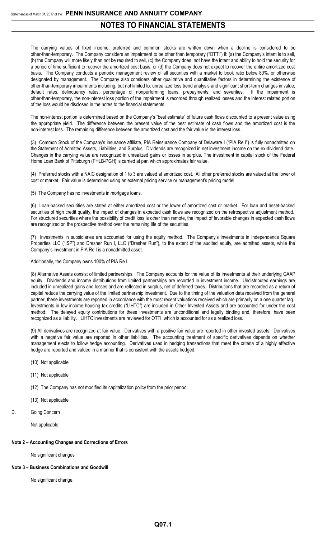The carrying values of fixed income, preferred and common stocks are written down when a decline is considered to be other-than-temporary. The Company considers an impairment to be other than temporary ("OTTI") if: (a) the Company's intent is to sell, (b) the Company will more likely than not be required to sell, (c) the Company does not have the intent and ability to hold the security for a period of time sufficient to recover the amortized cost basis, or (d) the Company does not expect to recover the entire amortized cost basis. The Company conducts a periodic management review of all securities with a market to book ratio below 80%, or otherwise designated by management. The Company also considers other qualitative and quantitative factors in determining the existence of other-than-temporary impairments including, but not limited to, unrealized loss trend analysis and significant short-term changes in value, default rates, delinquency rates, percentage of nonperforming loans, prepayments, and severities. If the impairment is other-than-temporary, the non-interest loss portion of the impairment is recorded through realized losses and the interest related portion of the loss would be disclosed in the notes to the financial statements.

The non-interest portion is determined based on the Company's "best estimate" of future cash flows discounted to a present value using the appropriate yield. The difference between the present value of the best estimate of cash flows and the amortized cost is the non-interest loss. The remaining difference between the amortized cost and the fair value is the interest loss.

(3) Common Stock of the Company's insurance affiliate, PIA Reinsurance Company of Delaware I ("PIA Re I") is fully nonadmitted on the Statement of Admitted Assets, Liabilities, and Surplus. Dividends are recognized in net investment income on the ex-dividend date. Changes in the carrying value are recognized in unrealized gains or losses in surplus. The investment in capital stock of the Federal Home Loan Bank of Pittsburgh (FHLB-PGH) is carried at par, which approximates fair value.

(4) Preferred stocks with a NAIC designation of 1 to 3 are valued at amortized cost. All other preferred stocks are valued at the lower of cost or market. Fair value is determined using an external pricing service or management's pricing model

(5) The Company has no investments in mortgage loans.

(6) Loan-backed securities are stated at either amortized cost or the lower of amortized cost or market. For loan and asset-backed securities of high credit quality, the impact of changes in expected cash flows are recognized on the retrospective adjustment method. For structured securities where the possibility of credit loss is other than remote, the impact of favorable changes in expected cash flows are recognized on the prospective method over the remaining life of the securities.

(7) Investments in subsidiaries are accounted for using the equity method. The Company's investments in Independence Square Properties LLC ("ISP") and Dresher Run I, LLC ("Dresher Run"), to the extent of the audited equity, are admitted assets, while the Company's investment in PIA Re I is a nonadmitted asset.

Additionally, the Company owns 100% of PIA Re I.

(8) Alternative Assets consist of limited partnerships. The Company accounts for the value of its investments at their underlying GAAP equity. Dividends and income distributions from limited partnerships are recorded in investment income. Undistributed earnings are included in unrealized gains and losses and are reflected in surplus, net of deferred taxes. Distributions that are recorded as a return of capital reduce the carrying value of the limited partnership investment. Due to the timing of the valuation data received from the general partner, these investments are reported in accordance with the most recent valuations received which are primarily on a one quarter lag. Investments in low income housing tax credits ("LIHTC") are included in Other Invested Assets and are accounted for under the cost method. The delayed equity contributions for these investments are unconditional and legally binding and, therefore, have been recognized as a liability. LIHTC investments are reviewed for OTTI, which is accounted for as a realized loss.

(9) All derivatives are recognized at fair value. Derivatives with a positive fair value are reported in other invested assets. Derivatives with a negative fair value are reported in other liabilities**.** The accounting treatment of specific derivatives depends on whether management elects to follow hedge accounting. Derivatives used in hedging transactions that meet the criteria of a highly effective hedge are reported and valued in a manner that is consistent with the assets hedged.

- (10) Not applicable
- (11) Not applicable
- (12) The Company has not modified its capitalization policy from the prior period.
- (13) Not applicable
- D. Going Concern

Not applicable

### **Note 2 – Accounting Changes and Corrections of Errors**

No significant changes

### **Note 3 – Business Combinations and Goodwill**

No significant change.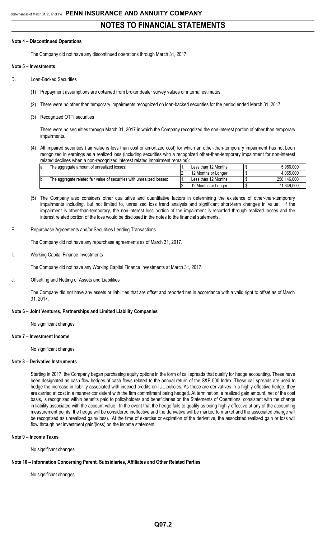### **Note 4 – Discontinued Operations**

The Company did not have any discontinued operations through March 31, 2017.

### **Note 5 – Investments**

- D. Loan-Backed Securities
	- (1) Prepayment assumptions are obtained from broker dealer survey values or internal estimates.
	- (2) There were no other than temporary impairments recognized on loan-backed securities for the period ended March 31, 2017.
	- (3) Recognized OTTI securities

There were no securities through March 31, 2017 in which the Company recognized the non-interest portion of other than temporary impairments.

(4) All impaired securities (fair value is less than cost or amortized cost) for which an other-than-temporary impairment has not been recognized in earnings as a realized loss (including securities with a recognized other-than-temporary impairment for non-interest related declines when a non-recognized interest related impairment remains):

| la. | The aggregate amount of unrealized losses:                             |          | Less than 12 Months | 5.986.000   |
|-----|------------------------------------------------------------------------|----------|---------------------|-------------|
|     |                                                                        | <u>.</u> | 12 Months or Longer | 4.065.000   |
| b   | The aggregate related fair value of securities with unrealized losses: |          | Less than 12 Months | 258.146.000 |
|     |                                                                        | <u>.</u> | 12 Months or Longer | 71.849.000  |

- (5) The Company also considers other qualitative and quantitative factors in determining the existence of other-than-temporary impairments including, but not limited to, unrealized loss trend analysis and significant short-term changes in value. If the impairment is other-than-temporary, the non-interest loss portion of the impairment is recorded through realized losses and the interest related portion of the loss would be disclosed in the notes to the financial statements.
- E. Repurchase Agreements and/or Securities Lending Transactions

The Company did not have any repurchase agreements as of March 31, 2017.

Working Capital Finance Investments

The Company did not have any Working Capital Finance Investments at March 31, 2017.

J. Offsetting and Netting of Assets and Liabilities

The Company did not have any assets or liabilities that are offset and reported net in accordance with a valid right to offset as of March 31, 2017.

## **Note 6 – Joint Ventures, Partnerships and Limited Liability Companies**

No significant changes

### **Note 7 – Investment Income**

No significant changes

## **Note 8 – Derivative Instruments**

Starting in 2017, the Company began purchasing equity options in the form of call spreads that qualify for hedge accounting. These have been designated as cash flow hedges of cash flows related to the annual return of the S&P 500 Index. These call spreads are used to hedge the increase in liability associated with indexed credits on IUL policies. As these are derivatives in a highly effective hedge, they are carried at cost in a manner consistent with the firm commitment being hedged. At termination, a realized gain amount, net of the cost basis, is recognized within benefits paid to policyholders and beneficiaries on the Statements of Operations, consistent with the change in liability associated with the account value. In the event that the hedge fails to qualify as being highly effective at any of the accounting measurement points, the hedge will be considered ineffective and the derivative will be marked to market and the associated change will be recognized as unrealized gain/(loss). At the time of exercise or expiration of the derivative, the associated realized gain or loss will flow through net investment gain/(loss) on the income statement.

### **Note 9 – Income Taxes**

No significant changes

## **Note 10 – Information Concerning Parent, Subsidiaries, Affiliates and Other Related Parties**

No significant changes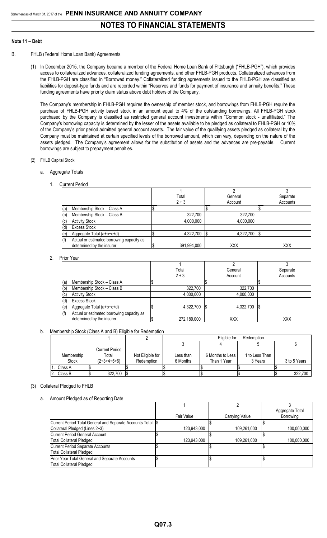### **Note 11 – Debt**

- B. FHLB (Federal Home Loan Bank) Agreements
	- (1) In December 2015, the Company became a member of the Federal Home Loan Bank of Pittsburgh ("FHLB-PGH"), which provides access to collateralized advances, collateralized funding agreements, and other FHLB-PGH products. Collateralized advances from the FHLB-PGH are classified in "Borrowed money." Collateralized funding agreements issued to the FHLB-PGH are classified as liabilities for deposit-type funds and are recorded within "Reserves and funds for payment of insurance and annuity benefits." These funding agreements have priority claim status above debt holders of the Company.

The Company's membership in FHLB-PGH requires the ownership of member stock, and borrowings from FHLB-PGH require the purchase of FHLB-PGH activity based stock in an amount equal to 4% of the outstanding borrowings. All FHLB-PGH stock purchased by the Company is classified as restricted general account investments within "Common stock - unaffiliated." The Company's borrowing capacity is determined by the lesser of the assets available to be pledged as collateral to FHLB-PGH or 10% of the Company's prior period admitted general account assets. The fair value of the qualifying assets pledged as collateral by the Company must be maintained at certain specified levels of the borrowed amount, which can vary, depending on the nature of the assets pledged. The Company's agreement allows for the substitution of assets and the advances are pre-payable. Current borrowings are subject to prepayment penalties.

- (2) FHLB Capital Stock
	- a. Aggregate Totals
		- 1. Current Period

|     |                                           | Total       | General    | Separate   |
|-----|-------------------------------------------|-------------|------------|------------|
|     |                                           | $2 + 3$     | Account    | Accounts   |
| (a) | Membership Stock - Class A                |             |            |            |
| (b) | Membership Stock - Class B                | 322,700     | 322,700    |            |
| (C) | <b>Activity Stock</b>                     | 4,000,000   | 4,000,000  |            |
| (d) | <b>Excess Stock</b>                       |             |            |            |
| (e) | Aggregate Total (a+b+c+d)                 | 4,322,700   | 4,322,700  |            |
| (f) | Actual or estimated borrowing capacity as |             |            |            |
|     | determined by the insurer                 | 391,994,000 | <b>XXX</b> | <b>XXX</b> |

## 2. Prior Year

|     |                                                                        | Total<br>$2 + 3$ | General<br>Account | Separate<br>Accounts |
|-----|------------------------------------------------------------------------|------------------|--------------------|----------------------|
| (a) | Membership Stock - Class A                                             |                  |                    |                      |
| (b) | Membership Stock - Class B                                             | 322,700          | 322,700            |                      |
| (c) | <b>Activity Stock</b>                                                  | 4,000,000        | 4,000,000          |                      |
| (d) | <b>Excess Stock</b>                                                    |                  |                    |                      |
| (e) | Aggregate Total (a+b+c+d)                                              | 4,322,700        | 4,322,700          |                      |
| (f) | Actual or estimated borrowing capacity as<br>determined by the insurer | 272,189,000      | <b>XXX</b>         | <b>XXX</b>           |

b. Membership Stock (Class A and B) Eligible for Redemption

|              |                |                  |  |           | Eligible for       | Redemption |                |  |              |
|--------------|----------------|------------------|--|-----------|--------------------|------------|----------------|--|--------------|
|              |                |                  |  |           |                    |            |                |  |              |
|              | Current Period |                  |  |           |                    |            |                |  |              |
| Membership   | Total          | Not Eligible for |  | Less than | 6 Months to Less I |            | 1 to Less Than |  |              |
| <b>Stock</b> | $(2+3+4+5+6)$  | Redemption       |  | 6 Months  | Than 1 Year        |            | 3 Years        |  | 3 to 5 Years |
| Class A      |                |                  |  |           |                    |            |                |  |              |
| Class B      | 322.700        |                  |  |           |                    |            |                |  | 322.700      |

### (3) Collateral Pledged to FHLB

a. Amount Pledged as of Reporting Date

|                                                             |             |                | Aggregate Total |
|-------------------------------------------------------------|-------------|----------------|-----------------|
|                                                             | Fair Value  | Carrying Value | Borrowing       |
| Current Period Total General and Separate Accounts Total \$ |             |                |                 |
| Collateral Pledged (Lines 2+3)                              | 123.943.000 | 109,261,000    | 100.000.000     |
| Current Period General Account                              |             |                |                 |
| Total Collateral Pledged                                    | 123.943.000 | 109.261.000    | 100.000.000     |
| Current Period Separate Accounts                            |             |                |                 |
| <b>Total Collateral Pledged</b>                             |             |                |                 |
| Prior Year Total General and Separate Accounts              |             |                |                 |
| <b>Total Collateral Pledged</b>                             |             |                |                 |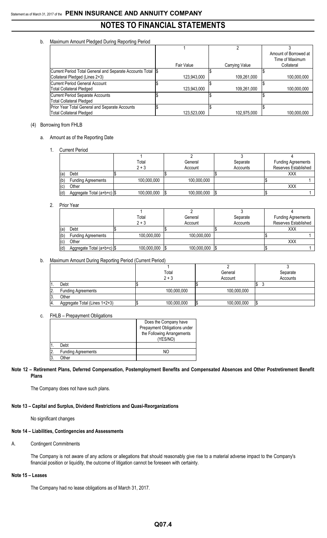## b. Maximum Amount Pledged During Reporting Period

|                                                             |             |                | Amount of Borrowed at<br>Time of Maximum |
|-------------------------------------------------------------|-------------|----------------|------------------------------------------|
|                                                             | Fair Value  | Carrying Value | Collateral                               |
| Current Period Total General and Separate Accounts Total \$ |             |                |                                          |
| Collateral Pledged (Lines 2+3)                              | 123,943,000 | 109,261,000    | 100.000.000                              |
| Current Period General Account                              |             |                |                                          |
| Total Collateral Pledged                                    | 123.943.000 | 109,261,000    | 100,000,000                              |
| Current Period Separate Accounts                            |             |                |                                          |
| <b>Total Collateral Pledged</b>                             |             |                |                                          |
| Prior Year Total General and Separate Accounts              |             |                |                                          |
| Total Collateral Pledged                                    | 123.523.000 | 102.975.000    | 100.000.000                              |

### (4) Borrowing from FHLB

### a. Amount as of the Reporting Date

1. Current Period

|     |                            | Total       | General            | Separate | <b>Funding Agreements</b> |
|-----|----------------------------|-------------|--------------------|----------|---------------------------|
|     |                            | $2 + 3$     | Account            | Accounts | Reserves Established      |
| (a) | Debt                       |             |                    |          | XXX                       |
| (b) | <b>Funding Agreements</b>  | 100,000,000 | 100,000,000        |          |                           |
| (c) | Other                      |             |                    |          | XXX                       |
| (d) | Aggregate Total (a+b+c) \$ | 100,000,000 | 100,000,000<br>۱JD | l\$      |                           |

### 2. Prior Year

|     |                              | Total       | General     | Separate | <b>Funding Agreements</b> |
|-----|------------------------------|-------------|-------------|----------|---------------------------|
|     |                              | $2 + 3$     | Account     | Accounts | Reserves Established      |
| (a  | Debt                         |             |             |          | XXX                       |
| (b) | <b>Funding Agreements</b>    | 100,000,000 | 100,000,000 |          |                           |
| (c) | Other                        |             |             |          | <b>XXX</b>                |
| (d) | Aggregate Total (a+b+c)   \$ | 100,000,000 | 100,000,000 |          |                           |

## b. Maximum Amount During Reporting Period (Current Period)

|     |                               | Total       | General     | Separate |
|-----|-------------------------------|-------------|-------------|----------|
|     |                               | $2 + 3$     | Account     | Accounts |
|     | Debt                          |             |             |          |
| 2.  | <b>Funding Agreements</b>     | 100,000,000 | 100,000,000 |          |
| 13. | Other                         |             |             |          |
| 14. | Aggregate Total (Lines 1+2+3) | 100,000,000 | 100,000,000 |          |

### c. FHLB – Prepayment Obligations

|    |                           | Does the Company have<br>Prepayment Obligations under<br>the Following Arrangements<br>(YES/NO) |
|----|---------------------------|-------------------------------------------------------------------------------------------------|
|    | Debt                      |                                                                                                 |
| 2. | <b>Funding Agreements</b> | NΟ                                                                                              |
| Β. | )ther                     |                                                                                                 |

## **Note 12 – Retirement Plans, Deferred Compensation, Postemployment Benefits and Compensated Absences and Other Postretirement Benefit Plans**

The Company does not have such plans.

# **Note 13 – Capital and Surplus, Dividend Restrictions and Quasi-Reorganizations**

No significant changes

# **Note 14 – Liabilities, Contingencies and Assessments**

# A. Contingent Commitments

The Company is not aware of any actions or allegations that should reasonably give rise to a material adverse impact to the Company's financial position or liquidity, the outcome of litigation cannot be foreseen with certainty.

# **Note 15 – Leases**

The Company had no lease obligations as of March 31, 2017.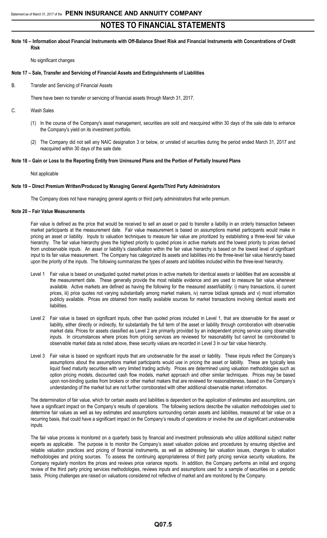### **Note 16 – Information about Financial Instruments with Off-Balance Sheet Risk and Financial Instruments with Concentrations of Credit Risk**

No significant changes

### **Note 17 – Sale, Transfer and Servicing of Financial Assets and Extinguishments of Liabilities**

B. Transfer and Servicing of Financial Assets

There have been no transfer or servicing of financial assets through March 31, 2017.

- C. Wash Sales
	- (1) In the course of the Company's asset management, securities are sold and reacquired within 30 days of the sale date to enhance the Company's yield on its investment portfolio.
	- (2) The Company did not sell any NAIC designation 3 or below, or unrated of securities during the period ended March 31, 2017 and reacquired within 30 days of the sale date.

### **Note 18 – Gain or Loss to the Reporting Entity from Uninsured Plans and the Portion of Partially Insured Plans**

### Not applicable

### **Note 19 – Direct Premium Written/Produced by Managing General Agents/Third Party Administrators**

The Company does not have managing general agents or third party administrators that write premium.

### **Note 20 – Fair Value Measurements**

Fair value is defined as the price that would be received to sell an asset or paid to transfer a liability in an orderly transaction between market participants at the measurement date. Fair value measurement is based on assumptions market participants would make in pricing an asset or liability. Inputs to valuation techniques to measure fair value are prioritized by establishing a three-level fair value hierarchy. The fair value hierarchy gives the highest priority to quoted prices in active markets and the lowest priority to prices derived from unobservable inputs. An asset or liability's classification within the fair value hierarchy is based on the lowest level of significant input to its fair value measurement. The Company has categorized its assets and liabilities into the three-level fair value hierarchy based upon the priority of the inputs. The following summarizes the types of assets and liabilities included within the three-level hierarchy.

- Level 1 Fair value is based on unadjusted quoted market prices in active markets for identical assets or liabilities that are accessible at the measurement date. These generally provide the most reliable evidence and are used to measure fair value whenever available. Active markets are defined as having the following for the measured asset/liability: i) many transactions, ii) current prices, iii) price quotes not varying substantially among market makers, iv) narrow bid/ask spreads and v) most information publicly available. Prices are obtained from readily available sources for market transactions involving identical assets and liabilities.
- Level 2 Fair value is based on significant inputs, other than quoted prices included in Level 1, that are observable for the asset or liability, either directly or indirectly, for substantially the full term of the asset or liability through corroboration with observable market data. Prices for assets classified as Level 2 are primarily provided by an independent pricing service using observable inputs. In circumstances where prices from pricing services are reviewed for reasonability but cannot be corroborated to observable market data as noted above, these security values are recorded in Level 3 in our fair value hierarchy.
- Level 3 Fair value is based on significant inputs that are unobservable for the asset or liability. These inputs reflect the Company's assumptions about the assumptions market participants would use in pricing the asset or liability. These are typically less liquid fixed maturity securities with very limited trading activity. Prices are determined using valuation methodologies such as option pricing models, discounted cash flow models, market approach and other similar techniques. Prices may be based upon non-binding quotes from brokers or other market makers that are reviewed for reasonableness, based on the Company's understanding of the market but are not further corroborated with other additional observable market information.

The determination of fair value, which for certain assets and liabilities is dependent on the application of estimates and assumptions, can have a significant impact on the Company's results of operations. The following sections describe the valuation methodologies used to determine fair values as well as key estimates and assumptions surrounding certain assets and liabilities, measured at fair value on a recurring basis, that could have a significant impact on the Company's results of operations or involve the use of significant unobservable inputs.

The fair value process is monitored on a quarterly basis by financial and investment professionals who utilize additional subject matter experts as applicable. The purpose is to monitor the Company's asset valuation policies and procedures by ensuring objective and reliable valuation practices and pricing of financial instruments, as well as addressing fair valuation issues, changes to valuation methodologies and pricing sources. To assess the continuing appropriateness of third party pricing service security valuations, the Company regularly monitors the prices and reviews price variance reports. In addition, the Company performs an initial and ongoing review of the third party pricing services methodologies, reviews inputs and assumptions used for a sample of securities on a periodic basis. Pricing challenges are raised on valuations considered not reflective of market and are monitored by the Company.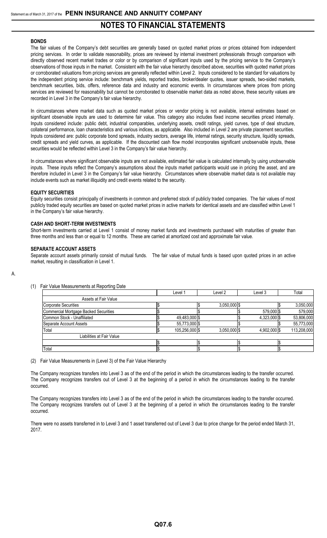### **BONDS**

The fair values of the Company's debt securities are generally based on quoted market prices or prices obtained from independent pricing services. In order to validate reasonability, prices are reviewed by internal investment professionals through comparison with directly observed recent market trades or color or by comparison of significant inputs used by the pricing service to the Company's observations of those inputs in the market. Consistent with the fair value hierarchy described above, securities with quoted market prices or corroborated valuations from pricing services are generally reflected within Level 2. Inputs considered to be standard for valuations by the independent pricing service include: benchmark yields, reported trades, broker/dealer quotes, issuer spreads, two-sided markets, benchmark securities, bids, offers, reference data and industry and economic events. In circumstances where prices from pricing services are reviewed for reasonability but cannot be corroborated to observable market data as noted above, these security values are recorded in Level 3 in the Company's fair value hierarchy.

In circumstances where market data such as quoted market prices or vendor pricing is not available, internal estimates based on significant observable inputs are used to determine fair value. This category also includes fixed income securities priced internally. Inputs considered include: public debt, industrial comparables, underlying assets, credit ratings, yield curves, type of deal structure, collateral performance, loan characteristics and various indices, as applicable. Also included in Level 2 are private placement securities. Inputs considered are: public corporate bond spreads, industry sectors, average life, internal ratings, security structure, liquidity spreads, credit spreads and yield curves, as applicable. If the discounted cash flow model incorporates significant unobservable inputs, these securities would be reflected within Level 3 in the Company's fair value hierarchy.

In circumstances where significant observable inputs are not available, estimated fair value is calculated internally by using unobservable inputs. These inputs reflect the Company's assumptions about the inputs market participants would use in pricing the asset, and are therefore included in Level 3 in the Company's fair value hierarchy. Circumstances where observable market data is not available may include events such as market illiquidity and credit events related to the security.

### **EQUITY SECURITIES**

Equity securities consist principally of investments in common and preferred stock of publicly traded companies. The fair values of most publicly traded equity securities are based on quoted market prices in active markets for identical assets and are classified within Level 1 in the Company's fair value hierarchy.

### **CASH AND SHORT-TERM INVESTMENTS**

Short-term investments carried at Level 1 consist of money market funds and investments purchased with maturities of greater than three months and less than or equal to 12 months. These are carried at amortized cost and approximate fair value.

### **SEPARATE ACCOUNT ASSETS**

Separate account assets primarily consist of mutual funds. The fair value of mutual funds is based upon quoted prices in an active market, resulting in classification in Level 1.

### (1) Fair Value Measurements at Reporting Date

|                                       | Level 1        | Level 2        | Level 3      | Total       |
|---------------------------------------|----------------|----------------|--------------|-------------|
| Assets at Fair Value                  |                |                |              |             |
| Corporate Securities                  |                | $3,050,000$ \$ |              | 3,050,000   |
| Commercial Mortgage Backed Securities |                |                | 579,000 \$   | 579,000     |
| Common Stock - Unaffiliated           | 49,483,000 \$  |                | 4.323.000 \$ | 53,806,000  |
| Separate Account Assets               | 55,773,000 \$  |                |              | 55,773,000  |
| Total                                 | 105,256,000 \$ | $3,050,000$ \$ | 4,902,000 \$ | 113,208,000 |
| Liabilities at Fair Value             |                |                |              |             |
|                                       |                |                |              |             |
| Total                                 |                |                |              |             |

(2) Fair Value Measurements in (Level 3) of the Fair Value Hierarchy

The Company recognizes transfers into Level 3 as of the end of the period in which the circumstances leading to the transfer occurred. The Company recognizes transfers out of Level 3 at the beginning of a period in which the circumstances leading to the transfer occurred.

The Company recognizes transfers into Level 3 as of the end of the period in which the circumstances leading to the transfer occurred. The Company recognizes transfers out of Level 3 at the beginning of a period in which the circumstances leading to the transfer occurred.

There were no assets transferred in to Level 3 and 1 asset transferred out of Level 3 due to price change for the period ended March 31, 2017.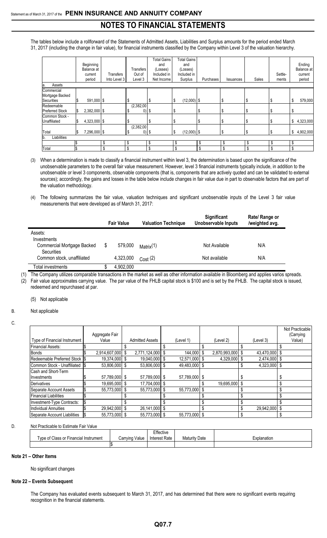The tables below include a rollforward of the Statements of Admitted Assets, Liabilities and Surplus amounts for the period ended March 31, 2017 (including the change in fair value), for financial instruments classified by the Company within Level 3 of the valuation hierarchy.

|                                                    | Beginning<br>Balance at<br>current<br>period | Transfers<br>Into Level 3 | Transfers<br>Out of<br>Level 3 | <b>Total Gains</b><br>and<br>(Losses)<br>Included in<br>Net Income | <b>Total Gains</b><br>and<br>(Losses)<br>Included in<br>Surplus | Purchases | Issuances | Sales | Settle-<br>ments | Ending<br>Balance at<br>current<br>period |
|----------------------------------------------------|----------------------------------------------|---------------------------|--------------------------------|--------------------------------------------------------------------|-----------------------------------------------------------------|-----------|-----------|-------|------------------|-------------------------------------------|
| Assets<br>a.                                       |                                              |                           |                                |                                                                    |                                                                 |           |           |       |                  |                                           |
| Commercial<br>Mortgage Backed<br><b>Securities</b> | 591,000 \$                                   |                           | \$                             | S                                                                  | $(12,000)$ \$<br>\$                                             |           | \$        | \$    | Œ                | 579,000<br>\$                             |
| Redeemable<br><b>Preferred Stock</b>               | \$<br>$2,382,000$ \$                         |                           | (2,382,00)<br>0)               | - 5                                                                | J.                                                              |           | \$        |       |                  |                                           |
| Common Stock -<br>Unaffiliated                     | \$<br>4,323,000 \$                           |                           |                                | S                                                                  | S                                                               | S         | S         | \$    | \$               | 4,323,000<br>\$                           |
| Total                                              | \$<br>7,296,000 \$                           |                           | (2,382,00)<br>\$               | $0)$ \$                                                            | $(12,000)$ \$<br>\$                                             |           | \$        | \$    | Φ                | 4,902,000<br>\$                           |
| Liabilities<br>b.                                  |                                              |                           |                                |                                                                    |                                                                 |           |           |       |                  |                                           |
|                                                    |                                              | \$                        | \$                             | \$                                                                 |                                                                 | \$        |           | \$    | \$               | \$                                        |
| Total                                              |                                              | \$                        | \$                             |                                                                    |                                                                 |           |           | \$    |                  |                                           |

- (3) When a determination is made to classify a financial instrument within level 3, the determination is based upon the significance of the unobservable parameters to the overall fair value measurement. However, level 3 financial instruments typically include, in addition to the unobservable or level 3 components, observable components (that is, components that are actively quoted and can be validated to external sources); accordingly, the gains and losses in the table below include changes in fair value due in part to observable factors that are part of the valuation methodology.
- (4) The following summarizes the fair value, valuation techniques and significant unobservable inputs of the Level 3 fair value measurements that were developed as of March 31, 2017:

|                                          | <b>Fair Value</b> | <b>Valuation Technique</b> | <b>Significant</b><br><b>Unobservable Inputs</b> | Rate/ Range or<br>/weighted avg. |
|------------------------------------------|-------------------|----------------------------|--------------------------------------------------|----------------------------------|
| Assets:                                  |                   |                            |                                                  |                                  |
| Investments                              |                   |                            |                                                  |                                  |
| Commercial Mortgage Backed<br>Securities | 579.000           | Matrix(1)                  | Not Available                                    | N/A                              |
| Common stock, unaffiliated               | 4,323,000         | Cost(2)                    | Not available                                    | N/A                              |
| Total investments                        | 4,902,000         |                            |                                                  |                                  |

(1) The Company utilizes comparable transactions in the market as well as other information available in Bloomberg and applies varios spreads. (2) Fair value approximates carrying value. The par value of the FHLB capital stock is \$100 and is set by the FHLB. The capital stock is issued, redeemed and repurchased at par.

(5) Not applicable

B. Not applicable

|                                |                  |                        |               |               |               | Not Practicable |
|--------------------------------|------------------|------------------------|---------------|---------------|---------------|-----------------|
|                                | Aggregate Fair   |                        |               |               |               | (Carrying       |
| Type of Financial Instrument   | Value            | <b>Admitted Assets</b> | (Level 1)     | (Level 2)     | (Level 3)     | Value)          |
| Financial Assets:              |                  |                        |               |               |               |                 |
| <b>Bonds</b>                   | 2,914,607,000 \$ | 2,771,124,000 \$       | 144.000 \$    | 2,870,993,000 | 43,470,000 \$ |                 |
| Redeemable Preferred Stock IS  | 19,374,000 \$    | 19,040,000 \$          | 12,571,000 \$ | 4,329,000     | 2,474,000 \$  |                 |
| Common Stock - Unaffiliated IS | 53,806,000 \$    | 53,806,000 \$          | 49,483,000 \$ |               | 4,323,000 \$  |                 |
| Cash and Short-Term            |                  |                        |               |               |               |                 |
| Investments                    | 57,789,000 \$    | 57,789,000 \$          | 57,789,000 \$ |               |               |                 |
| Derivatives                    | 19,695,000 \$    | 17,704,000 \$          |               | 19.695.000    |               |                 |
| Separate Account Assets        | 55.773.000 \$    | 55.773.000 \$          | 55,773,000 \$ |               |               |                 |
| <b>Financial Liabilities</b>   |                  |                        |               |               |               |                 |
| Investment-Type Contracts:     |                  |                        |               |               |               |                 |
| <b>Individual Annuities</b>    | 29,942,000 \$    | 26,141,000 \$          |               |               | 29.942.000 \$ |                 |
| Separate Account Liabilities   | 55.773.000 \$    | 55,773,000 \$          | 55,773,000 \$ |               |               |                 |

### D. Not Practicable to Estimate Fair Value

|                                       |                   | Effective     |                      |             |
|---------------------------------------|-------------------|---------------|----------------------|-------------|
| Type of Class or Financial Instrument | Carrving<br>Value | Interest Rate | <b>Maturity Date</b> | Explanation |
|                                       |                   |               |                      |             |

### **Note 21 – Other Items**

No significant changes

### **Note 22 – Events Subsequent**

The Company has evaluated events subsequent to March 31, 2017, and has determined that there were no significant events requiring recognition in the financial statements.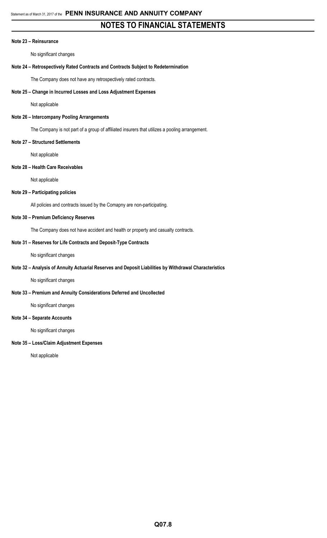### **Note 23 – Reinsurance**

No significant changes

## **Note 24 – Retrospectively Rated Contracts and Contracts Subject to Redetermination**

The Company does not have any retrospectively rated contracts.

## **Note 25 – Change in Incurred Losses and Loss Adjustment Expenses**

Not applicable

## **Note 26 – Intercompany Pooling Arrangements**

The Company is not part of a group of affiliated insurers that utilizes a pooling arrangement.

### **Note 27 – Structured Settlements**

Not applicable

## **Note 28 – Health Care Receivables**

Not applicable

## **Note 29 – Participating policies**

All policies and contracts issued by the Comapny are non-participating.

### **Note 30 – Premium Deficiency Reserves**

The Company does not have accident and health or property and casualty contracts.

### **Note 31 – Reserves for Life Contracts and Deposit-Type Contracts**

No significant changes

## **Note 32 – Analysis of Annuity Actuarial Reserves and Deposit Liabilities by Withdrawal Characteristics**

No significant changes

## **Note 33 – Premium and Annuity Considerations Deferred and Uncollected**

No significant changes

### **Note 34 – Separate Accounts**

No significant changes

## **Note 35 – Loss/Claim Adjustment Expenses**

Not applicable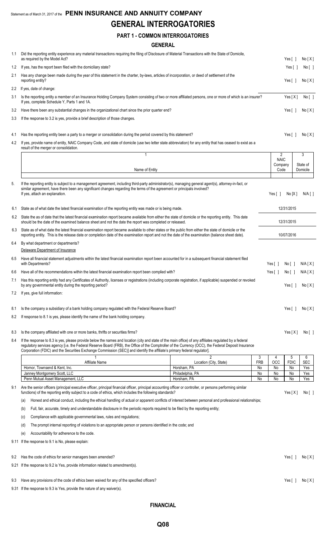# **GENERAL INTERROGATORIES**

|     | <b>PART 1 - COMMON INTERROGATORIES</b>                                                                                                                                                                                                                                                                                                                                                                                                       |                                 |                 |                  |                       |                  |
|-----|----------------------------------------------------------------------------------------------------------------------------------------------------------------------------------------------------------------------------------------------------------------------------------------------------------------------------------------------------------------------------------------------------------------------------------------------|---------------------------------|-----------------|------------------|-----------------------|------------------|
|     | <b>GENERAL</b>                                                                                                                                                                                                                                                                                                                                                                                                                               |                                 |                 |                  |                       |                  |
| 1.1 | Did the reporting entity experience any material transactions requiring the filing of Disclosure of Material Transactions with the State of Domicile,                                                                                                                                                                                                                                                                                        |                                 |                 |                  |                       |                  |
|     | as required by the Model Act?                                                                                                                                                                                                                                                                                                                                                                                                                |                                 |                 |                  | Yes $\lceil$ 1        | No[X]            |
| 1.2 | If yes, has the report been filed with the domiciliary state?                                                                                                                                                                                                                                                                                                                                                                                |                                 |                 |                  | Yes $[$ $]$           | No[ ]            |
| 2.1 | Has any change been made during the year of this statement in the charter, by-laws, articles of incorporation, or deed of settlement of the<br>reporting entity?                                                                                                                                                                                                                                                                             |                                 |                 |                  | Yes [ ]               | No[X]            |
| 2.2 | If yes, date of change:                                                                                                                                                                                                                                                                                                                                                                                                                      |                                 |                 |                  |                       |                  |
| 3.1 | Is the reporting entity a member of an Insurance Holding Company System consisting of two or more affiliated persons, one or more of which is an insurer?<br>If yes, complete Schedule Y, Parts 1 and 1A.                                                                                                                                                                                                                                    |                                 |                 |                  | Yes[X]                | No [ ]           |
| 3.2 | Have there been any substantial changes in the organizational chart since the prior quarter end?                                                                                                                                                                                                                                                                                                                                             |                                 |                 |                  | Yes $\lceil \ \rceil$ | No[X]            |
| 3.3 | If the response to 3.2 is yes, provide a brief description of those changes.                                                                                                                                                                                                                                                                                                                                                                 |                                 |                 |                  |                       |                  |
| 4.1 | Has the reporting entity been a party to a merger or consolidation during the period covered by this statement?                                                                                                                                                                                                                                                                                                                              |                                 |                 |                  | Yes $\lceil \ \rceil$ | No[X]            |
| 4.2 | If yes, provide name of entity, NAIC Company Code, and state of domicile (use two letter state abbreviation) for any entity that has ceased to exist as a<br>result of the merger or consolidation.                                                                                                                                                                                                                                          |                                 |                 |                  |                       |                  |
|     |                                                                                                                                                                                                                                                                                                                                                                                                                                              |                                 |                 | 2<br><b>NAIC</b> |                       | 3                |
|     |                                                                                                                                                                                                                                                                                                                                                                                                                                              |                                 |                 | Company          |                       | State of         |
|     | Name of Entity                                                                                                                                                                                                                                                                                                                                                                                                                               |                                 |                 | Code             |                       | Domicile         |
| 5.  | If the reporting entity is subject to a management agreement, including third-party administrator(s), managing general agent(s), attorney-in-fact, or<br>similar agreement, have there been any significant changes regarding the terms of the agreement or principals involved?<br>If yes, attach an explanation.                                                                                                                           |                                 |                 | Yes [ ]          | No[X]                 | $N/A$ [ ]        |
| 6.1 | State as of what date the latest financial examination of the reporting entity was made or is being made.                                                                                                                                                                                                                                                                                                                                    |                                 |                 |                  | 12/31/2015            |                  |
| 6.2 | State the as of date that the latest financial examination report became available from either the state of domicile or the reporting entity. This date<br>should be the date of the examined balance sheet and not the date the report was completed or released.                                                                                                                                                                           |                                 |                 |                  | 12/31/2015            |                  |
| 6.3 | State as of what date the latest financial examination report became available to other states or the public from either the state of domicile or the<br>reporting entity. This is the release date or completion date of the examination report and not the date of the examination (balance sheet date).                                                                                                                                   |                                 |                 |                  | 10/07/2016            |                  |
| 6.4 | By what department or departments?                                                                                                                                                                                                                                                                                                                                                                                                           |                                 |                 |                  |                       |                  |
|     | Delaware Department of Insurance                                                                                                                                                                                                                                                                                                                                                                                                             |                                 |                 |                  |                       |                  |
| 6.5 | Have all financial statement adjustments within the latest financial examination report been accounted for in a subsequent financial statement filed<br>with Departments?                                                                                                                                                                                                                                                                    |                                 |                 | Yes $[ \ ]$      | No[ ]                 | N/A [ X ]        |
|     | 6.6 Have all of the recommendations within the latest financial examination report been complied with?                                                                                                                                                                                                                                                                                                                                       |                                 |                 | Yes $[ ]$        |                       | No [ ] N/A [ X ] |
| 7.1 | Has this reporting entity had any Certificates of Authority, licenses or registrations (including corporate registration, if applicable) suspended or revoked<br>by any governmental entity during the reporting period?                                                                                                                                                                                                                     |                                 |                 |                  | Yes $\lceil \ \rceil$ | No[X]            |
| 7.2 | If yes, give full information:                                                                                                                                                                                                                                                                                                                                                                                                               |                                 |                 |                  |                       |                  |
| 8.1 | Is the company a subsidiary of a bank holding company regulated with the Federal Reserve Board?                                                                                                                                                                                                                                                                                                                                              |                                 |                 |                  | Yes $\lceil \ \rceil$ | No[X]            |
| 8.2 | If response to 8.1 is yes, please identify the name of the bank holding company.                                                                                                                                                                                                                                                                                                                                                             |                                 |                 |                  |                       |                  |
| 8.3 | Is the company affiliated with one or more banks, thrifts or securities firms?                                                                                                                                                                                                                                                                                                                                                               |                                 |                 |                  | Yes[X]                | No [ ]           |
| 8.4 | If the response to 8.3 is yes, please provide below the names and location (city and state of the main office) of any affiliates regulated by a federal<br>regulatory services agency [i.e. the Federal Reserve Board (FRB), the Office of the Comptroller of the Currency (OCC), the Federal Deposit Insurance<br>Corporation (FDIC) and the Securities Exchange Commission (SEC)] and identify the affiliate's primary federal regulator]. |                                 |                 |                  |                       |                  |
|     | Affiliate Name                                                                                                                                                                                                                                                                                                                                                                                                                               | 2<br>Location (City, State)     | 3<br><b>FRB</b> | 4<br>OCC         | 5<br><b>FDIC</b>      | 6<br><b>SEC</b>  |
|     | Hornor, Townsend & Kent, Inc.                                                                                                                                                                                                                                                                                                                                                                                                                | Horsham, PA                     | No              | No               | No                    | Yes              |
|     | Janney Montgomery Scott, LLC<br>Penn Mutual Asset Management, LLC                                                                                                                                                                                                                                                                                                                                                                            | Philadelphia, PA<br>Horsham, PA | No<br>No        | No<br>No         | No<br>No              | Yes              |
| 9.1 | Are the senior officers (principal executive officer, principal financial officer, principal accounting officer or controller, or persons performing similar                                                                                                                                                                                                                                                                                 |                                 |                 |                  |                       | Yes              |
|     | functions) of the reporting entity subject to a code of ethics, which includes the following standards?                                                                                                                                                                                                                                                                                                                                      |                                 |                 |                  | Yes $[X]$             | No[ ]            |

(a) Honest and ethical conduct, including the ethical handling of actual or apparent conflicts of interest between personal and professional relationships;

(b) Full, fair, accurate, timely and understandable disclosure in the periodic reports required to be filed by the reporting entity;

(c) Compliance with applicable governmental laws, rules and regulations;

(d) The prompt internal reporting of violations to an appropriate person or persons identified in the code; and

(e) Accountability for adherence to the code.

9.11 If the response to 9.1 is No, please explain:

9.2 Has the code of ethics for senior managers been amended? Yes [ ] No [X] 9.21 If the response to 9.2 is Yes, provide information related to amendment(s).

9.3 Have any provisions of the code of ethics been waived for any of the specified officers? Yes [ ] No [ X ] No [ X ]

9.31 If the response to 9.3 is Yes, provide the nature of any waiver(s).

**FINANCIAL**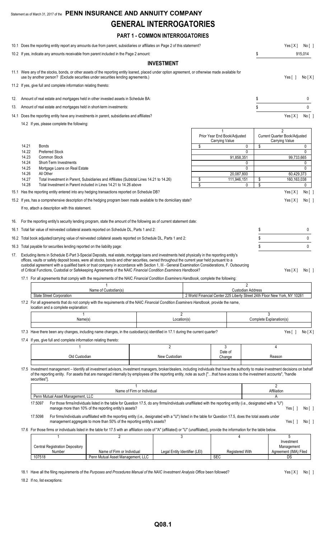# Statement as of March 31, 2017 of the **PENN INSURANCE AND ANNUITY COMPANY GENERAL INTERROGATORIES**

# **PART 1 - COMMON INTERROGATORIES**

|     |                                                    | 10.1 Does the reporting entity report any amounts due from parent, subsidiaries or affiliates on Page 2 of this statement?                                                                                                                                                                                                                                                                                                                                                                                                                                                                                                                                                                                     |                                                                                                                                                                                                                                          |                            |                               |                                                                                                      |                                     | Yes[X] No[]                                                         |                             |  |
|-----|----------------------------------------------------|----------------------------------------------------------------------------------------------------------------------------------------------------------------------------------------------------------------------------------------------------------------------------------------------------------------------------------------------------------------------------------------------------------------------------------------------------------------------------------------------------------------------------------------------------------------------------------------------------------------------------------------------------------------------------------------------------------------|------------------------------------------------------------------------------------------------------------------------------------------------------------------------------------------------------------------------------------------|----------------------------|-------------------------------|------------------------------------------------------------------------------------------------------|-------------------------------------|---------------------------------------------------------------------|-----------------------------|--|
|     |                                                    | 10.2 If yes, indicate any amounts receivable from parent included in the Page 2 amount:                                                                                                                                                                                                                                                                                                                                                                                                                                                                                                                                                                                                                        |                                                                                                                                                                                                                                          |                            |                               |                                                                                                      | \$                                  |                                                                     | 915,014                     |  |
|     |                                                    |                                                                                                                                                                                                                                                                                                                                                                                                                                                                                                                                                                                                                                                                                                                |                                                                                                                                                                                                                                          |                            | <b>INVESTMENT</b>             |                                                                                                      |                                     |                                                                     |                             |  |
|     |                                                    | 11.1 Were any of the stocks, bonds, or other assets of the reporting entity loaned, placed under option agreement, or otherwise made available for<br>use by another person? (Exclude securities under securities lending agreements.)                                                                                                                                                                                                                                                                                                                                                                                                                                                                         |                                                                                                                                                                                                                                          |                            |                               |                                                                                                      |                                     | Yes $[ ]$                                                           | No[X]                       |  |
|     |                                                    | 11.2 If yes, give full and complete information relating thereto:                                                                                                                                                                                                                                                                                                                                                                                                                                                                                                                                                                                                                                              |                                                                                                                                                                                                                                          |                            |                               |                                                                                                      |                                     |                                                                     |                             |  |
| 12. |                                                    | Amount of real estate and mortgages held in other invested assets in Schedule BA:                                                                                                                                                                                                                                                                                                                                                                                                                                                                                                                                                                                                                              |                                                                                                                                                                                                                                          |                            |                               |                                                                                                      | \$                                  |                                                                     | 0                           |  |
| 13. |                                                    | Amount of real estate and mortgages held in short-term investments:                                                                                                                                                                                                                                                                                                                                                                                                                                                                                                                                                                                                                                            |                                                                                                                                                                                                                                          |                            |                               |                                                                                                      | \$                                  |                                                                     | 0                           |  |
|     |                                                    | 14.1 Does the reporting entity have any investments in parent, subsidiaries and affiliates?                                                                                                                                                                                                                                                                                                                                                                                                                                                                                                                                                                                                                    |                                                                                                                                                                                                                                          |                            |                               |                                                                                                      |                                     | Yes[X]                                                              | No [ ]                      |  |
|     |                                                    | 14.2 If yes, please complete the following:                                                                                                                                                                                                                                                                                                                                                                                                                                                                                                                                                                                                                                                                    |                                                                                                                                                                                                                                          |                            |                               |                                                                                                      |                                     |                                                                     |                             |  |
|     | 14.21<br>14.22<br>14.23<br>14.24<br>14.25<br>14.26 | <b>Bonds</b><br><b>Preferred Stock</b><br>Common Stock<br>Short-Term Investments<br>Mortgage Loans on Real Estate<br>All Other                                                                                                                                                                                                                                                                                                                                                                                                                                                                                                                                                                                 |                                                                                                                                                                                                                                          |                            |                               | \$<br>Prior Year End Book/Adjusted<br>Carrying Value<br>0<br>0<br>91,858,351<br>0<br>0<br>20,087,800 | Current Quarter Book/Adjusted<br>\$ | $\overline{2}$<br><b>Carrying Value</b><br>99,733,665<br>60.429.373 | 0<br>0<br>0<br>$\mathbf{0}$ |  |
|     | 14.27                                              | Total Investment in Parent, Subsidiaries and Affiliates (Subtotal Lines 14.21 to 14.26)                                                                                                                                                                                                                                                                                                                                                                                                                                                                                                                                                                                                                        |                                                                                                                                                                                                                                          |                            |                               | \$<br>111,946,151                                                                                    | \$                                  | 160, 163, 038                                                       |                             |  |
|     | 14.28                                              | Total Investment in Parent included in Lines 14.21 to 14.26 above                                                                                                                                                                                                                                                                                                                                                                                                                                                                                                                                                                                                                                              |                                                                                                                                                                                                                                          |                            |                               | \$<br>0                                                                                              | \$                                  |                                                                     | 0                           |  |
|     |                                                    | 15.1 Has the reporting entity entered into any hedging transactions reported on Schedule DB?                                                                                                                                                                                                                                                                                                                                                                                                                                                                                                                                                                                                                   |                                                                                                                                                                                                                                          |                            |                               |                                                                                                      |                                     | Yes[X]                                                              | No [ ]                      |  |
|     |                                                    | 15.2 If yes, has a comprehensive description of the hedging program been made available to the domiciliary state?                                                                                                                                                                                                                                                                                                                                                                                                                                                                                                                                                                                              |                                                                                                                                                                                                                                          |                            |                               |                                                                                                      |                                     | Yes[X]                                                              | No [ ]                      |  |
|     |                                                    | If no, attach a description with this statement.                                                                                                                                                                                                                                                                                                                                                                                                                                                                                                                                                                                                                                                               |                                                                                                                                                                                                                                          |                            |                               |                                                                                                      |                                     |                                                                     |                             |  |
|     |                                                    | 16. For the reporting entity's security lending program, state the amount of the following as of current statement date:                                                                                                                                                                                                                                                                                                                                                                                                                                                                                                                                                                                       |                                                                                                                                                                                                                                          |                            |                               |                                                                                                      |                                     |                                                                     |                             |  |
|     |                                                    | 16.1 Total fair value of reinvested collateral assets reported on Schedule DL, Parts 1 and 2:                                                                                                                                                                                                                                                                                                                                                                                                                                                                                                                                                                                                                  |                                                                                                                                                                                                                                          |                            |                               |                                                                                                      | \$                                  |                                                                     | 0                           |  |
|     |                                                    | 16.2 Total book adjusted/carrying value of reinvested collateral assets reported on Schedule DL, Parts 1 and 2:                                                                                                                                                                                                                                                                                                                                                                                                                                                                                                                                                                                                |                                                                                                                                                                                                                                          |                            |                               |                                                                                                      | \$                                  |                                                                     | 0                           |  |
|     |                                                    | 16.3 Total payable for securities lending reported on the liability page:                                                                                                                                                                                                                                                                                                                                                                                                                                                                                                                                                                                                                                      |                                                                                                                                                                                                                                          |                            |                               |                                                                                                      | \$                                  |                                                                     | 0                           |  |
|     |                                                    | 17. Excluding items in Schedule E-Part 3-Special Deposits, real estate, mortgage loans and investments held physically in the reporting entity's<br>offices, vaults or safety deposit boxes, were all stocks, bonds and other securities, owned throughout the current year held pursuant to a<br>custodial agreement with a qualified bank or trust company in accordance with Section 1, III - General Examination Considerations, F. Outsourcing<br>of Critical Functions, Custodial or Safekeeping Agreements of the NAIC Financial Condition Examiners Handbook?<br>17.1 For all agreements that comply with the requirements of the NAIC Financial Condition Examiners Handbook, complete the following: |                                                                                                                                                                                                                                          |                            |                               |                                                                                                      |                                     | Yes[X]                                                              | No [ ]                      |  |
|     |                                                    |                                                                                                                                                                                                                                                                                                                                                                                                                                                                                                                                                                                                                                                                                                                |                                                                                                                                                                                                                                          |                            |                               | 2                                                                                                    |                                     |                                                                     |                             |  |
|     |                                                    |                                                                                                                                                                                                                                                                                                                                                                                                                                                                                                                                                                                                                                                                                                                | Name of Custodian(s)                                                                                                                                                                                                                     |                            |                               | <b>Custodian Address</b>                                                                             |                                     |                                                                     |                             |  |
|     |                                                    | <b>State Street Corporation</b><br>17.2 For all agreements that do not comply with the requirements of the NAIC Financial Condition Examiners Handbook, provide the name,<br>location and a complete explanation:                                                                                                                                                                                                                                                                                                                                                                                                                                                                                              |                                                                                                                                                                                                                                          |                            |                               | 2 World Financial Center 225 Liberty Street 24th Floor New York, NY 10281                            |                                     |                                                                     |                             |  |
|     |                                                    | Name(s)                                                                                                                                                                                                                                                                                                                                                                                                                                                                                                                                                                                                                                                                                                        |                                                                                                                                                                                                                                          |                            | $\overline{2}$<br>Location(s) |                                                                                                      | 3<br>Complete Explanation(s)        |                                                                     |                             |  |
|     |                                                    | 17.3 Have there been any changes, including name changes, in the custodian(s) identified in 17.1 during the current quarter?                                                                                                                                                                                                                                                                                                                                                                                                                                                                                                                                                                                   |                                                                                                                                                                                                                                          |                            |                               |                                                                                                      |                                     | Yes $\lceil$ 1                                                      | No[X]                       |  |
|     |                                                    | 17.4 If yes, give full and complete information relating thereto:                                                                                                                                                                                                                                                                                                                                                                                                                                                                                                                                                                                                                                              |                                                                                                                                                                                                                                          |                            |                               |                                                                                                      |                                     |                                                                     |                             |  |
|     |                                                    |                                                                                                                                                                                                                                                                                                                                                                                                                                                                                                                                                                                                                                                                                                                |                                                                                                                                                                                                                                          |                            | 2                             | 3                                                                                                    | 4                                   |                                                                     |                             |  |
|     |                                                    | Old Custodian                                                                                                                                                                                                                                                                                                                                                                                                                                                                                                                                                                                                                                                                                                  |                                                                                                                                                                                                                                          |                            | New Custodian                 | Date of<br>Change                                                                                    | Reason                              |                                                                     |                             |  |
|     |                                                    | 17.5 Investment management - Identify all investment advisors, investment managers, broker/dealers, including individuals that have the authority to make investment decisions on behalf<br>of the reporting entity. For assets that are managed internally by employees of the reporting entity, note as such ["that have access to the investment accounts", "handle<br>securities"].                                                                                                                                                                                                                                                                                                                        |                                                                                                                                                                                                                                          |                            |                               |                                                                                                      |                                     |                                                                     |                             |  |
|     |                                                    |                                                                                                                                                                                                                                                                                                                                                                                                                                                                                                                                                                                                                                                                                                                |                                                                                                                                                                                                                                          | Name of Firm or Individual |                               |                                                                                                      | $\overline{2}$<br>Affiliation       |                                                                     |                             |  |
|     |                                                    | Penn Mutual Asset Management, LLC                                                                                                                                                                                                                                                                                                                                                                                                                                                                                                                                                                                                                                                                              |                                                                                                                                                                                                                                          |                            |                               |                                                                                                      | Α                                   |                                                                     |                             |  |
|     |                                                    | 17.5097<br>For those firms/individuals listed in the table for Question 17.5, do any firms/individuals unaffiliated with the reporting entity (i.e., designated with a "U")<br>manage more than 10% of the reporting entity's assets?                                                                                                                                                                                                                                                                                                                                                                                                                                                                          |                                                                                                                                                                                                                                          | Yes $\lceil$ 1             | $No[$ ]                       |                                                                                                      |                                     |                                                                     |                             |  |
|     |                                                    | 17.5098                                                                                                                                                                                                                                                                                                                                                                                                                                                                                                                                                                                                                                                                                                        | For firms/individuals unaffiliated with the reporting entity (i.e., designated with a "U") listed in the table for Question 17.5, does the total assets under<br>management aggregate to more than 50% of the reporting entity's assets? |                            |                               |                                                                                                      |                                     | Yes $\lceil \; \rceil$                                              | $No[$ ]                     |  |
|     |                                                    | 17.6 For those firms or individuals listed in the table for 17.5 with an affiliation code of "A" (affiliated) or "U" (unaffiliated), provide the information for the table below.                                                                                                                                                                                                                                                                                                                                                                                                                                                                                                                              |                                                                                                                                                                                                                                          |                            |                               |                                                                                                      |                                     |                                                                     |                             |  |
|     |                                                    | <b>Central Registration Depository</b>                                                                                                                                                                                                                                                                                                                                                                                                                                                                                                                                                                                                                                                                         | $\overline{2}$                                                                                                                                                                                                                           |                            | 3                             | 4                                                                                                    |                                     | 5<br>Investment<br>Management                                       |                             |  |
|     |                                                    | Number<br>107518                                                                                                                                                                                                                                                                                                                                                                                                                                                                                                                                                                                                                                                                                               | Name of Firm or Individual<br>Penn Mutual Asset Management, LLC                                                                                                                                                                          |                            | Legal Entity Identifier (LEI) | <b>Registered With</b><br><b>SEC</b>                                                                 |                                     | Agreement (IMA) Filed<br>DS                                         |                             |  |
|     |                                                    |                                                                                                                                                                                                                                                                                                                                                                                                                                                                                                                                                                                                                                                                                                                |                                                                                                                                                                                                                                          |                            |                               |                                                                                                      |                                     |                                                                     |                             |  |

18.1 Have all the filing requirements of the Purposes and Procedures Manual of the NAIC Investment Analysis Office been followed? Yes [X] No [ ]

18.2 If no, list exceptions: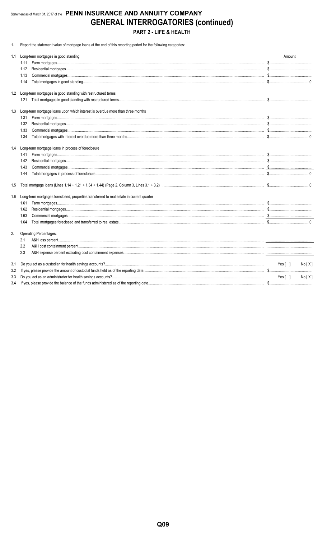# Statement as of March 31, 2017 of the PENN INSURANCE AND ANNUITY COMPANY **GENERAL INTERROGATORIES (continued)** PART 2 - LIFE & HEALTH

1. Report the statement value of mortgage loans at the end of this reporting period for the following categories:

| 1.1 | Long-term mortgages in good standing                                                     | Amount          |
|-----|------------------------------------------------------------------------------------------|-----------------|
|     | 1.11                                                                                     |                 |
|     | 1.12                                                                                     |                 |
|     | 1.13                                                                                     |                 |
|     | 1.14                                                                                     |                 |
| 1.2 | Long-term mortgages in good standing with restructured terms                             |                 |
|     |                                                                                          |                 |
| 1.3 | Long-term mortgage loans upon which interest is overdue more than three months           |                 |
|     | 1.31                                                                                     |                 |
|     | 1.32                                                                                     |                 |
|     | 1.33                                                                                     |                 |
|     | 1.34                                                                                     |                 |
| 1.4 | Long-term mortgage loans in process of foreclosure                                       |                 |
|     | 1.41                                                                                     |                 |
|     | 1.42                                                                                     |                 |
|     | 1.43                                                                                     |                 |
|     | 1.44                                                                                     |                 |
| 1.5 |                                                                                          |                 |
| 1.6 | Long-term mortgages foreclosed, properties transferred to real estate in current quarter |                 |
|     | 1.61                                                                                     |                 |
|     | 1.62                                                                                     |                 |
|     | 1.63                                                                                     |                 |
|     | 1.64                                                                                     |                 |
| 2.  | <b>Operating Percentages:</b>                                                            |                 |
|     | 2.1                                                                                      |                 |
|     | 2.2                                                                                      |                 |
|     | 2.3                                                                                      |                 |
| 3.1 |                                                                                          | Yes[ ]<br>No[X] |
| 3.2 |                                                                                          |                 |
| 3.3 |                                                                                          | Yes[ ]<br>No[X] |
| 3.4 |                                                                                          |                 |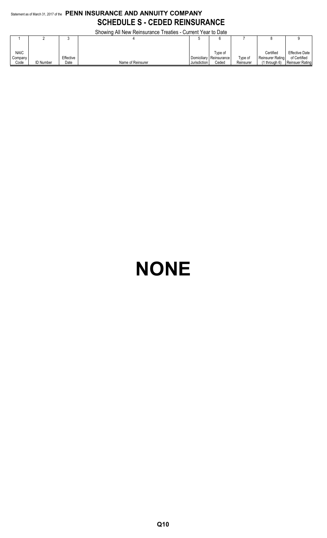# Statement as of March 31, 2017 of the **PENN INSURANCE AND ANNUITY COMPANY SCHEDULE S - CEDED REINSURANCE**

Showing All New Reinsurance Treaties - Current Year to Date

|             | <b>OUDWING AN INGWINGING ILCANGS - CUITENT LCAL TO DATE</b> |           |                   |              |                           |           |                   |                       |  |  |  |
|-------------|-------------------------------------------------------------|-----------|-------------------|--------------|---------------------------|-----------|-------------------|-----------------------|--|--|--|
|             |                                                             |           |                   |              |                           |           |                   |                       |  |  |  |
|             |                                                             |           |                   |              |                           |           |                   |                       |  |  |  |
| <b>NAIC</b> |                                                             |           |                   |              | Tvpe of                   |           | Certified         | <b>Effective Date</b> |  |  |  |
| Company     |                                                             | Effective |                   |              | Domiciliary   Reinsurance | Type of   | Reinsurer Rating  | of Certified          |  |  |  |
| Code        | <b>ID Number</b>                                            | Date      | Name of Reinsurer | Jurisdiction | Ceded                     | Reinsurer | $(1$ through $6)$ | Reinsuer Rating       |  |  |  |

# **NONE**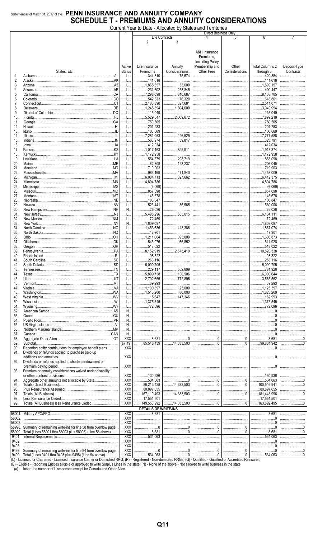Current Year to Date - Allocated by States and Territories

|            |                                                                                                                               |                                       |                                         |                                                                                                                                                                                                                                                                                                                                   | Direct Business Only    |                |                                |              |
|------------|-------------------------------------------------------------------------------------------------------------------------------|---------------------------------------|-----------------------------------------|-----------------------------------------------------------------------------------------------------------------------------------------------------------------------------------------------------------------------------------------------------------------------------------------------------------------------------------|-------------------------|----------------|--------------------------------|--------------|
|            |                                                                                                                               |                                       | Life Contracts                          |                                                                                                                                                                                                                                                                                                                                   | 4                       | 5              | 6                              |              |
|            |                                                                                                                               |                                       | 2                                       | 3                                                                                                                                                                                                                                                                                                                                 |                         |                |                                |              |
|            |                                                                                                                               |                                       |                                         |                                                                                                                                                                                                                                                                                                                                   | A&H Insurance           |                |                                |              |
|            |                                                                                                                               |                                       |                                         |                                                                                                                                                                                                                                                                                                                                   | Premiums.               |                |                                |              |
|            |                                                                                                                               |                                       |                                         |                                                                                                                                                                                                                                                                                                                                   | <b>Including Policy</b> |                |                                |              |
|            |                                                                                                                               | Active                                | Life Insurance                          | Annuity                                                                                                                                                                                                                                                                                                                           | Membership and          | Other          | <b>Total Columns 2</b>         | Deposit-Type |
|            | States, Etc.                                                                                                                  | <b>Status</b>                         | Premiums                                | Considerations                                                                                                                                                                                                                                                                                                                    | Other Fees              | Considerations | through 5                      | Contracts    |
| 1.         | <b>AI</b><br>Alabama                                                                                                          |                                       | 344,810                                 | 75.574                                                                                                                                                                                                                                                                                                                            |                         |                | .420.384<br>.                  |              |
| 2.         |                                                                                                                               | . 1.                                  | 141.618                                 |                                                                                                                                                                                                                                                                                                                                   |                         |                | 141.618                        |              |
| 3.         |                                                                                                                               | . 1.                                  | $\ldots$ 1,865,557                      | 33,600                                                                                                                                                                                                                                                                                                                            |                         |                | 1.899.157                      |              |
| 4.         |                                                                                                                               | .                                     | $\ldots$ 231,602                        | $\ldots$ 258.845                                                                                                                                                                                                                                                                                                                  |                         |                | 490,447                        |              |
| 5.<br>6.   |                                                                                                                               | .<br>.                                | 7,298,098<br>.<br>542,533               | 810,687<br>76,328                                                                                                                                                                                                                                                                                                                 |                         |                | 8,108,785<br>618,861           |              |
| 7.         |                                                                                                                               | L                                     | .2,183,390                              | 327,681                                                                                                                                                                                                                                                                                                                           |                         |                | $\ldots$ 2,511,071             |              |
| 8.         | Delaware                                                                                                                      | L                                     | 1,245,394                               | 1.804.600                                                                                                                                                                                                                                                                                                                         |                         |                | 3,049,994                      |              |
| 9.         |                                                                                                                               | . L                                   | 115,049                                 |                                                                                                                                                                                                                                                                                                                                   |                         |                | 115,049                        |              |
| 10.        |                                                                                                                               | L                                     | .5,529,547<br>.                         | 2.369.672                                                                                                                                                                                                                                                                                                                         |                         |                | 7,899,219                      |              |
| 11.        |                                                                                                                               | . L                                   | 750,505                                 |                                                                                                                                                                                                                                                                                                                                   |                         |                | 750,505                        |              |
| 12.        |                                                                                                                               | . L                                   | .201,283<br>.                           |                                                                                                                                                                                                                                                                                                                                   |                         |                | .201,283                       |              |
| 13.        | Idaho.                                                                                                                        |                                       | 106,669<br>.                            |                                                                                                                                                                                                                                                                                                                                   |                         |                | 106,669                        |              |
| 14.        |                                                                                                                               | .                                     | $\ldots$ 7,281,063<br>563,974           | 496.525<br>59.817                                                                                                                                                                                                                                                                                                                 |                         |                | 7,777,588<br>623,791           |              |
| 15.<br>16. |                                                                                                                               | . L                                   | .412,034                                |                                                                                                                                                                                                                                                                                                                                   |                         |                | .412,034                       |              |
| 17.        |                                                                                                                               |                                       | 1,017,463                               | .895.911                                                                                                                                                                                                                                                                                                                          |                         |                | 1,913,374                      |              |
| 18.        |                                                                                                                               | . L                                   | 1,172,958                               |                                                                                                                                                                                                                                                                                                                                   |                         |                | 1.172.958                      |              |
| 19.        |                                                                                                                               | . L.,                                 | 554,379                                 | 298,719                                                                                                                                                                                                                                                                                                                           |                         |                | 853,098                        |              |
| 20.        |                                                                                                                               |                                       | 82,808                                  | 123,237                                                                                                                                                                                                                                                                                                                           |                         |                | 206,045                        |              |
| 21.        |                                                                                                                               | .                                     | 719,903<br>.                            |                                                                                                                                                                                                                                                                                                                                   |                         |                | 719,903                        |              |
| 22.        |                                                                                                                               | . L                                   | 986,169<br>.                            | 471.840                                                                                                                                                                                                                                                                                                                           |                         |                | 1,458,009                      |              |
| 23.        |                                                                                                                               | . L                                   | $\ldots$ 6,084,713                      | 327,662                                                                                                                                                                                                                                                                                                                           |                         |                | $\ldots$ 6,412,375             |              |
| 24.        |                                                                                                                               | .                                     | 4,894,786                               |                                                                                                                                                                                                                                                                                                                                   |                         |                | 4,894,786                      |              |
| 25.<br>26. |                                                                                                                               | L                                     | .857,098                                |                                                                                                                                                                                                                                                                                                                                   |                         |                | .857,098                       |              |
| 27.        |                                                                                                                               | . L                                   | 145.678                                 |                                                                                                                                                                                                                                                                                                                                   |                         |                | 145,678                        |              |
| 28.        |                                                                                                                               | . L.,                                 | 108,847                                 |                                                                                                                                                                                                                                                                                                                                   |                         |                | 108,847                        |              |
| 29.        |                                                                                                                               | . L                                   | 523,441                                 | 36,565                                                                                                                                                                                                                                                                                                                            |                         |                | 560,006                        |              |
| 30.        |                                                                                                                               | N                                     | 26,026                                  |                                                                                                                                                                                                                                                                                                                                   |                         |                | .26,026<br>.                   | .            |
| 31.        |                                                                                                                               | .                                     | 3,498,296                               | 635.815                                                                                                                                                                                                                                                                                                                           |                         |                | $\ldots$ 6,134,111             |              |
| 32.        |                                                                                                                               | . L                                   | 72,469                                  |                                                                                                                                                                                                                                                                                                                                   |                         |                | 72,469                         |              |
| 33.        |                                                                                                                               | N.                                    | .1,809,097                              |                                                                                                                                                                                                                                                                                                                                   |                         |                | 1,809,097                      |              |
| 34.        |                                                                                                                               | L                                     | 1,453,686                               | 413.388                                                                                                                                                                                                                                                                                                                           |                         |                | 1,867,074                      |              |
| 35.        |                                                                                                                               | L                                     | .47,901                                 |                                                                                                                                                                                                                                                                                                                                   |                         |                | 47,901                         |              |
| 36.        | .0K                                                                                                                           | . L<br>. L                            | 1,211,064                               | 395,809<br>66,852                                                                                                                                                                                                                                                                                                                 |                         |                | 1.606.873<br>.611,928          |              |
| 37.<br>38. |                                                                                                                               | .                                     | .545,076<br>518.022<br>.                |                                                                                                                                                                                                                                                                                                                                   |                         |                | 518.022<br>.                   |              |
| 39.        |                                                                                                                               | .                                     | 8,152,919<br>.                          | $\ldots$ 2,675,419                                                                                                                                                                                                                                                                                                                |                         |                | $\ldots$ 10,828,338            |              |
| 40.        | Rhode Island                                                                                                                  | . L                                   | 98,322                                  |                                                                                                                                                                                                                                                                                                                                   |                         |                | 98,322                         |              |
| 41.        |                                                                                                                               | L                                     | .263,116                                |                                                                                                                                                                                                                                                                                                                                   |                         |                | .263,116                       |              |
| 42.        |                                                                                                                               | . L                                   | 6.090.705<br>.                          |                                                                                                                                                                                                                                                                                                                                   |                         |                | $\ldots$ 6,090,705             |              |
| 43.        | Tennessee                                                                                                                     | . L                                   | .229,117                                | .552,809                                                                                                                                                                                                                                                                                                                          |                         |                | 781,926                        |              |
| 44.        |                                                                                                                               | .                                     | .5,899,738                              | 100,906                                                                                                                                                                                                                                                                                                                           |                         |                | 6,000,644                      |              |
| 45.        |                                                                                                                               |                                       | .2,792,666<br>.                         | 772,896                                                                                                                                                                                                                                                                                                                           |                         |                | 3,565,562                      |              |
| 46.        |                                                                                                                               |                                       |                                         |                                                                                                                                                                                                                                                                                                                                   |                         |                | .69,293<br>.                   |              |
| 47.        |                                                                                                                               |                                       | 1,100,397                               | 25.000<br>80,000                                                                                                                                                                                                                                                                                                                  |                         |                | 1,125,397                      |              |
| 48.<br>49. |                                                                                                                               | L                                     | 1,543,260<br>15,647                     | 147,346                                                                                                                                                                                                                                                                                                                           |                         |                | 1,623,260<br>162,993           |              |
| 50.        |                                                                                                                               |                                       | 1,375,545                               |                                                                                                                                                                                                                                                                                                                                   |                         |                | 1,375,545                      |              |
| 51.        |                                                                                                                               | L                                     | 772,096                                 |                                                                                                                                                                                                                                                                                                                                   |                         |                | 772,096                        |              |
| 52.        |                                                                                                                               |                                       |                                         |                                                                                                                                                                                                                                                                                                                                   |                         |                |                                |              |
| 53.        | Guam                                                                                                                          | N                                     |                                         |                                                                                                                                                                                                                                                                                                                                   |                         |                |                                |              |
| 54.        |                                                                                                                               |                                       |                                         |                                                                                                                                                                                                                                                                                                                                   |                         |                |                                |              |
| 55.        |                                                                                                                               | N                                     |                                         |                                                                                                                                                                                                                                                                                                                                   |                         |                |                                |              |
| 56.        |                                                                                                                               | N                                     |                                         |                                                                                                                                                                                                                                                                                                                                   |                         |                |                                |              |
| 57.        |                                                                                                                               | N<br>$$ XXX                           | $\ldots$ 8,681                          | $\begin{bmatrix} 0 & 0 & 0 \\ 0 & 0 & 0 \\ 0 & 0 & 0 \\ 0 & 0 & 0 \\ 0 & 0 & 0 \\ 0 & 0 & 0 \\ 0 & 0 & 0 \\ 0 & 0 & 0 \\ 0 & 0 & 0 \\ 0 & 0 & 0 \\ 0 & 0 & 0 \\ 0 & 0 & 0 \\ 0 & 0 & 0 \\ 0 & 0 & 0 & 0 \\ 0 & 0 & 0 & 0 \\ 0 & 0 & 0 & 0 & 0 \\ 0 & 0 & 0 & 0 & 0 \\ 0 & 0 & 0 & 0 & 0 \\ 0 & 0 & 0 & 0 & 0 & 0 \\ 0 & 0 & 0 & $ |                         |                | $\ldots$ 8,681                 |              |
| 58.<br>59. |                                                                                                                               |                                       | 35,548,439                              | 14,333,503                                                                                                                                                                                                                                                                                                                        |                         |                | .99.881.942<br>.               |              |
| 90.        | Reporting entity contributions for employee benefit plans                                                                     | $$ $XXX$                              |                                         |                                                                                                                                                                                                                                                                                                                                   |                         |                |                                |              |
| 91.        | Dividends or refunds applied to purchase paid-up                                                                              |                                       |                                         |                                                                                                                                                                                                                                                                                                                                   |                         |                |                                |              |
|            |                                                                                                                               | $$ $XXX$                              |                                         |                                                                                                                                                                                                                                                                                                                                   |                         |                |                                |              |
| 92.        | Dividends or refunds applied to shorten endowment or                                                                          |                                       |                                         |                                                                                                                                                                                                                                                                                                                                   |                         |                |                                |              |
|            |                                                                                                                               | $\ldots$ XXX                          |                                         |                                                                                                                                                                                                                                                                                                                                   |                         |                |                                |              |
| 93.        | Premium or annuity considerations waived under disability                                                                     |                                       |                                         |                                                                                                                                                                                                                                                                                                                                   |                         |                |                                |              |
|            |                                                                                                                               | $$ XXX                                | 130,936                                 |                                                                                                                                                                                                                                                                                                                                   |                         |                | 130,936                        |              |
| 94.        |                                                                                                                               | $$ $XXX$                              | 534,063                                 | 0                                                                                                                                                                                                                                                                                                                                 |                         |                | .534,063                       |              |
| 95.        |                                                                                                                               | $$ $XXX$                              |                                         | $\frac{1}{2}$ 14,333,503                                                                                                                                                                                                                                                                                                          |                         |                | 100,546,941                    |              |
| 96.<br>97. |                                                                                                                               | $$ XXX                                | 30,897,055<br>$\frac{1}{2}$ 167,110,493 | $\frac{1}{1}$ 14,333,503                                                                                                                                                                                                                                                                                                          | <br>0                   |                | 80,897,055<br>.<br>181,443,996 |              |
| 98.        |                                                                                                                               | $$ XXX                                | 17,551,501                              |                                                                                                                                                                                                                                                                                                                                   |                         |                | 17,551,501<br>.                |              |
| 99.        |                                                                                                                               | $$ $XXX$                              | 149,558,992                             | $\frac{1}{14,333,503}$                                                                                                                                                                                                                                                                                                            |                         |                | 163.892.495                    |              |
|            |                                                                                                                               |                                       | <b>DETAILS OF WRITE-INS</b>             |                                                                                                                                                                                                                                                                                                                                   |                         |                |                                |              |
|            |                                                                                                                               | $$ XXX                                | $\ldots$ 8.681                          |                                                                                                                                                                                                                                                                                                                                   |                         |                | 8.681                          |              |
| 58002.     |                                                                                                                               | $$ XXX                                |                                         |                                                                                                                                                                                                                                                                                                                                   |                         |                |                                |              |
| 58003.     |                                                                                                                               | XXX                                   |                                         |                                                                                                                                                                                                                                                                                                                                   |                         |                |                                |              |
|            | 58998. Summary of remaining write-ins for line 58 from overflow page                                                          | $$ XXX                                |                                         | 0                                                                                                                                                                                                                                                                                                                                 |                         |                |                                |              |
|            | 58999. Total (Lines 58001 thru 58003 plus 58998) (Line 58 above)                                                              | $$ XXX                                | $\ldots$ 8,681                          | 0                                                                                                                                                                                                                                                                                                                                 |                         |                | 8.681                          |              |
| 9401.      |                                                                                                                               | $\ldots$ XXX                          | $\overline{\ldots}$ 534,063             |                                                                                                                                                                                                                                                                                                                                   |                         |                | 534.063                        |              |
| 9402.      |                                                                                                                               | $\ldots$ XXX                          |                                         |                                                                                                                                                                                                                                                                                                                                   |                         |                |                                |              |
| 9403.      |                                                                                                                               | $$ XXX.                               |                                         |                                                                                                                                                                                                                                                                                                                                   |                         |                |                                |              |
| 9498.      | Summary of remaining write-ins for line 94 from overflow page<br>9499. Total (Lines 9401 thru 9403 plus 9498) (Line 94 above) | $\ldots$ XXX<br>$\ldots$ XXX $\ldots$ | 534,063                                 |                                                                                                                                                                                                                                                                                                                                   |                         |                | 534,063                        |              |
|            |                                                                                                                               |                                       |                                         |                                                                                                                                                                                                                                                                                                                                   |                         |                |                                |              |

(L) - Licensed or Chartered - Licensed Insurance Carrier or Domicilied RRG; (R) - Registered - Non-domiciled RRGs; (Q) - Qualified - Qualified or Accredited Reinsurer;<br>(E) - Eligible - Reporting Entities eligible or approv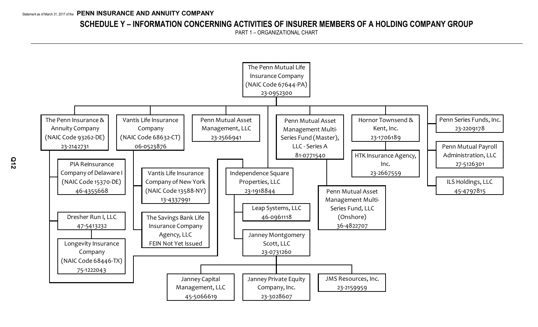# **SCHEDULE Y – INFORMATION CONCERNING ACTIVITIES OF INSURER MEMBERS OF A HOLDING COMPANY GROUP**

PART 1 – ORGANIZATIONAL CHART

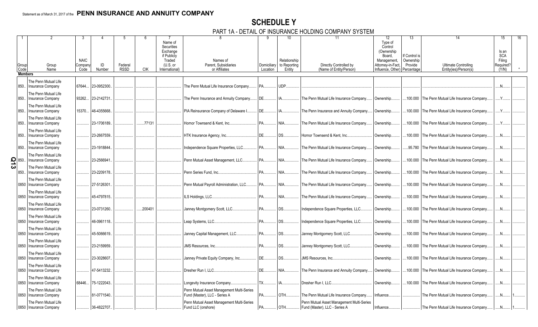# **SCHEDULE Y**

PART 1A - DETAIL OF INSURANCE HOLDING COMPANY SYSTEM

|                     | Group<br>Code  | Group<br>Name                                                            | <b>NAIC</b><br>Company<br>Code | ID<br>Number | Federal<br><b>RSSD</b> | <b>CIK</b> | Name of<br>Securities<br>Exchange<br>if Publicly<br>Traded<br>$(U.S.$ or<br>International) | Names of<br>Parent. Subsidiaries<br>or Affiliates                          | Domiciliary<br>Location | Relationship<br>to Reporting<br>Entity | 11<br>Directly Controlled by<br>(Name of Entity/Person)                    | 12<br>Type of<br>Control<br>(Ownership)<br>Board,<br>Management.<br>Attorney-in-Fact.<br>Influence. Other) | 13<br>If Control i<br>Ownership<br>Provide<br>Percentage | Ultimate Controlling<br>Entity(ies)/Person(s) | 15<br>Is an<br><b>SCA</b><br>Filing<br>Required?<br>(Y/N) |  |
|---------------------|----------------|--------------------------------------------------------------------------|--------------------------------|--------------|------------------------|------------|--------------------------------------------------------------------------------------------|----------------------------------------------------------------------------|-------------------------|----------------------------------------|----------------------------------------------------------------------------|------------------------------------------------------------------------------------------------------------|----------------------------------------------------------|-----------------------------------------------|-----------------------------------------------------------|--|
|                     | <b>Members</b> |                                                                          |                                |              |                        |            |                                                                                            |                                                                            |                         |                                        |                                                                            |                                                                                                            |                                                          |                                               |                                                           |  |
|                     | 850.           | The Penn Mutual Life<br><b>Insurance Company</b><br>The Penn Mutual Life | 67644.                         | 23-0952300.  |                        |            |                                                                                            | The Penn Mutual Life Insurance Company.                                    | PA                      | UDP.                                   |                                                                            |                                                                                                            |                                                          |                                               | N                                                         |  |
|                     | 850.           | <b>Insurance Company</b>                                                 | 93262.                         | 23-2142731   |                        |            |                                                                                            | The Penn Insurance and Annuity Company                                     | DE.                     |                                        | The Penn Mutual Life Insurance Company.                                    | Ownership.                                                                                                 | 100.000                                                  | The Penn Mutual Life Insurance Company        | Y                                                         |  |
|                     | 850.           | The Penn Mutual Life<br><b>Insurance Company</b><br>The Penn Mutual Life | 15370                          | 46-4355668.  |                        |            |                                                                                            | PIA Reinsurance Company of Delaware I.                                     | DE.                     |                                        | The Penn Insurance and Annuity Company                                     | Ownership.                                                                                                 | 100.000                                                  | The Penn Mutual Life Insurance Company.       | Y                                                         |  |
|                     | 850.           | <b>Insurance Company</b>                                                 |                                | 23-1706189.  |                        | .77131     |                                                                                            | Hornor Townsend & Kent. Inc.                                               | PA                      | NIA                                    |                                                                            | Ownership.                                                                                                 | .100.000                                                 | The Penn Mutual Life Insurance Company        | $\mathsf{Y}$                                              |  |
|                     | 850.           | The Penn Mutual Life<br><b>Insurance Company</b>                         |                                | 23-2667559.  |                        |            |                                                                                            | HTK Insurance Agency, Inc                                                  | DE.                     | DS.                                    | The Penn Mutual Life Insurance Company.<br>Hornor Townsend & Kent. Inc.    | Ownership.                                                                                                 | .100.000                                                 | The Penn Mutual Life Insurance Company        | .N                                                        |  |
|                     | 850.           | The Penn Mutual Life<br><b>Insurance Company</b>                         |                                | 23-1918844.  |                        |            |                                                                                            | Independence Square Properties, LLC.                                       | PA                      | NIA                                    | The Penn Mutual Life Insurance Company.                                    | Ownership.                                                                                                 | .95.780                                                  | The Penn Mutual Life Insurance Company.       | N                                                         |  |
| $\frac{5}{10}$ 850. |                | The Penn Mutual Life<br><b>Insurance Company</b>                         |                                | 23-2566941   |                        |            |                                                                                            | Penn Mutual Asset Management, LLC.                                         | PA.                     | NIA                                    | The Penn Mutual Life Insurance Company.                                    | Ownership.                                                                                                 | .100.000                                                 | The Penn Mutual Life Insurance Company        | .N                                                        |  |
|                     | 850.           | The Penn Mutual Life<br><b>Insurance Company</b>                         |                                | 23-2209178.  |                        |            |                                                                                            | Penn Series Fund, Inc.                                                     | PA                      | NIA                                    | The Penn Mutual Life Insurance Company.                                    | Ownership.                                                                                                 | .100.000                                                 | The Penn Mutual Life Insurance Company        | .N                                                        |  |
|                     | 0850           | The Penn Mutual Life<br>Insurance Company                                |                                | 27-5126301.  |                        |            |                                                                                            | Penn Mutual Payroll Administration, LLC.                                   | PA.                     | NIA                                    | The Penn Mutual Life Insurance Company                                     | Ownership.                                                                                                 | 100.000                                                  | The Penn Mutual Life Insurance Company.       | .N                                                        |  |
|                     | 0850           | The Penn Mutual Life<br><b>Insurance Company</b>                         |                                | 45-4797815.  |                        |            |                                                                                            | ILS Holdings, LLC                                                          | PA.                     | NIA                                    | The Penn Mutual Life Insurance Company.                                    | Ownership.                                                                                                 | .100.000                                                 | The Penn Mutual Life Insurance Company        | $N_{\cdot}$                                               |  |
|                     | 0850           | The Penn Mutual Life<br>Insurance Company                                |                                | 23-0731260.  |                        | .200401    |                                                                                            | Janney Montgomery Scott, LLC.                                              | PA.                     | DS.                                    | Independence Square Properties, LLC.                                       | Ownership.                                                                                                 | .100.000                                                 | The Penn Mutual Life Insurance Company        | N                                                         |  |
|                     | 0850           | The Penn Mutual Life<br><b>Insurance Company</b>                         |                                | 46-0961118.  |                        |            |                                                                                            | Leap Systems, LLC                                                          | PA.                     | DS                                     | ndependence Square Properties, LLC.                                        | Ownership.                                                                                                 | 100.000                                                  | The Penn Mutual Life Insurance Company.       | .N                                                        |  |
|                     | 0850           | The Penn Mutual Life<br>Insurance Company                                |                                | 45-5066619.  |                        |            |                                                                                            | Janney Capital Management, LLC.                                            | PA.                     | DS.                                    | Janney Montgomery Scott, LLC.                                              | Ownership.                                                                                                 | .100.000                                                 | The Penn Mutual Life Insurance Company        | $N_{\cdot}$                                               |  |
|                     | 0850           | The Penn Mutual Life<br>Insurance Company                                |                                | 23-2159959.  |                        |            |                                                                                            | JMS Resources, Inc                                                         | PA.                     | DS                                     | Janney Montgomery Scott, LLC.                                              | Ownership.                                                                                                 | .100.000                                                 | The Penn Mutual Life Insurance Company.       | $N_{\cdot}$                                               |  |
|                     | 0850           | The Penn Mutual Life<br>Insurance Company                                |                                | 23-3028607.  |                        |            |                                                                                            | Janney Private Equity Company, Inc                                         | DE.                     | DS                                     | <b>JMS Resources, Inc.</b>                                                 | Ownership.                                                                                                 | 100.000                                                  | The Penn Mutual Life Insurance Company.       | N                                                         |  |
|                     | 0850           | The Penn Mutual Life<br><b>Insurance Company</b>                         |                                | 47-5413232.  |                        |            |                                                                                            | Dresher Run I. LLC.                                                        | DE.                     | NIA                                    | The Penn Insurance and Annuity Company                                     | Ownership.                                                                                                 | .100.000                                                 | The Penn Mutual Life Insurance Company        | .N                                                        |  |
|                     | 0850           | The Penn Mutual Life<br>Insurance Company                                | 68446.                         | 75-1222043.  |                        |            |                                                                                            | Longevity Insurance Company                                                | $TX_{\cdots}$           |                                        | Dresher Run I. LLC.                                                        | Ownership.                                                                                                 | .100.000                                                 | The Penn Mutual Life Insurance Company        | .N                                                        |  |
|                     | 0850           | The Penn Mutual Life<br>Insurance Company                                |                                | 81-0771540.  |                        |            |                                                                                            | Penn Mutual Asset Management Multi-Series<br>Fund (Master), LLC - Series A | PA.                     | OTH                                    | The Penn Mutual Life Insurance Company                                     | Influence.                                                                                                 |                                                          | The Penn Mutual Life Insurance Company.       | .N.                                                       |  |
|                     |                | The Penn Mutual Life<br>0850 Insurance Company                           |                                | 36-4822707.  |                        |            |                                                                                            | Penn Mutual Asset Management Multi-Series<br>Fund LLC (onshore)            | PA.                     | OTH                                    | Penn Mutual Asset Management Multi-Series<br>Fund (Master), LLC - Series A | Influence.                                                                                                 |                                                          | The Penn Mutual Life Insurance Company        |                                                           |  |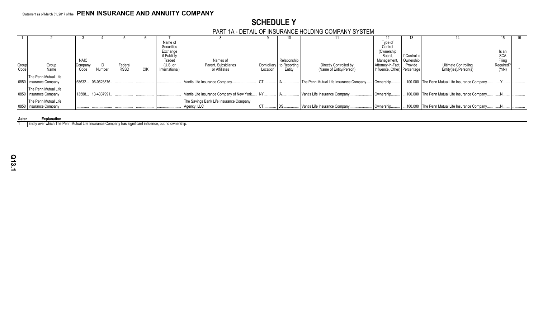# **SCHEDULE Y**

# PART 1A - DETAIL OF INSURANCE HOLDING COMPANY SYSTEM

|       |                        |             |                  |             |                |                                           |             |              |                                        |                                | ا ت           |                                                |            | 16. |
|-------|------------------------|-------------|------------------|-------------|----------------|-------------------------------------------|-------------|--------------|----------------------------------------|--------------------------------|---------------|------------------------------------------------|------------|-----|
|       |                        |             |                  |             | Name of        |                                           |             |              |                                        | Type of                        |               |                                                |            |     |
|       |                        |             |                  |             | Securities     |                                           |             |              |                                        | Control                        |               |                                                |            |     |
|       |                        |             |                  |             | Exchange       |                                           |             |              |                                        | (Ownership                     |               |                                                | Is an      |     |
|       |                        |             |                  |             | if Publicly    |                                           |             |              |                                        | Board,                         | If Control is |                                                | <b>SCA</b> |     |
|       |                        | <b>NAIC</b> |                  |             | Traded         | Names of                                  |             | Relationship |                                        | Management,                    | Ownership     |                                                | Filing     |     |
| Group | Group                  | Company     |                  | Federal     | (U.S. or       | Parent, Subsidiaries                      | Domiciliary | to Reporting | Directly Controlled by                 | Attorney-in-Fact, Provide      |               | <b>Ultimate Controlling</b>                    | Required?  |     |
| Code  | Name                   | Code        | Number           | <b>RSSD</b> | International) | or Affiliates                             | Location    | Entity       | (Name of Entity/Person)                | Influence, Other)   Percentage |               | Entity(ies)/Person(s)                          | (Y/N)      |     |
|       | The Penn Mutual Life   |             |                  |             |                |                                           |             |              |                                        |                                |               |                                                |            |     |
|       | 0850 Insurance Company |             | 68632 06-0523876 |             |                | Vantis Life Insurance Company.            |             |              | The Penn Mutual Life Insurance Company | Ownership                      |               | 100.000 The Penn Mutual Life Insurance Company |            |     |
|       |                        |             |                  |             |                |                                           |             |              |                                        |                                |               |                                                |            |     |
|       | The Penn Mutual Life   |             |                  |             |                |                                           |             |              |                                        |                                |               |                                                |            |     |
|       | 0850 Insurance Company | 13588       | . 13-4337991.    |             |                | Vantis Life Insurance Company of New York |             |              | Vantis Life Insurance Company.         | Ownership                      |               | 100.000 The Penn Mutual Life Insurance Company |            |     |
|       | The Penn Mutual Life   |             |                  |             |                | The Savings Bank Life Insurance Company   |             |              |                                        |                                |               |                                                |            |     |
|       | 0850 Insurance Company |             |                  |             |                | Agency, LLC                               |             |              | Vantis Life Insurance Company.         | Ownership.                     |               | 100.000 The Penn Mutual Life Insurance Company |            |     |
|       |                        |             |                  |             |                |                                           |             |              |                                        |                                |               |                                                |            |     |

# **Aster**<br>11 **Lentity over which The I**

1 Entity over which The Penn Mutual Life Insurance Company has significant influence, but no ownership.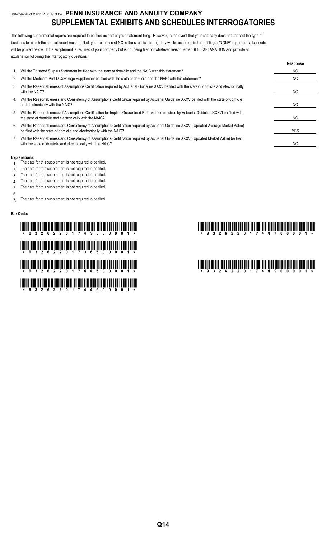# Statement as of March 31, 2017 of the **PENN INSURANCE AND ANNUITY COMPANY SUPPLEMENTAL EXHIBITS AND SCHEDULES INTERROGATORIES**

The following supplemental reports are required to be filed as part of your statement filing. However, in the event that your company does not transact the type of business for which the special report must be filed, your response of NO to the specific interrogatory will be accepted in lieu of filing a "NONE" report and a bar code will be printed below. If the supplement is required of your company but is not being filed for whatever reason, enter SEE EXPLANATION and provide an explanation following the interrogatory questions.

|    |                                                                                                                                                                                                                    | Response |
|----|--------------------------------------------------------------------------------------------------------------------------------------------------------------------------------------------------------------------|----------|
|    | Will the Trusteed Surplus Statement be filed with the state of domicile and the NAIC with this statement?                                                                                                          | NO.      |
| 2. | Will the Medicare Part D Coverage Supplement be filed with the state of domicile and the NAIC with this statement?                                                                                                 | NO.      |
| 3. | Will the Reasonableness of Assumptions Certification required by Actuarial Guideline XXXV be filed with the state of domicile and electronically<br>with the NAIC?                                                 | NO.      |
| 4. | Will the Reasonableness and Consistency of Assumptions Certification required by Actuarial Guideline XXXV be filed with the state of domicile<br>and electronically with the NAIC?                                 | NO.      |
| 5. | Will the Reasonableness of Assumptions Certification for Implied Guaranteed Rate Method required by Actuarial Guideline XXXVI be filed with<br>the state of domicile and electronically with the NAIC?             | NO.      |
| 6. | Will the Reasonableness and Consistency of Assumptions Certification required by Actuarial Guideline XXXVI (Updated Average Market Value)<br>be filed with the state of domicile and electronically with the NAIC? | YES      |
|    | Will the Reasonableness and Consistency of Assumptions Certification required by Actuarial Guideline XXXVI (Updated Market Value) be filed<br>with the state of domicile and electronically with the NAIC?         | NO       |

### **Explanations:**

- 1. The data for this supplement is not required to be filed.
- 2. The data for this supplement is not required to be filed.
- 3. The data for this supplement is not required to be filed.
- 4. The data for this supplement is not required to be filed.
- 5. The data for this supplement is not required to be filed.
- 6.

7. The data for this supplement is not required to be filed.

### **Bar Code:**

# \*93262201749000001\* \*93262201744700001\* \* The first day that the first day first day the first day first day first day in the \*93262201744500001\* \*93262201744900001\* \* Tim fan ân din fan din din fan din din din din din fan dan din din din din di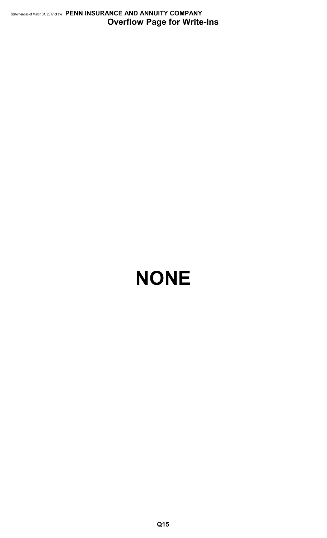Statement as of March 31, 2017 of the **PENN INSURANCE AND ANNUITY COMPANY Overflow Page for Write-Ins**

# **NONE**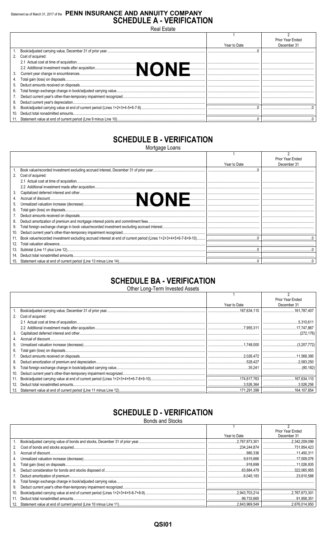# Statement as of March 31, 2017 of the PENN INSURANCE AND ANNUITY COMPANY **SCHEDULE A - VERIFICATION**

**Real Estate** 

|     |                      |              | Prior Year Ended |
|-----|----------------------|--------------|------------------|
|     |                      | Year to Date | December 31      |
|     |                      |              |                  |
|     | 2. Cost of acquired: |              |                  |
|     |                      |              |                  |
|     |                      |              |                  |
|     |                      |              |                  |
|     |                      |              |                  |
|     |                      |              |                  |
| 6.  |                      |              |                  |
|     |                      |              |                  |
| 8.  |                      |              |                  |
| 9.  |                      |              |                  |
| 10. |                      |              |                  |
|     |                      |              |                  |

# **SCHEDULE B - VERIFICATION**

Mortgage Loans

|    |                      |              | Prior Year Ended |
|----|----------------------|--------------|------------------|
|    |                      | Year to Date | December 31      |
|    |                      |              |                  |
|    | 2. Cost of acquired: |              |                  |
|    |                      |              |                  |
|    |                      |              |                  |
|    |                      |              |                  |
|    |                      |              |                  |
|    |                      |              |                  |
| 6. |                      |              |                  |
|    |                      |              |                  |
| 8. |                      |              |                  |
| 9. |                      |              |                  |
|    |                      |              |                  |
|    |                      |              |                  |
|    |                      |              |                  |
|    |                      |              |                  |
|    |                      |              |                  |
|    |                      |              |                  |

# **SCHEDULE BA - VERIFICATION**

Other Long-Term Invested Assets

|     |                      |              | Prior Year Ended |
|-----|----------------------|--------------|------------------|
|     |                      | Year to Date | December 31      |
|     |                      |              |                  |
|     | 2. Cost of acquired: |              |                  |
|     |                      |              | 5.310.611        |
|     |                      |              |                  |
| 3.  |                      |              |                  |
| 4.  |                      |              |                  |
| 5.  |                      |              |                  |
| 6.  |                      |              |                  |
|     |                      |              |                  |
| 8.  |                      |              |                  |
| 9.  |                      |              |                  |
| 10. |                      |              |                  |
| 11. |                      |              |                  |
| 12. |                      |              |                  |
|     |                      |              |                  |

# **SCHEDULE D - VERIFICATION**

**Bonds and Stocks** 

|    |              | Prior Year Ended |
|----|--------------|------------------|
|    | Year to Date | December 31      |
|    |              |                  |
|    |              |                  |
|    |              |                  |
| 4. |              |                  |
|    |              |                  |
|    |              |                  |
|    |              |                  |
|    |              |                  |
| 9. |              |                  |
|    |              |                  |
|    |              |                  |
|    |              |                  |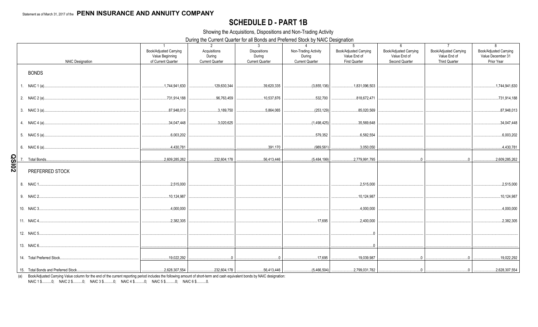# **SCHEDULE D - PART 1B**

Showing the Acquisitions, Dispositions and Non-Trading Activity

During the Current Quarter for all Bonds and Preferred Stock by NAIC Designation

|              | <b>NAIC Designation</b> | $\overline{1}$<br>Book/Adjusted Carrying<br>Value Beginning<br>of Current Quarter | 2<br>Acquisitions<br>During<br><b>Current Quarter</b> | 3 <sup>3</sup><br><b>Dispositions</b><br>During<br><b>Current Quarter</b> | $\overline{4}$<br>Non-Trading Activity<br>During<br><b>Current Quarter</b> | 5<br>Book/Adjusted Carrying<br>Value End of<br><b>First Quarter</b> | 6<br>Book/Adjusted Carrying<br>Value End of<br>Second Quarter | $7\overline{ }$<br>Book/Adjusted Carrying<br>Value End of<br><b>Third Quarter</b> | 8<br>Book/Adjusted Carrying<br>Value December 31<br>Prior Year |
|--------------|-------------------------|-----------------------------------------------------------------------------------|-------------------------------------------------------|---------------------------------------------------------------------------|----------------------------------------------------------------------------|---------------------------------------------------------------------|---------------------------------------------------------------|-----------------------------------------------------------------------------------|----------------------------------------------------------------|
|              | <b>BONDS</b>            |                                                                                   |                                                       |                                                                           |                                                                            |                                                                     |                                                               |                                                                                   |                                                                |
|              | 1. NAIC 1 (a)           | 1,744,941,630                                                                     | 129,630,344                                           | 39,620,335                                                                | (3,855,136)                                                                | 1,831,096,503                                                       |                                                               |                                                                                   | 1,744,941,630                                                  |
|              |                         | 731,914,188                                                                       | 96.763.459                                            | 10,537,876                                                                | 532,700                                                                    | 818,672,471                                                         |                                                               |                                                                                   | 731,914,188                                                    |
|              |                         | 87,948,013                                                                        | $\dots$ 3.189.750                                     | 5.864.065                                                                 | (253.129)                                                                  | $\dots$ 85,020,569                                                  |                                                               |                                                                                   | 87,948,013                                                     |
|              |                         | 34,047,448                                                                        | 3.020.625                                             |                                                                           | (1,498,425)                                                                | 35,569,648                                                          |                                                               |                                                                                   | 34,047,448                                                     |
|              |                         |                                                                                   |                                                       |                                                                           | $$ 579,352                                                                 | 6,582,554                                                           |                                                               |                                                                                   | 6,003,202                                                      |
|              |                         | 4,430,781                                                                         |                                                       |                                                                           |                                                                            | 3,050,050                                                           |                                                               |                                                                                   | 4,430,781                                                      |
| <b>QSI02</b> |                         | $\ldots$ 2,609,285,262                                                            |                                                       |                                                                           |                                                                            |                                                                     |                                                               | $\overline{0}$ 0                                                                  |                                                                |
|              | PREFERRED STOCK         |                                                                                   |                                                       |                                                                           |                                                                            |                                                                     |                                                               |                                                                                   |                                                                |
|              |                         | 2,515,000                                                                         |                                                       |                                                                           |                                                                            | 2,515,000                                                           |                                                               |                                                                                   | 2,515,000                                                      |
|              |                         | 10,124,987                                                                        |                                                       |                                                                           |                                                                            | , 10, 124, 987<br>.                                                 |                                                               |                                                                                   | 10,124,987                                                     |
|              |                         |                                                                                   |                                                       |                                                                           |                                                                            | 4,000,000                                                           |                                                               |                                                                                   | 4,000,000                                                      |
|              |                         | 2,382,305                                                                         |                                                       |                                                                           | 17,695                                                                     | 2.400.000                                                           |                                                               |                                                                                   | 2,382,305                                                      |
|              |                         |                                                                                   |                                                       |                                                                           |                                                                            |                                                                     |                                                               |                                                                                   |                                                                |
|              |                         |                                                                                   |                                                       |                                                                           |                                                                            |                                                                     |                                                               |                                                                                   |                                                                |
|              |                         |                                                                                   |                                                       |                                                                           |                                                                            |                                                                     |                                                               |                                                                                   | 19.022.292                                                     |
|              |                         |                                                                                   |                                                       |                                                                           |                                                                            |                                                                     |                                                               |                                                                                   |                                                                |

(a) Book/Adjusted Carrying Value column for the end of the current reporting period includes the following amount of short-term and cash equivalent bonds by NAIC designation: NAIC 1 \$..........0; NAIC 2 \$..........0; NAIC 3 \$..........0; NAIC 4 \$..........0; NAIC 5 \$..........0; NAIC 6 \$..........0.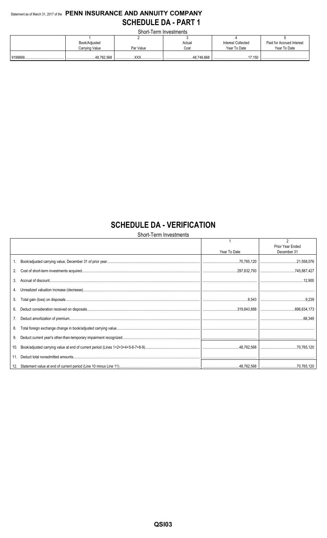# Statement as of March 31, 2017 of the PENN INSURANCE AND ANNUITY COMPANY **SCHEDULE DA - PART 1**

Short-Term Investments

| <u>UNUR TURITI INTUURITU T</u> |            |                |                    |                           |  |  |  |  |  |  |  |  |  |  |
|--------------------------------|------------|----------------|--------------------|---------------------------|--|--|--|--|--|--|--|--|--|--|
|                                |            |                |                    |                           |  |  |  |  |  |  |  |  |  |  |
| Book/Adjusted                  |            | Actual         | Interest Collected | Paid for Accrued Interest |  |  |  |  |  |  |  |  |  |  |
| Carrying Value                 | Par Value  | Cost           | Year To Date       | Year To Date              |  |  |  |  |  |  |  |  |  |  |
|                                |            |                |                    |                           |  |  |  |  |  |  |  |  |  |  |
| 48,762,568                     | $\sqrt{2}$ | 48.749.668<br> | 17 150             |                           |  |  |  |  |  |  |  |  |  |  |

# **SCHEDULE DA - VERIFICATION**

Short-Term Investments

|     | Year To Date | Prior Year Ended<br>December 31 |
|-----|--------------|---------------------------------|
|     |              |                                 |
|     |              |                                 |
| 3.  |              |                                 |
|     |              |                                 |
| 5.  |              |                                 |
| 6.  |              |                                 |
| 7.  |              |                                 |
| 8.  |              |                                 |
| 9.  |              |                                 |
| 10. |              |                                 |
|     |              |                                 |
|     |              |                                 |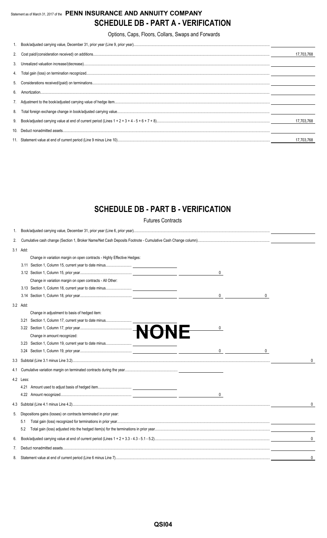# Statement as of March 31, 2017 of the **PENN INSURANCE AND ANNUITY COMPANY SCHEDULE DB - PART A - VERIFICATION**

Options, Caps, Floors, Collars, Swaps and Forwards

| 6. | 17.703.768 |
|----|------------|
|    |            |
|    |            |
|    |            |
|    |            |
|    |            |
|    |            |
|    |            |
|    | 17.703.768 |
|    |            |
|    | 17.703.768 |

# **SCHEDULE DB - PART B - VERIFICATION**

Futures Contracts

| 1.  |           |                                                                         |   |
|-----|-----------|-------------------------------------------------------------------------|---|
| 2.  |           |                                                                         |   |
|     | 3.1 Add:  |                                                                         |   |
|     |           | Change in variation margin on open contracts - Highly Effective Hedges: |   |
|     |           |                                                                         |   |
|     |           | $\mathbf 0$                                                             |   |
|     |           | Change in variation margin on open contracts - All Other:               |   |
|     |           |                                                                         |   |
|     |           | 0                                                                       |   |
|     | 3.2 Add:  |                                                                         |   |
|     |           | Change in adjustment to basis of hedged item:                           |   |
|     |           | 3.21 Section 1, Column 17, current year to date minus                   |   |
|     |           | 0                                                                       |   |
|     |           | Change in amount recognized:                                            |   |
|     |           |                                                                         |   |
|     |           | $\mathbf{0}$<br>0                                                       |   |
|     |           |                                                                         | 0 |
| 4.1 |           |                                                                         |   |
|     | 4.2 Less: |                                                                         |   |
|     | 4.21      |                                                                         |   |
|     |           | 0                                                                       |   |
|     |           |                                                                         | 0 |
| 5.  |           | Dispositions gains (losses) on contracts terminated in prior year:      |   |
|     | 5.1       |                                                                         |   |
|     | 5.2       |                                                                         |   |
| 6.  |           |                                                                         | 0 |
| 7.  |           |                                                                         |   |
| 8.  |           |                                                                         | 0 |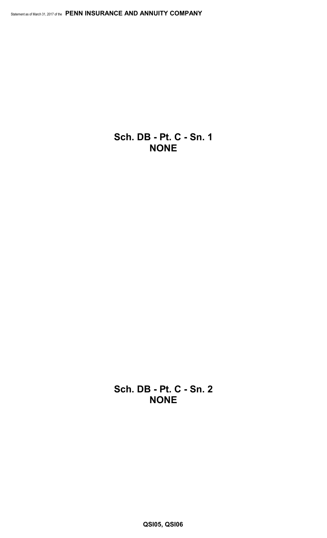**Sch. DB - Pt. C - Sn. 1 NONE**

**Sch. DB - Pt. C - Sn. 2 NONE**

**QSI05, QSI06**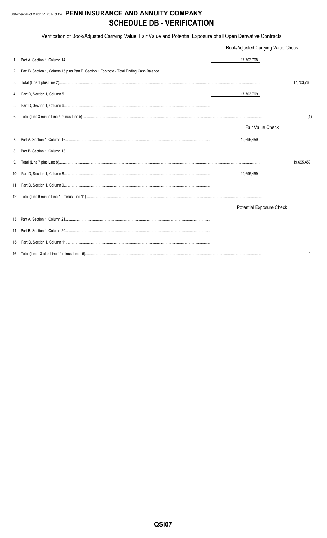# Statement as of March 31, 2017 of the PENN INSURANCE AND ANNUITY COMPANY **SCHEDULE DB - VERIFICATION**

Verification of Book/Adjusted Carrying Value, Fair Value and Potential Exposure of all Open Derivative Contracts

|    | Book/Adjusted Carrying Value Check |            |
|----|------------------------------------|------------|
|    | 17,703,768                         |            |
| 2. |                                    |            |
| 3. |                                    | 17,703,768 |
| 4. | 17,703,769                         |            |
| 5. |                                    |            |
| 6. |                                    | (1)        |
|    | <b>Fair Value Check</b>            |            |
|    | 19,695,459                         |            |
| 8. |                                    |            |
| 9. |                                    | 19,695,459 |
|    | 19,695,459                         |            |
|    |                                    |            |
|    |                                    | 0          |
|    | Potential Exposure Check           |            |
|    |                                    |            |
|    |                                    |            |
|    |                                    |            |
|    |                                    | 0          |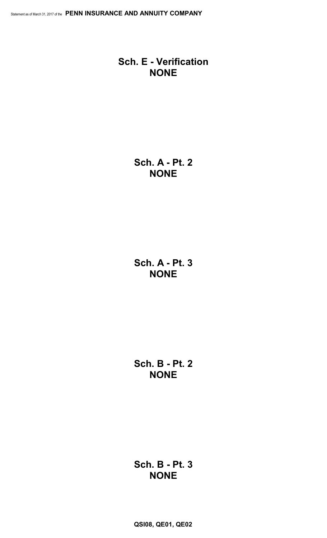# **Sch. E - Verification NONE**

**Sch. A - Pt. 2 NONE**

**Sch. A - Pt. 3 NONE**

**Sch. B - Pt. 2 NONE**

# **Sch. B - Pt. 3 NONE**

**QSI08, QE01, QE02**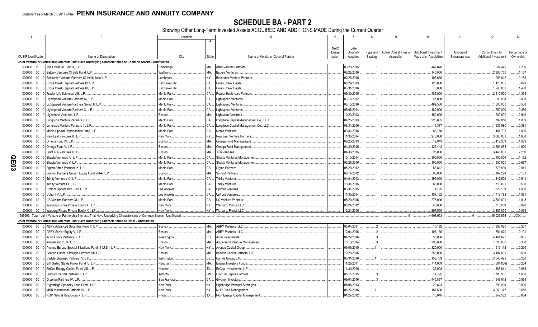SCHEDULE BA - PART 2<br>Showing Other Long-Term Invested Assets ACQUIRED AND ADDITIONS MADE During the Current Quarter

|                       |                             | 2                                                                                                                             | Location       |              | $5\overline{5}$<br>6                        | 8                           | 9                      | 10                     | 11           | 12                           | 13               |
|-----------------------|-----------------------------|-------------------------------------------------------------------------------------------------------------------------------|----------------|--------------|---------------------------------------------|-----------------------------|------------------------|------------------------|--------------|------------------------------|------------------|
|                       |                             |                                                                                                                               |                |              |                                             |                             |                        |                        |              |                              |                  |
|                       |                             |                                                                                                                               |                |              | <b>NAIC</b>                                 | Date                        |                        |                        |              |                              |                  |
|                       |                             |                                                                                                                               |                |              | Desig-                                      | Originally<br>Type and      | Actual Cost at Time of | Additional Investment  | Amount of    | Commitment for               | Percentage of    |
|                       | <b>CUSIP</b> Identification | Name or Description                                                                                                           | City           | <b>State</b> | Name of Vendor or General Partner<br>nation | Strategy<br>Acquired        | Acquisition            | Made after Acquisition | Encumbrances | <b>Additional Investment</b> | Ownership        |
|                       |                             | Joint Venture or Partnership Interests That Have Underlying Characteristics of Common Stocks - Unaffiliated                   |                |              |                                             |                             |                        |                        |              |                              |                  |
|                       | 000000                      | $00\,$<br>0 Atlas Venture Fund X. L.P.                                                                                        | Cambridge      | MA.          | <b>Atlas Venture Partners</b>               | 03/20/2015.                 |                        | .467,076               |              | 1,997,470                    | 1.200            |
|                       | 000000                      | $00\,$<br>0 Battery Ventures XI Side Fund, L.P.                                                                               | Waltham.       | MA.          | <b>Battery Ventures.</b>                    | 02/22/2016                  |                        | .140,000               |              | .2,395,750                   | .1.167           |
|                       | 000000                      | $00\,$<br>0 Bessemer Venture Partners IX Institutional L.P.                                                                   | Larchmont.     | NY           | <b>Bessemer Venture Partners</b>            | 02/28/2015                  |                        | .108,669               |              | 1,966,012                    | .0.188           |
|                       | 000000                      | 0 Cross Creek Capital Partners III, L.P.<br>$00\,$                                                                            | Salt Lake City | UT           | Cross Creek Capital.                        | 08/29/2013                  |                        | 120,000                |              | .1,425,000                   | .3.679           |
|                       | 000000                      | $00\,$<br>0 Cross Creek Capital Partners IV, L.P.                                                                             | Salt Lake City | UT.          | Cross Creek Capital.                        | 03/31/2016                  |                        | 70,000                 |              | .1,260,000                   | .1.400           |
|                       | 000000                      | 0 Frazier Life Sciences VIII, L.P<br>$00\,$                                                                                   | Menlo Park     | CA.          | <b>Frazier Healthcare Partners</b>          | 09/30/2015                  |                        | .483,000               |              | .2,110,500                   | 1.333            |
|                       | 000000                      | $00\,$<br>Lightspeed Venture Partners IX, L.P.                                                                                | Menlo Park     | CA.          | Lightspeed Ventures                         | 03/12/2012                  |                        | .45,000                |              | .90.000                      | .0.438           |
|                       | 000000                      | 0 Lightspeed Venture Partners Select II, L.P.<br>$00\,$                                                                       | Menlo Park     | CA.          | <b>Lightspeed Ventures</b>                  | 03/10/2016                  |                        | .462,500               |              | 1,600,000                    | .0.500           |
|                       | 000000                      | $00\,$<br>Lightspeed Venture Partners X, L.P.                                                                                 | Menlo Park     | CA.          | <b>Lightspeed Ventures</b>                  | 07/07/2014                  |                        | .180,000               |              | .750,000                     | .0.480           |
|                       | 000000                      | 0 Lightstone Ventures, L.P.<br>$00\,$                                                                                         | Boston.        | MA.          | Lightstone Ventures                         | 10/22/2013                  |                        | .150,000               |              | 1,200,000                    | .2.949           |
|                       | 000000                      | $00\,$<br>Longitude Venture Partners II, L.P.                                                                                 | Menlo Park     | CA.          | Longitude Capital Management Co., LLC.      | 04/25/2013                  |                        | .228,805               |              | .789,856                     | .1.039           |
|                       | 000000                      | $00\,$<br>Longitude Venture Partners III, L.P.                                                                                | Menlo Park     | CA.          | Longitude Capital Management Co., LLC.      | 03/31/2016                  |                        | .11,377                |              | 1,936,580                    | .0.381           |
|                       | 000000                      | $00\,$<br>Menlo Special Opportunities Fund, L.P.                                                                              | Menlo Park     | CA.          | Menlo Ventures.                             | 03/31/2016                  |                        | .83,160                |              | 1,454,708                    | .1.000           |
|                       | 000000                      | New Leaf Ventures III, L.P.<br>$00\,$                                                                                         | New York       | NY           | New Leaf Venture Partners                   | 11/30/2014                  |                        | .270,000               |              | .3,060,000                   | 1.600            |
|                       | 000000                      | $00\,$<br>0 Omega Fund IV, L.P.                                                                                               | Boston.        | MA.          | Omega Fund Management.                      | 06/20/2013                  |                        | .19,949                |              | .412.339                     | .1.089           |
|                       | 000000                      | $00\,$<br>0 Omega Fund V, L.P.                                                                                                | Boston.        | MA.          | Omega Fund Management.                      | 04/30/2015                  |                        | .125,448               |              | .3,661,068                   | 1.600            |
|                       | 000000                      | $00\,$<br>0 Point 406 Ventures III, L.P.                                                                                      | Boston.        | MA.          | 406 Ventures.                               | 04/30/2015                  |                        | .28,000                |              | .3.448.000                   | .2.286           |
| O                     | 000000                      | $00\,$<br>0 Shasta Ventures IV, L.P.                                                                                          | Menlo Park.    | CA.          | Shasta Ventures Managemen                   | 10/10/2014                  |                        | .300,000               |              | .100,000                     | .1.132           |
|                       | 000000                      | 00<br>0 Shasta Ventures V. L.P.                                                                                               | Menlo Park     | CA.          | Shasta Ventures Management                  | 06/27/2016                  |                        | .100,000               |              | 1,900,000                    | .0.667           |
| 밍                     | 000000                      | 00 0 Sigma Prime Partners IX, L.P.                                                                                            | Menlo Park     | CA.          | Sigma Partners.                             | 05/29/2012                  |                        | .58,812                |              | .778,830                     | .2.941           |
| $\tilde{\bm{\omega}}$ |                             | $00\,$                                                                                                                        | Boston.        | MA.          | <b>Summit Partners</b>                      | 06/14/2012                  |                        |                        |              |                              |                  |
|                       | 000000                      | 0 Summit Partners Growth Equity Fund VIII-A, L.P.                                                                             | Menlo Park     | CA.          |                                             | 04/04/2013                  |                        | .96,000<br>195,000     |              | .167,290<br>.847,500         | .0.101<br>.0.914 |
|                       | 000000                      | 00 0 Trinity Ventures XI, L.P.                                                                                                |                |              | <b>Trinity Ventures.</b>                    |                             |                        |                        |              |                              |                  |
|                       | 000000                      | 00 0 Trinity Ventures XII, L.P.                                                                                               | Menlo Park     | CA.          | <b>Trinity Ventures.</b>                    | 10/31/2015                  |                        | .80,000                |              | 1,710,000                    | .0.500           |
|                       | 000000                      | 00 0 Upfront Opportunity Fund I, L.P                                                                                          | Los Angeles    | CA.          | <b>Upfront Ventures</b>                     | 03/31/2015                  |                        | .4,195                 |              | .629,139                     | .4.000           |
|                       | 000000                      | $00\,$<br>0 Upfront V, L.P.                                                                                                   | Los Angeles    | CA.          | <b>Upfront Ventures</b>                     | 11/30/2014                  |                        | .157,162               |              | 1,713,793                    | .1.071           |
|                       | 000000                      | $00\,$<br>0 US Venture Partners XI, L.P.                                                                                      | Menlo Park     | CA.          | US Venture Partners                         | 05/20/2015                  |                        | .275,000               |              | .3,500,000                   | .1.818           |
|                       | 000000                      | 00 0 Warburg Pincus Private Equity XI, LP.                                                                                    | New York       | NY           | Warburg, Pincus LLC.                        | 05/24/2012                  |                        | .45.000                |              | .318,000                     | .0.028           |
|                       | 000000                      | 00 0 Warburg Pincus Private Equity XII, LP.                                                                                   | New York       | NY           | Warburg, Pincus LLC.                        | 12/21/2015                  |                        | .297,500               |              | 3,805,000                    | 0.039            |
|                       |                             | 1599999. Total - Joint Venture or Partnership Interests That Have Underlying Characteristics of Common Stocks - Unaffiliated. |                |              |                                             |                             |                        | 4,601,653              |              | .45,026,835                  | XXX              |
|                       |                             | Joint Venture or Partnership Interests That Have Underlying Characteristics of Other - Unaffiliated                           |                |              |                                             |                             |                        |                        |              |                              |                  |
|                       | 000000                      | 00 0 ABRY Advanced Securities Fund II, L.P.                                                                                   | Boston.        | MA.          | <b>ABRY Partners, LLC.</b>                  | 05/04/2011.                 |                        | .15.192                |              | 1,396,020                    | .0.237           |
|                       | 000000                      | 00 0 ABRY Senior Equity V, L.P.                                                                                               | Boston.        | MA.          | ABRY Partners, LLC.                         | 12/01/2016<br>$\mathcal{P}$ |                        | .108,180               |              | 1,891,820                    | .0.191           |
|                       | 000000                      | 00 0 Acon Equity Partners IV, L.P.                                                                                            | Washington     | DC           | Acon Investments                            | 04/22/2016                  |                        | .50,000                |              | 4,461,022                    | .0.865           |
|                       | 000000                      | 0 Ampersand 2014, L.P.<br>$00\,$                                                                                              | Boston.        | MA.          | Ampersand Venture Management                | 10/10/2014                  |                        | .390,000               |              | 1,890,000                    | .0.300           |
|                       | 000000                      | 0 Avenue Europe Special Situations Fund III (U.S.), L.P.<br>$00\,$                                                            | New York.      | NY           | Avenue Capital Group.                       | 06/05/2015<br>11            |                        | .320,000               |              | .1,512,112                   | .0.200           |
|                       | 000000                      | 0 Beacon Capital Strategic Partners VII, L.P<br>$00\,$                                                                        | Boston.        | MA           | Beacon Capital Partners, LLC                | 10/20/2015                  |                        | .250,000               |              | .3,187,500                   | .0.500           |
|                       | 000000                      | $00\,$<br>0 Carlyle Strategic Partners IV, L.P.                                                                               | Wilmington.    | <b>DE</b>    | Carlyle Group, L.P.                         | 03/31/2016<br>11            |                        | .156,759               |              | .3,640,428                   | .0.200           |
|                       | 000000                      | 0 EIF United States Power Fund IV, L.P.<br>$00\,$                                                                             | Needham        | MA           | Energy Investors Funds.                     | 11/28/2011.                 |                        | .711,069               |              | (504, 806)                   | .0.234           |
|                       | 000000                      | $00\,$<br>0 EnCap Energy Capital Fund VIII, L.P.                                                                              | Houston.       | TX.          | EnCap Investments, L.P.                     | 11/30/2010                  |                        | .35,003                |              | .305,841                     | .0.083           |
|                       | 000000                      | 0 Fulcrum Capital Partners V, LP.<br>$00\,$                                                                                   | Toronto.       | ON           | <b>Fulcrum Capital Partners</b>             | 06/11/2015<br>$\mathcal{R}$ |                        | .14,795                |              | .1,700,935                   | .1.000           |
|                       | 000000                      | $00\,$<br>0 Gryphon Partners IV, L.P.                                                                                         | San Francisco  | CA           | Gryphon Investors.                          | 09/01/2016                  |                        | .446,897               |              | .1,943,042                   | .0.559           |
|                       | 000000                      | $00\,$<br>Highbridge Specialty Loan Fund III LP.                                                                              | New York       | NY           | <b>Highbridge Principal Strategies</b>      | 05/06/2013                  |                        | .29,824                |              | .299,000                     | .0.899           |
|                       | 000000                      | 0 MHR Institutional Partners IV, L.P.<br>$00\,$                                                                               | New York       | NY           | <b>MHR Fund Management</b>                  | 06/27/2016<br>11            |                        | 187,500                |              | .3.950.173                   | .0.556           |
|                       | 000000                      | 00 0 NGP Natural Resources X, L.P                                                                                             | Irving         |              | TX NGP Energy Capital Management            | 01/27/2012.                 |                        | .16,048                |              | .242,562                     | .0.084           |
|                       |                             |                                                                                                                               |                |              |                                             |                             |                        |                        |              |                              |                  |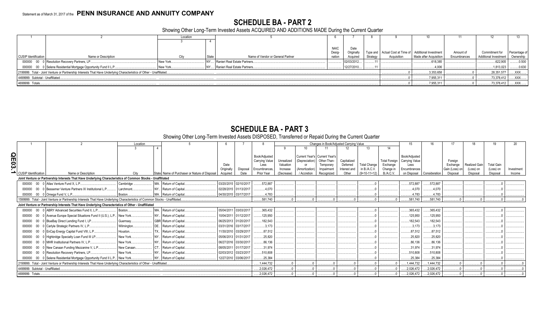# **SCHEDULE BA - PART 2**

Showing Other Long-Term Invested Assets ACQUIRED AND ADDITIONS MADE During the Current Quarter

|                                   |                                                                                                                      |           |       |                                   | <b>NAIC</b> | Date                   |          |             |                                                       |              |                              |               |
|-----------------------------------|----------------------------------------------------------------------------------------------------------------------|-----------|-------|-----------------------------------|-------------|------------------------|----------|-------------|-------------------------------------------------------|--------------|------------------------------|---------------|
|                                   |                                                                                                                      |           |       |                                   | Desig-      | Originall <sup>®</sup> |          |             | Type and Actual Cost at Time of Additional Investment | Amount of    | Commitment for               | Percentage of |
| <b>CUSIP Identification</b>       | Name or Description                                                                                                  | Citv      | State | Name of Vendor or General Partner | nation      | Acquired               | Strategy | Acquisition | Made after Acquisition                                | Encumbrances | <b>Additional Investment</b> | Ownership     |
|                                   | 000000 00 0 Resolution Recovery Partners, LP                                                                         | New York  |       | Ranieri Real Estate Partners      |             | 02/03/2012             |          |             | 618,385                                               |              | 622,905                      | 0.500         |
|                                   | 000000 00 0 Selene Residential Mortgage Opportunity Fund II L.P                                                      | New York. |       | NY Ranieri Real Estate Partners   |             | 12/27/2010             |          |             | .4,006                                                |              | 1,813,023                    | .0.630        |
|                                   | 2199999. Total - Joint Venture or Partnership Interests That Have Underlying Characteristics of Other - Unaffiliated |           |       |                                   |             |                        |          |             | .3,353,658                                            |              | .28,351,577                  | XXX.          |
| 4499999. Subtotal - Unaffiliated. |                                                                                                                      |           |       |                                   |             |                        |          |             | .7,955,311                                            |              | .73,378,412                  | .XXX.         |
| 4699999. Totals                   |                                                                                                                      |           |       | .7,955,311                        |             | .73,378,412            | .XXX.    |             |                                                       |              |                              |               |

# **SCHEDULE BA - PART 3**

# Showing Other Long-Term Invested Assets DISPOSED, Transferred or Repaid During the Current Quarter

| Location    |                                  |                                                                                                                              |             |                        |                                               |            |                       |                       |            | Changes in Book/Adjusted Carrying Value |             |              |                     | 15                   |                       |               |                |                      |                   |            |
|-------------|----------------------------------|------------------------------------------------------------------------------------------------------------------------------|-------------|------------------------|-----------------------------------------------|------------|-----------------------|-----------------------|------------|-----------------------------------------|-------------|--------------|---------------------|----------------------|-----------------------|---------------|----------------|----------------------|-------------------|------------|
|             |                                  |                                                                                                                              |             |                        |                                               |            |                       |                       |            |                                         |             |              |                     |                      |                       |               |                |                      |                   |            |
| <b>QE03</b> |                                  |                                                                                                                              |             |                        |                                               |            |                       | Book/Adjusted         |            | Current Year's   Current Year's         |             |              |                     |                      | Book/Adiusted         |               |                |                      |                   |            |
|             |                                  |                                                                                                                              |             |                        |                                               |            |                       | <b>Carrying Value</b> | Unrealized | (Depreciation)                          | Other-Than- | Capitalized  |                     | <b>Total Foreign</b> | <b>Carrying Value</b> |               | Foreian        |                      |                   |            |
|             |                                  |                                                                                                                              |             |                        |                                               | Date       |                       | Less                  | Valuation  | or                                      | Temporary   | Deferred     | <b>Total Change</b> | Exchange             | Less                  |               | Exchange       | <b>Realized Gain</b> | <b>Total Gain</b> |            |
|             |                                  |                                                                                                                              |             |                        |                                               | Originally | Disposal              | Encumbrances          | Increase   | (Amortization)                          | Impairment  | Interest and | in B./A.C.V.        | Change in            | Encumbrances          |               | Gain (Loss) on | (Loss) on            | (Loss) on         | Investment |
|             | CUSIP Identification             | Name or Description                                                                                                          | City        |                        | State Name of Purchaser or Nature of Disposal | Acquired   | Date                  | Prior Year            | (Decrease) | / Accretion                             | Recognized  | Other        | $(9+10-11+12)$      | B./A.C.V.            | on Disposal           | Consideration | Disposal       | Disposal             | Disposal          | Income     |
|             |                                  | Joint Venture or Partnership Interests That Have Underlying Characteristics of Common Stocks - Unaffiliated                  |             |                        |                                               |            |                       |                       |            |                                         |             |              |                     |                      |                       |               |                |                      |                   |            |
|             |                                  | 000000 00 0 Atlas Venture Fund X, L.P.,                                                                                      | Cambridge   | MA. Return of Capital  |                                               |            | 03/20/2015 02/10/2017 | 572,887               |            |                                         |             |              |                     |                      | .572,887              | 572,887       |                |                      |                   |            |
|             | 000000                           | 00 0 Bessemer Venture Partners IX Institutional L.P                                                                          | Larchmont   | Return of Capital.     |                                               |            | 02/28/2015 01/13/2017 | .4.070                |            |                                         |             |              |                     |                      | .4,070                | 4,070         |                |                      |                   |            |
|             | 000000                           | 00 0 Omega Fund V, L.P                                                                                                       | Boston      | MA. Return of Capital. |                                               |            | 04/30/2015 03/17/2017 | 4.783                 |            |                                         |             |              |                     |                      | 4,783                 | .4,783        |                |                      |                   |            |
|             |                                  | 1599999. Total - Joint Venture or Partnership Interests That Have Underlying Characteristics of Common Stocks - Unaffiliated |             |                        |                                               |            |                       | .581,740              |            |                                         |             |              |                     |                      | .581,740              | .581,740      |                |                      |                   |            |
|             |                                  | Joint Venture or Partnership Interests That Have Underlying Characteristics of Other - Unaffiliated                          |             |                        |                                               |            |                       |                       |            |                                         |             |              |                     |                      |                       |               |                |                      |                   |            |
|             |                                  | 000000 00 0 ABRY Advanced Securities Fund II, L.P                                                                            | Boston.     | MA. Return of Capital. |                                               |            | 05/04/2011 03/03/2017 | .365,432              |            |                                         |             |              |                     |                      | .365,432              | 365,432       |                |                      |                   |            |
|             | 000000                           | 00 0 Avenue Europe Special Situations Fund II (U.S.), L.P New York                                                           |             | NY Return of Capital.  |                                               |            | 10/04/2011 01/12/2017 | .125,950              |            |                                         |             |              |                     |                      | .125,950              | .125,950      |                |                      |                   |            |
|             | 000000                           | 00 0 BlueBay Direct Lending Fund I, LP                                                                                       | Guernsey.   | GBR Return of Capital  |                                               |            | 06/25/2013 01/20/2017 | .182,543              |            |                                         |             |              |                     |                      | .182,543              | .182.543      |                |                      |                   |            |
|             | 000000                           | 00 0 Carlyle Strategic Partners IV, L.P                                                                                      | Wilmington. | DE. Return of Capital. |                                               |            | 03/31/2016 03/17/2017 | .3.173                |            |                                         |             |              |                     |                      | .3.173                | 3.173         |                |                      |                   |            |
|             | 000000                           | 00 0 EnCap Energy Capital Fund VIII, L.P.                                                                                    | Houston.    | TX Return of Capital   |                                               |            | 11/30/2010 03/29/2017 | .87.512               |            |                                         |             |              |                     |                      | .87,512               | 87.512        |                |                      |                   |            |
|             | 000000                           | 00 0 Highbridge Specialty Loan Fund III LP                                                                                   | New York.   | NY Return of Capital.  |                                               |            | 05/06/2013 01/31/2017 | 25.820                |            |                                         |             |              |                     |                      | 25,820                | 25.820        |                |                      |                   |            |
|             |                                  | 000000 00 0 MHR Institutional Partners IV, L.P.                                                                              | New York.   | NY Return of Capital.  |                                               |            | 06/27/2016 03/30/2017 | 86.136                |            |                                         |             |              |                     |                      | .86,136               | 86.136        |                |                      |                   |            |
|             |                                  |                                                                                                                              | New Canaan  | Return of Capital.     |                                               |            | 08/05/2011 01/17/2017 | .31.974               |            |                                         |             |              |                     |                      | .31.974               | .31.974       |                |                      |                   |            |
|             | 000000                           | 00 0 New Canaan Funding Mezzanine V, L.P                                                                                     |             |                        |                                               |            |                       |                       |            |                                         |             |              |                     |                      |                       |               |                |                      |                   |            |
|             | 000000                           | 00 0 Resolution Recovery Partners, LP                                                                                        | New York.   | Return of Capital.     |                                               |            | 02/03/2012 03/23/2017 | 510,808               |            |                                         |             |              |                     |                      | .510,808              | .510,808      |                |                      |                   |            |
|             | 000000                           | 00 0 Selene Residential Mortgage Opportunity Fund II L.P New York                                                            |             | Neturn of Capital.     |                                               |            | 12/27/2010 03/06/2017 | .25,384               |            |                                         |             |              |                     |                      | 25,384                | 25,384        |                |                      |                   |            |
|             |                                  | 2199999. Total - Joint Venture or Partnership Interests That Have Underlying Characteristics of Other - Unaffiliated.        |             |                        |                                               |            |                       | 1,444,732             |            |                                         |             |              |                     |                      | 1,444,732             | 1,444,732     |                |                      |                   |            |
|             | 4499999. Subtotal - Unaffiliated |                                                                                                                              |             |                        |                                               |            |                       | .2,026,472            |            |                                         |             |              |                     |                      | .2,026,472            | .2,026,472    |                |                      |                   |            |
|             | 4699999. Totals.                 |                                                                                                                              |             |                        |                                               |            |                       | .2,026,472            |            |                                         |             |              |                     |                      | 2,026,472             | 2,026,472     |                |                      |                   |            |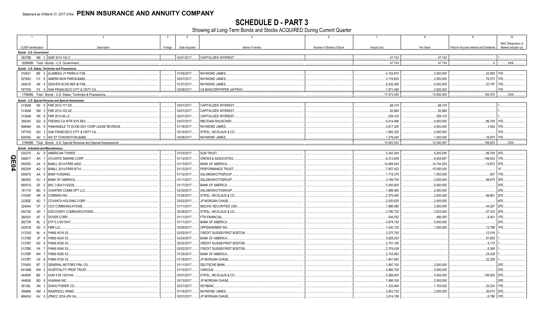**SCHEDULE D - PART 3**<br>Showing all Long-Term Bonds and Stocks ACQUIRED During Current Quarter

|     | $\overline{1}$          |                 | 2<br>-3                                                               | $\overline{4}$ | 5                                 | 6                         | $\overline{7}$     | 8           | 9                                       | 10 <sup>1</sup>      |
|-----|-------------------------|-----------------|-----------------------------------------------------------------------|----------------|-----------------------------------|---------------------------|--------------------|-------------|-----------------------------------------|----------------------|
|     |                         |                 |                                                                       |                |                                   |                           |                    |             |                                         | NAIC Designation or  |
|     | CUSIP Identification    |                 | Description<br>Foreign                                                | Date Acquired  | Name of Vendor                    | Number of Shares of Stock | <b>Actual Cost</b> | Par Value   | Paid for Accrued Interest and Dividends | Market Indicator (a) |
|     | Bonds - U.S. Government |                 |                                                                       |                |                                   |                           |                    |             |                                         |                      |
|     |                         |                 | 38378B M6 3 GNR 2012-120 Z.                                           | 03/01/2017.    | CAPITALIZED INTEREST.             |                           | .47,743            | .47.743     |                                         |                      |
|     |                         |                 | 0599999. Total - Bonds - U.S. Government                              |                |                                   |                           | .47,743            | .47.743     | 0                                       | .XXX.                |
|     |                         |                 | Bonds - U.S. States, Territories and Possessions                      |                |                                   |                           |                    |             |                                         |                      |
|     | 010831                  |                 | BE 4 ALAMEDA JT PWRS-A-TXB.                                           | 01/05/2017.    | RAYMOND JAMES.                    |                           | .4,152,870         | .3,000,000  | .22,900 1FE                             |                      |
|     | 02765U                  |                 | CY 8 AMERN MUN PWR-B-BABS.                                            | 02/07/2017.    | <b>RAYMOND JAMES.</b>             |                           | 3,116,625          | .2,500,000  | 78,373                                  | 1FF                  |
|     | 249218                  |                 | AK 4 DENVER SCHS-REF-B-TXB                                            | 01/27/2017.    | RAYMOND JAMES.                    |                           | 8,032,380          | .6,000,000  | .53,797                                 |                      |
|     | 79770G                  |                 | FX 9 SAN FRANCISCO CITY & CNTY CA.                                    | 03/08/2017.    | US BANCORP/PIPER JAFFRAY          |                           | .1,971,480         | .2,000,000  |                                         |                      |
|     |                         |                 | 1799999. Total - Bonds - U.S. States, Territories & Possessions.      |                |                                   |                           | .17,273,355        | 13,500,000  | .155,070                                | XXX                  |
|     |                         |                 | Bonds - U.S. Special Revenue and Special Assessment                   |                |                                   |                           |                    |             |                                         |                      |
|     | 3136A8                  |                 | N5 5 FNR 2012-117 DZ.                                                 | 03/01/2017.    | CAPITALIZED INTEREST              |                           | .68,319            | .68,319     |                                         |                      |
|     | 3136A8                  |                 | SM 3 FNR 2012-102 AZ.                                                 | 03/01/2017.    | <b>CAPITALIZED INTEREST</b>       |                           | .62,865            | 62,865      |                                         |                      |
|     | 3136A8                  | XR 6            | FNR 2012-94 LZ.                                                       | 03/01/2017.    | CAPITALIZED INTEREST              |                           | .259,103           | .259,103    |                                         |                      |
|     | 358240                  | GG 8            | FRESNO CA WTR SYS REV.                                                | 03/07/2017.    | RBC/DAIN RAUSCHER                 |                           | .6,014,496         | .4,650,000  | .86,316 1FE                             |                      |
|     | 69848A                  | AA 6            | PANHANDLE TX ECON DEV CORP LEASE REVENUE                              | 01/18/2017.    | RAYMOND JAMES.                    |                           | 3,817,200          | .4,000,000  | .3,542                                  |                      |
|     | 79770G                  |                 | GH 3 SAN FRANCISCO CITY & CNTY CA.                                    | 03/10/2017.    | STIFEL, NICOLAUS & CO.            |                           | .1,962,320         | .2,000,000  |                                         |                      |
|     | 93976A                  |                 | AH 5 WA ST CONVENTION-BABS                                            | 03/28/2017.    | RAYMOND JAMES.                    |                           | 1,279,040          | .1,000,000  | .16,975                                 | 1FF                  |
|     |                         |                 | 3199999. Total - Bonds - U.S. Special Revenue and Special Assessments |                |                                   |                           | 13,463,343         | .12,040,287 | 106,833                                 | .XXX.                |
|     |                         |                 | <b>Bonds - Industrial and Miscellaneous</b>                           |                |                                   |                           |                    |             |                                         |                      |
|     | 03027X                  |                 | AJ 9 AMERICAN TOWER.                                                  | 01/03/2017.    | SUN TRUST.                        |                           | .5,342,204         | .5,205,000  | .89,700 2FE                             |                      |
| Q   | 048677                  | AH              | <b>ATLANTIC MARINE CORP.</b>                                          | 01/12/2017.    | <b>CREWS &amp; ASSOCIATES</b>     |                           | 6,213,649          | 6,454,667   | 148,633                                 |                      |
|     | 05525H                  | AA              | BAMLL 2014-FRR5 A502.                                                 | 01/13/2017.    | <b>BANK OF AMERICA.</b>           |                           | 14,484,540         | 14,744,293  | .13,672                                 |                      |
| E04 | 05525H                  | AQ 0            | <b>BAMLL 2014-FRR5 B714</b>                                           | 01/13/2017.    | PERFORMANCE TRUST                 |                           | 7,657,422          | 10,000,000  |                                         |                      |
|     | 05567S                  | AA 0            | <b>BNSF FUNDING</b>                                                   | 01/12/2017.    | SALOMON/CITIGROUP.                |                           | 1,719,375          | .1,500,000  | .827                                    | 1FF                  |
|     | 060505                  | $EU$ 4          | <b>BANK OF AMERICA.</b>                                               | 01/11/2017.    | SALOMON/CITIGROUP                 |                           | 3,189,750          | .3,000,000  | .66,675                                 | 3FE                  |
|     | 06051G                  | GF              | 0 BAC 3.824 01/20/28.                                                 | 01/17/2017.    | <b>BANK OF AMERICA.</b>           |                           | .5,000,000         | .5,000,000  |                                         |                      |
|     | 161175                  | BD <sub>5</sub> | CHARTER COMM OPT LLC.                                                 | 03/30/2017.    | SALOMON/CITIGROUP.                |                           | .1,999,360         | .2,000,000  |                                         | 2FE                  |
|     | 219350                  |                 | AR 6 CORNING INC.                                                     | 01/26/2017.    | STIFEL, NICOLAUS & CO.            |                           | 2,375,000          | .2,000,000  | .66,861                                 | 2FE                  |
|     | 22282E                  |                 | AG 7 COVANTA HOLDING CORP.                                            | 03/02/2017.    | JP MORGAN CHASE.                  |                           | 2,020,625          | .2,000,000  |                                         |                      |
|     | 224044                  |                 | CF 2 COX COMMUNICATIONS.                                              | 01/11/2017.    | <b>MIZUHO SECURITIES USA</b>      |                           | .1,890,480         | 2.000.000   | .44.267                                 | 2FE                  |
|     | 25470D                  | AD              | DISCOVERY COMMUNICATIONS                                              | 02/28/2017.    | STIFEL, NICOLAUS & CO.            |                           | 3,790,732          | 3,533,000   | .57,333                                 | 12FE                 |
|     | 260003                  | AF              | 5 DOVER CORP.                                                         | 01/11/2017.    | FTN FINANCIAL.                    |                           | .544,032           | .466,000    | .6,401                                  |                      |
|     | 29273R                  |                 | BL 2 ETP 5.3 04/15/47.                                                | 01/11/2017     | <b>BANK OF AMERICA.</b>           |                           | .4,974,150         | .5,000,000  |                                         |                      |
|     | 30251B                  |                 | AD 0 FMR LLC.                                                         | 03/29/2017.    | OPPENHEIMER INC.                  |                           | .1,630,125         | .1,500,000  | .12,788                                 |                      |
|     | 3137AS                  | NL 4            | <b>FHMS K019 X3.</b>                                                  | 02/02/2017.    | <b>CREDIT SUISSE/FIRST BOSTON</b> |                           | 3,375,755          |             | .12,519                                 |                      |
|     | 3137B5                  | JP              | 9 FHMS K034 X3.                                                       | 03/24/2017.    | <b>BANK OF AMERICA.</b>           |                           | 5,628,203          |             | .81,855                                 |                      |
|     | 3137B7                  | N3 9            | <b>FHMS K036 X3.</b>                                                  | 02/02/2017.    | CREDIT SUISSE/FIRST BOSTON        |                           | .2,751,185         |             | .8,172                                  |                      |
|     | 3137BE                  | <b>VK 7</b>     | FHMS K040 X3.                                                         | 02/02/2017.    | CREDIT SUISSE/FIRST BOSTON        |                           | 2,376,438          |             | .6,380                                  |                      |
|     | 3137BP                  | W4 7            | <b>FHMS K055 X3.</b>                                                  | 01/25/2017.    | <b>BANK OF AMERICA</b>            |                           | 2,103,063          |             | .24,339                                 |                      |
|     | 3137BT                  | U5<br>- 8       | <b>FHMS K724 X3.</b>                                                  | 01/19/2017.    | JP MORGAN CHASE.                  |                           | .1,841,083         |             | .22,209                                 |                      |
|     | 37045X                  | BT 2            | GENERAL MOTORS FINL CO.                                               | 01/11/2017.    | DEUTSCHE BANK.                    |                           | .1,997,100         | .2,000,000  |                                         |                      |
|     | 44106M                  |                 | AW 2 HOSPITALITY PROP TRUST                                           | 01/10/2017.    | VARIOUS.                          |                           | .4,985,720         | .5,000,000  |                                         | 2FF                  |
|     | 444859                  | BE 1            | HUM 4.95 10/01/44.                                                    | 03/01/2017.    | STIFEL, NICOLAUS & CO.            |                           | 5,268,400          | .5,000,000  | 106,563                                 | 2FF                  |
|     | 444859                  |                 | BG 6 HUMANA INC.                                                      | 03/13/2017.    | <b>JP MORGAN CHASE</b>            |                           | .1,998,100         | .2,000,000  |                                         |                      |
|     | 45138L                  | AN <sub>3</sub> | IDAHO POWER CO.                                                       | 02/21/2017.    | <b>KEYBANC.</b>                   |                           | .1,333,944         | .1,155,000  | .25,234                                 |                      |
|     | 456866                  |                 | AM 4 INGERSOLL-RAND.                                                  | 01/18/2017.    | RAYMOND JAMES.                    |                           | 3,603,720          | .3,000,000  | 36,510                                  |                      |
|     | 46645U                  |                 | AV 9 JPMCC 2016-JP4 XA.                                               | 02/01/2017.    | JP MORGAN CHASE.                  |                           | .3.014.159         |             | .6,786                                  | 1FF                  |
|     |                         |                 |                                                                       |                |                                   |                           |                    |             |                                         |                      |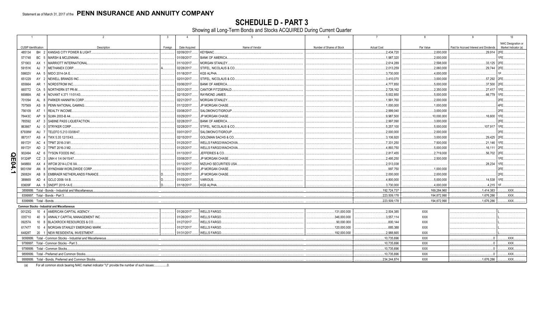SCHEDULE D - PART 3<br>Showing all Long-Term Bonds and Stocks ACQUIRED During Current Quarter

|      | $\overline{1}$                                      |                                               | $\overline{2}$                                                | $\mathbf{3}$ | $\overline{4}$ | $5\overline{5}$                    | 6                         | $\overline{7}$     | 8            | 9                                       | 10                   |  |
|------|-----------------------------------------------------|-----------------------------------------------|---------------------------------------------------------------|--------------|----------------|------------------------------------|---------------------------|--------------------|--------------|-----------------------------------------|----------------------|--|
|      |                                                     |                                               |                                                               |              |                |                                    |                           |                    |              |                                         | NAIC Designation or  |  |
|      | <b>CUSIP</b> Identification                         |                                               | Description                                                   | Foreign      | Date Acquired  | Name of Vendor                     | Number of Shares of Stock | <b>Actual Cost</b> | Par Value    | Paid for Accrued Interest and Dividends | Market Indicator (a) |  |
|      | 485134                                              |                                               | BH 2 KANSAS CITY POWER & LIGHT                                |              | 02/09/2017.    | <b>KEYBANC</b>                     |                           | .2,434,720         | .2.000.000   | .29,914 2FE.                            |                      |  |
|      | 571748                                              | BC 5                                          | MARSH & MCLENNAN.                                             |              | 01/09/2017.    | <b>BANK OF AMERICA</b>             |                           | 1,987,320          | .2,000,000   |                                         | 1FE.                 |  |
|      | 571903                                              | AX                                            | <b>MARRIOTT INTERNATIONAL</b>                                 |              | 01/10/2017.    | <b>MORGAN STANLEY.</b>             |                           | .2.614.289         | .2.598.000   | .33.125                                 | 2FE                  |  |
|      | 59151K                                              | AJ                                            | METHANEX CORP.                                                |              | 02/28/2017.    | STIFEL, NICOLAUS & CO.             |                           | 2,013,259          | .2,060,000   | .29,744                                 |                      |  |
|      | 59802V                                              | AA                                            | MIDO 2014-3A E                                                |              | 01/18/2017     | KGS ALPHA.                         |                           | .3,730,000         | .4,000,000   |                                         |                      |  |
|      | 651229                                              | AY 2                                          | NEWELL BRANDS INC.                                            |              | 02/01/2017     | STIFEL, NICOLAUS & CO              |                           | .3,410,070         | .3,000,000   | .57,292                                 | 2FE                  |  |
|      | 655664                                              | AR                                            | NORDSTROM INC.                                                |              | 03/06/2017     | <b>BANK OF AMERICA</b>             |                           | .4,777,850         | .5,000,000   | .37,500                                 | 2FE                  |  |
|      | 665772                                              | CA 5                                          | NORTHERN ST PR-M.                                             |              | 03/31/2017.    | CANTOR FITZGERALD.                 |                           | .2,728,162         | .2,350,000   | .27,417                                 | 1FF                  |  |
|      | 66988A                                              | AE                                            | NOVANT 4.371 11/01/43.                                        |              | 02/15/2017     | RAYMOND JAMES.                     |                           | .5,002,850         | .5,000,000   | 66,779                                  | 1FE                  |  |
|      | 701094                                              | AL 8                                          | PARKER HANNIFIN CORP.                                         |              | 02/21/2017     | <b>MORGAN STANLEY</b>              |                           | 1,991,760          | .2,000,000   |                                         | 2FE                  |  |
|      | 707569                                              |                                               | AS 8 PENN NATIONAL GAMING                                     |              | 01/12/2017.    | JP MORGAN CHASE.                   |                           | .1,000,000         | .1,000,000   |                                         | 4FE                  |  |
|      | 756109                                              | AT <sub>1</sub>                               | <b>REALTY INCOME.</b>                                         |              | 03/08/2017.    | SALOMON/CITIGROUP.                 |                           | .2,999,040         | .3,000,000   |                                         | 2FE                  |  |
|      | 78443C                                              | AP                                            | 9 SLMA 2003-B A4                                              |              | 03/29/2017     | JP MORGAN CHASE.                   |                           | .9,987,500         | 10,000,000   | .16,600                                 |                      |  |
|      | 785592                                              |                                               | AT 3 SABINE PASS LIQUEFACTION                                 |              | 02/28/2017     | <b>BANK OF AMERICA.</b>            |                           | .2,997,090         | .3,000,000   |                                         | 2FE                  |  |
|      | 863667                                              |                                               | AJ 0 STRYKER CORP.                                            |              | 02/28/2017     | STIFEL, NICOLAUS & CO              |                           | .5,257,100         | .5,000,000   | .107,917                                | 1FF                  |  |
|      | 87938W                                              | AU                                            | 7 TELEFO 5.213 03/08/47                                       |              | 03/01/2017     | SALOMON/CITIGROUP.                 |                           | .2,000,000         | .2,000,000   |                                         | 2FE                  |  |
|      | 887317                                              | AS                                            | 4 TWX 5.35 12/15/43.                                          |              | 02/15/2017     | GOLDMAN SACHS & CO.                |                           | .3,106,920         | .3,000,000   | .29,425                                 | 2FE                  |  |
|      | 89172Y                                              |                                               | AC 4   TPMT 2016-3 M1                                         |              | 01/25/2017     | <b><i>NELLS FARGO/WACHOVIA</i></b> |                           | .7,331,250         | .7,500,000   | .21,146                                 | 1FF                  |  |
|      | 89172Y                                              |                                               | AD 2   TPMT 2016-3 M2.                                        |              | 01/25/2017.    | <b>WELLS FARGO/WACHOVIA</b>        |                           | .4,893,750         | .5,000,000   | 16,111                                  | 2FE                  |  |
| O    | 902494                                              |                                               | AZ 6 TYSON FOODS INC.                                         |              | 01/13/2017     | JEFFERIES & CO                     |                           | .2,817,455         | 2,719,000    | .56,702                                 | 2FE                  |  |
| m    | 91324P                                              |                                               | CZ 3 UNH 4 1/4 04/15/47                                       |              | 03/08/2017     | JP MORGAN CHASE.                   |                           | .2,495,250         | .2,500,000   |                                         | 1FE.                 |  |
|      | 94988X                                              |                                               | AX 4 WFCM 2014-LC16 XA.                                       |              | 01/13/2017     | MIZUHO SECURITIES USA              |                           | .2,513,038         |              | 28,234                                  | 1FF                  |  |
| 04.1 | 98310W                                              |                                               | AN 8 WYNDHAM WORLDWIDE CORP.                                  |              | 03/16/2017.    | JP MORGAN CHASE.                   |                           | .997,750           | 1,000,000    |                                         | 2FE                  |  |
|      | 29082H                                              | AB 8                                          | <b>EMBRAER NETHERLANDS FINANCE.</b>                           |              | 01/25/2017     | JP MORGAN CHASE.                   |                           | .2,000,000         | .2,000,000   |                                         | 2FE                  |  |
|      | 389669                                              |                                               | AD 4 GCLO 2006-1A B                                           |              | 01/03/2017     | <b>VARIOUS.</b>                    |                           | .4,800,000         | .5,000,000   | .14,538                                 | 1FF                  |  |
|      | 83609F                                              |                                               | AA 5 SNDPT 2015-1A E.                                         |              | 01/18/2017     | KGS ALPHA.                         |                           | 3,730,000          | .4.000.000   | .4.215                                  |                      |  |
|      |                                                     |                                               | 3899999. Total - Bonds - Industrial and Miscellaneous.        |              |                |                                    |                           | .192,724,737       | .169,284,960 | 1,414,383                               | XXX.                 |  |
|      |                                                     |                                               | 8399997. Total - Bonds - Part 3.                              |              |                |                                    |                           | .223,509,178       | .194,872,990 | .1,676,286                              | XXX.                 |  |
|      | 8399999. Total - Bonds.                             |                                               |                                                               |              |                |                                    |                           | 223,509,178        | 194.872.990  | 1,676,286                               | .XXX.                |  |
|      |                                                     |                                               | <b>Common Stocks - Industrial and Miscellaneous</b>           |              |                |                                    |                           |                    |              |                                         |                      |  |
|      | 00123Q                                              |                                               | 10 4 AMERICAN CAPITAL AGENCY.                                 |              | 01/26/2017     | <b>WELLS FARGO.</b>                | 131,000.000               | .2,504,385         | XXX          |                                         |                      |  |
|      | 035710                                              | 40                                            | 9 ANNALY CAPITAL MANAGEMENT INC                               |              | 01/26/2017     | WELLS FARGO.                       | 346,000.000               | .3,557,114         | <b>XXX</b>   |                                         |                      |  |
|      | 09257A                                              | $10 \t 8$                                     | <b>BLACKROCK RESOURCES &amp; CO</b>                           |              | 01/27/2017     | <b>WELLS FARGO.</b>                | .90,000.000               | .800.144           | <b>XXX</b>   |                                         |                      |  |
|      | 617477                                              |                                               | 10 4   MORGAN STANLEY EMERGING MARK                           |              | 01/27/2017     | <b>WELLS FARGO.</b>                | 120,000.000               | .885.388           | <b>XXX</b>   |                                         |                      |  |
|      | 64828T                                              |                                               | 20 1 NEW RESIDENTAL INVESTMENT                                |              | 01/31/2017.    | <b>WELLS FARGO.</b>                | .192,000.000              | .2.988.665         | <b>XXX</b>   |                                         |                      |  |
|      |                                                     |                                               | 9099999. Total - Common Stocks - Industrial and Miscellaneous |              |                |                                    |                           | .10,735,696        | <b>XXX</b>   | $\Omega$                                | XXX.                 |  |
|      |                                                     |                                               | 9799997. Total - Common Stocks - Part 3.                      |              |                |                                    |                           | 10.735.696         | <b>XXX</b>   | $\Omega$                                | .XXX.                |  |
|      |                                                     |                                               | 9799999. Total - Common Stocks.                               |              |                |                                    |                           | .10,735,696        | <b>XXX</b>   | $\Omega$                                | XXX.                 |  |
|      |                                                     | 9899999. Total - Preferred and Common Stocks. |                                                               |              |                |                                    | .10,735,696               | <b>XXX</b>         | $\sqrt{ }$   | XXX.                                    |                      |  |
|      | 9999999. Total - Bonds. Preferred and Common Stocks |                                               |                                                               |              |                |                                    |                           | .234.244.874       | <b>XXX</b>   | .1,676,286                              | XXX.                 |  |
|      |                                                     |                                               |                                                               |              |                |                                    |                           |                    |              |                                         |                      |  |

(a) For all common stock bearing NAIC market indicator "U" provide the number of such issues:.................0.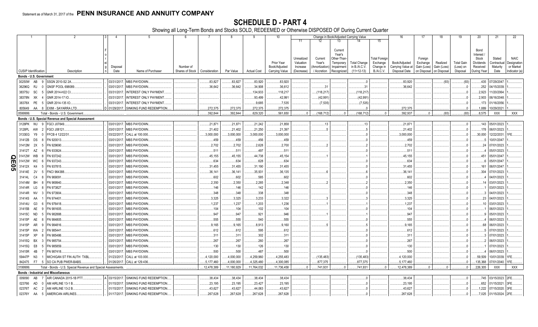SCHEDULE D - PART 4<br>Showing all Long-Term Bonds and Stocks SOLD, REDEEMED or Otherwise DISPOSED OF During Current Quarter

|                           |                             |                |                                             | $\overline{2}$                                                |             | 5                                      |                                 |                 |            |                    | 10             |                         |                   | Change in Book/Adjusted Carrying Value |                     |                                  | 16                                        | 17                  | 18          | 19                      | 20                 | 21                     | 22                         |
|---------------------------|-----------------------------|----------------|---------------------------------------------|---------------------------------------------------------------|-------------|----------------------------------------|---------------------------------|-----------------|------------|--------------------|----------------|-------------------------|-------------------|----------------------------------------|---------------------|----------------------------------|-------------------------------------------|---------------------|-------------|-------------------------|--------------------|------------------------|----------------------------|
|                           |                             |                |                                             |                                                               |             |                                        |                                 |                 |            |                    |                | 11                      | 12                | 13                                     |                     | 15                               |                                           |                     |             |                         |                    |                        |                            |
|                           |                             |                |                                             |                                                               |             |                                        |                                 |                 |            |                    |                |                         |                   |                                        |                     |                                  |                                           |                     |             |                         |                    |                        |                            |
|                           |                             |                |                                             |                                                               |             |                                        |                                 |                 |            |                    |                |                         |                   | Current                                |                     |                                  |                                           |                     |             |                         | Bond               |                        |                            |
|                           |                             |                |                                             |                                                               |             |                                        |                                 |                 |            |                    |                |                         |                   | Year's                                 |                     |                                  |                                           |                     |             |                         | Interest           |                        |                            |
|                           |                             |                |                                             |                                                               |             |                                        |                                 |                 |            |                    | Prior Year     | Unrealized<br>Valuation | Current<br>Year's | Other-Than-<br>Temporary               | <b>Total Change</b> | <b>Total Foreigr</b><br>Exchange | Book/Adjusted                             | Foreign<br>Exchange | Realized    | Total Gain              | Stock<br>Dividends | Stated<br>Contractua   | <b>NAIC</b><br>Designation |
|                           |                             |                |                                             |                                                               | Disposal    |                                        | Number of                       |                 |            |                    | Book/Adjusted  | Increase                | Amortization      | Impairment                             | in B./A.C.V.        | Change in                        | Carrying Value at                         | Gain (Loss)         | Gain (Loss) | (Loss) on               | Received           | Maturity               | or Market                  |
|                           | <b>CUSIP</b> Identification |                |                                             | Description                                                   | Date        | Name of Purchaser                      | Shares of Stock   Consideration |                 | Par Value  | <b>Actual Cost</b> | Carrying Value | (Decrease)              | / Accretion       | Recognized                             | $(11+12-13)$        | <b>B./A.C.V.</b>                 | Disposal Date   on Disposal   on Disposal |                     |             | Disposal                | During Year        | Date                   | Indicator (a)              |
|                           |                             |                | Bonds - U.S. Government                     |                                                               |             |                                        |                                 |                 |            |                    |                |                         |                   |                                        |                     |                                  |                                           |                     |             |                         |                    |                        |                            |
|                           | 30250W                      | AB             | SSGN 2010-S2 2A                             |                                                               |             | 03/31/2017. MBS PAYDOWN                |                                 | .83,827         | .83,827    | .83,920            | .83,920        |                         |                   |                                        |                     |                                  | .83,920                                   |                     | (93)        | (93)                    |                    | .435 07/29/2047        |                            |
|                           | 36296Q                      | RJ             | <b>GNSF POOL 698089</b>                     |                                                               |             | 03/01/2017. MBS PAYDOWN.               |                                 | .36,642         | .36,642    | .34,908            | .36,612        |                         | .31               |                                        | .31                 |                                  | .36,642                                   |                     |             | $\overline{0}$          | .252               | 04/15/2039             |                            |
|                           | 38375U                      | <b>SC</b>      | GNR 2014-H22 CI                             |                                                               | 03/31/2017. | <b>INTEREST ONLY PAYMENT</b>           |                                 |                 |            | 134,933            | 118,217        |                         | (118, 217)        |                                        | .(118,217)          |                                  |                                           |                     |             | $0$ .                   | .2,923             | 11/20/2064             |                            |
|                           | 38378N                      | XK             | GNR 2014-17 IO                              |                                                               | 03/31/2017. | <b>INTEREST ONLY PAYMENT</b>           |                                 |                 |            | .93,499            | .42,991        |                         | (42,991)          |                                        | (42,991)            |                                  |                                           |                     |             | $\Omega$                | .2,903             | 06/16/2048             |                            |
|                           | 38378X                      | PE             | GNR 2014-135 IO.<br>- 5                     |                                                               |             | 03/31/2017. INTEREST ONLY PAYMENT      |                                 |                 |            | 9,685              | .7,535         |                         | (7, 535)          |                                        | (7,535)             |                                  |                                           |                     |             | $\Omega$                | .173               | 01/16/2056             |                            |
|                           | 805649                      | AA             |                                             | <b>EXIM - SAYARRA LTD</b>                                     |             | 01/29/2017. SINKING FUND REDEMPTION    |                                 | .272,375        | .272,375   | .272,375           | .272,375       |                         |                   |                                        |                     |                                  | .272.375                                  |                     |             | $\Omega$                | .1,889             | 10/29/2021             |                            |
|                           | )599999                     |                |                                             | Total - Bonds - U.S. Governmen                                |             |                                        |                                 | .392.844        | .392.844   | .629,320           | .561,650       |                         | (168, 712)        |                                        | (168, 712)          |                                  | .392.937                                  |                     | (93)        | (93)                    | 8.575              | <b>XXX</b>             | <b>XXX</b>                 |
|                           |                             |                |                                             | Bonds - U.S. Special Revenue and Special Assessment           |             |                                        |                                 |                 |            |                    |                |                         |                   |                                        |                     |                                  |                                           |                     |             |                         |                    |                        |                            |
|                           | 3128PK                      | WJ             | <b>FGCI J07849</b>                          |                                                               |             | 03/01/2017. MBS PAYDOWN                |                                 | .21,871         | .21,871    | .21,242            | .21,858        |                         | .13               |                                        | .13                 |                                  | .21,87'                                   |                     |             | $0$ .                   |                    | 143 05/01/2023.        |                            |
|                           | 3128PL                      | AW             | FGCI J08121<br>- 2                          |                                                               |             | 03/01/2017. MBS PAYDOWN                |                                 | .21,402         | .21,402    | .21,250            | 21,397         |                         |                   |                                        |                     |                                  | .21,402                                   |                     |             | $\overline{\mathbf{0}}$ |                    | .178 06/01/2023        |                            |
|                           | 3133EG                      | Y9             | FFCB 4 12/22/31                             |                                                               | 03/22/2017. | CALL at 100.000                        |                                 | .3,000,000      | .3,000,000 | .3,000,000         | 3,000,000      |                         |                   |                                        |                     |                                  | .3,000,000                                |                     |             | $\Omega$                | .30,000            | 12/22/2031             |                            |
|                           | 31412B                      | DS             | FN 920013.                                  |                                                               | 03/01/2017. | <b>MBS PAYDOWN</b>                     |                                 | .459            | .459       | .456               | .459           |                         |                   |                                        |                     |                                  | .459                                      |                     |             |                         |                    | 10/01/2047             |                            |
|                           | 31412M                      | 2X             | FN 929690.                                  |                                                               |             | 03/01/2017. MBS PAYDOWN                |                                 | .2,702          | .2,702     | .2,628             | .2,700         |                         |                   |                                        |                     |                                  | .2,702                                    |                     |             | $\Omega$                | .24                | 07/01/2023             |                            |
|                           | 31412T                      | AZ             | FN 933924.                                  |                                                               | 03/01/2017. | <b>MBS PAYDOWN.</b>                    |                                 | .511            | .511       | .497               | .511           |                         |                   |                                        |                     |                                  | .511                                      |                     |             | $\Omega$                |                    | 05/01/2023             |                            |
|                           | 31412W                      | <b>WB</b>      | FN 937242.                                  |                                                               |             | 03/01/2017. MBS PAYDOWN                |                                 | .45,155         | 45,155     | .44,738            | .45,154        |                         |                   |                                        |                     |                                  | 45,155                                    |                     |             | $0$ .                   | .451               | 05/01/2047             |                            |
| $\Omega_{\overline{\Pi}}$ |                             |                | FN 937243.                                  |                                                               | 03/01/2017  | <b>MBS PAYDOWN.</b>                    |                                 | .634            | .634       | .628               | .634           |                         |                   |                                        |                     |                                  | .634                                      |                     |             | $\Omega$                |                    | 05/01/2047             |                            |
|                           | 31412W<br>31412X            | K4             | FN 937815.                                  |                                                               | 03/01/2017. | <b>MBS PAYDOWN</b>                     |                                 | .31,455         | .31,455    | .31,190            | .31,455        |                         |                   |                                        |                     |                                  | 31,455                                    |                     |             | $\Omega$                | 161                | 06/01/2047             |                            |
| $\overline{\mathbf{S}}$   | 31414E                      | 2V             | <b>FNCI 964388</b>                          |                                                               | 03/01/2017. | <b>MBS PAYDOWN.</b>                    |                                 |                 | .36,141    | .35,931            | .36,135        |                         |                   |                                        |                     |                                  | .36,141                                   |                     |             | $0$ .                   | .304               | 07/01/2023             |                            |
|                           | 31414L                      | C <sub>4</sub> | FN 969091                                   |                                                               |             | 03/01/2017. MBS PAYDOWN                |                                 | .36,141<br>.602 | .602       | .585               | .602           |                         |                   |                                        |                     |                                  | .602                                      |                     |             | $\Omega$                |                    | 04/01/2023             |                            |
|                           |                             |                | FN 969940.                                  |                                                               |             |                                        |                                 |                 |            |                    |                |                         |                   |                                        |                     |                                  |                                           |                     |             |                         |                    |                        |                            |
|                           | 31414M                      | <b>BH</b>      |                                             |                                                               | 03/01/2017. | <b>MBS PAYDOWN</b>                     |                                 | .2,350          | 2,350      | .2,285             | .2,348         |                         |                   |                                        |                     |                                  | .2,350                                    |                     |             | $0$ .                   | .14                | 03/01/2023             |                            |
|                           | 31414R                      | LG             | FN 973827                                   |                                                               | 03/01/2017. | <b>MBS PAYDOWN</b>                     |                                 | 146             | .146       | .142               | .146           |                         |                   |                                        |                     |                                  | .146                                      |                     |             | $0$ .                   |                    | 03/01/2023             |                            |
|                           | 31414R                      | NV             | FN 973904                                   |                                                               | 03/01/2017. | <b>MBS PAYDOWN.</b>                    |                                 | .348            | .348       | .338               | .348           |                         |                   |                                        |                     |                                  | .348                                      |                     |             | $\Omega$                |                    | 04/01/2023             |                            |
|                           | 31414S                      | AA             | FN 974401                                   |                                                               |             | 03/01/2017. MBS PAYDOWN.               |                                 | .3,325          | 3,325      | .3,233             | 3,322          |                         |                   |                                        |                     |                                  | .3,325                                    |                     |             | $0$ .                   | .23                | 04/01/2023             |                            |
|                           | 31414U                      | G <sub>3</sub> | FN 976418.                                  |                                                               | 03/01/2017. | <b>MBS PAYDOWN</b>                     |                                 | 1,237           | 1,237      | .1,203             | 1,236          |                         |                   |                                        |                     |                                  | 1,237                                     |                     |             | $\Omega$                | .10                | 03/01/2023             |                            |
|                           | 31415B                      | AE             | FN 981605.                                  |                                                               | 03/01/2017. | <b>MBS PAYDOWN</b>                     |                                 | 104             | .104       | .102               | .104           |                         |                   |                                        |                     |                                  | .104                                      |                     |             | $0$ .                   |                    | 06/01/2023             |                            |
|                           | 31415C                      | <b>ND</b>      | N 982888                                    |                                                               | 03/01/2017. | <b>MBS PAYDOWN.</b>                    |                                 | .947            | .947       | .921               | .946           |                         |                   |                                        |                     |                                  | .947                                      |                     |             | $0$ .                   |                    | 05/01/2023             |                            |
|                           | 31415P                      | AE             | FN 984805.                                  |                                                               |             | 03/01/2017. MBS PAYDOWN                |                                 | .555            | .555       | .540               | .555           |                         |                   |                                        |                     |                                  | .555                                      |                     |             | 0.5                     |                    | 06/01/2023             |                            |
|                           | 31415P                      | AR             | FN 984816.                                  |                                                               | 03/01/2017. | <b>MBS PAYDOWN</b>                     |                                 | .9,165          | 9.165      | .8,913             | .9,160         |                         |                   |                                        |                     |                                  | .9,165                                    |                     |             | $0$ .                   | .68                | 06/01/2023             |                            |
|                           | 31415P                      | <b>WA</b>      | FN 985441                                   |                                                               | 03/01/2017. | <b>MBS PAYDOWN</b>                     |                                 | .612            | .612       | .595               | .612           |                         |                   |                                        |                     |                                  | .612                                      |                     |             | $0$ .                   |                    | 07/01/2023             |                            |
|                           | 31415P                      | XP             | N 985486                                    |                                                               | 03/01/2017. | <b>MBS PAYDOWN</b>                     |                                 | .311            | 311        | .302               | .311           |                         |                   |                                        |                     |                                  | .311                                      |                     |             | $0$ .                   |                    | 07/01/2023             |                            |
|                           | 31415Q                      | <b>BX</b>      | FN 985754                                   |                                                               | 03/01/2017. | <b>MBS PAYDOWN</b>                     |                                 | .267            | .267       | .260               | .267           |                         |                   |                                        |                     |                                  | .267                                      |                     |             | $\Omega$                |                    | 06/01/2023             |                            |
|                           | 31415Q                      | E8             | N 985859                                    |                                                               | 03/01/2017. | <b>MBS PAYDOWN</b>                     |                                 | 130             | .130       | .126               | .130           |                         |                   |                                        |                     |                                  | .130                                      |                     |             | 0.5                     |                    | 07/01/2023             |                            |
|                           | 31415R                      | 4B             | FN 987418.                                  |                                                               | 03/01/2017. | <b>MBS PAYDOWN</b>                     |                                 | .500            | .500       | .487               | .500           |                         |                   |                                        |                     |                                  | .500                                      |                     |             | $\ldots$ 0              |                    | 06/01/2023             |                            |
|                           | 59447P                      | N3             |                                             | MICHIGAN ST FIN AUTH TXB                                      | 01/23/2017. | CALL at 103.000                        |                                 | .4,120,000      | 4,000,000  | 4,259,960          | 4,255,483      |                         | (135, 483)        |                                        | (135, 483)          |                                  | .4,120,000                                |                     |             | $\Omega$                | .59,509            | 10/01/2039.            |                            |
|                           | 842475                      | F <sub>7</sub> |                                             | SO CA PUB PWER-BABS                                           |             | 01/26/2017. CALL at 129.436            |                                 | .5,177,460      | 4,000,000  | 4,325,480          | 4,300,085      |                         | .877,375          |                                        | 877,375             |                                  | .5,177,460                                |                     |             | $\Omega$                | 135,368            | 07/01/2040.            |                            |
|                           | 3199999                     |                |                                             | Total - Bonds - U.S. Special Revenue and Special Assessments. |             |                                        |                                 | 12,478,389      | 11,180,929 | .11,764,032        | 11,736,458     |                         | 741.931           |                                        | .741.931            | $\sqrt{ }$                       | .12.478.389                               |                     |             | $0 \ldots$              | .226,305           | <b>XXX</b>             | <b>XXX</b>                 |
|                           |                             |                | <b>Bonds - Industrial and Miscellaneous</b> |                                                               |             |                                        |                                 |                 |            |                    |                |                         |                   |                                        |                     |                                  |                                           |                     |             |                         |                    |                        |                            |
|                           | 009090                      | AB             |                                             | AIR CANADA 2015-1B PTT                                        |             | A 03/15/2017. SINKING FUND REDEMPTION. |                                 | .38,434         | .38,434    | .38,434            | .38,434        |                         |                   |                                        | $\Omega$            |                                  | .38,434                                   |                     |             | 0                       |                    | .745 03/15/2023. 2FE   |                            |
|                           | 023766                      | AD             | AM AIRLINE 13-1 B.                          |                                                               | 01/15/2017. | SINKING FUND REDEMPTION.               |                                 | .23,195         | .23,195    | .23,427            | .23,195        |                         |                   |                                        |                     |                                  | 23,195                                    |                     |             | 0                       |                    | .652 01/15/2021        | 3FE                        |
|                           | 02376T                      | AC             | AM AIRLINE 13-2 B.                          |                                                               | 01/15/2017. | SINKING FUND REDEMPTION.               |                                 | .43,627         | 43,627     | .44,063            | .43,627        |                         |                   |                                        |                     |                                  | .43,627                                   |                     |             | . .0                    | 1,222              | 07/15/2020. 3FE        |                            |
|                           | 02376Y                      | AA             | <b>AMERICAN AIRLINES</b><br>- 5             |                                                               |             | 01/17/2017. SINKING FUND REDEMPTION.   |                                 | .267,628        | .267,628   | .267,628           | .267,628       |                         |                   |                                        |                     |                                  | .267,628                                  |                     |             |                         |                    | .7,025 01/15/2024. 2FE |                            |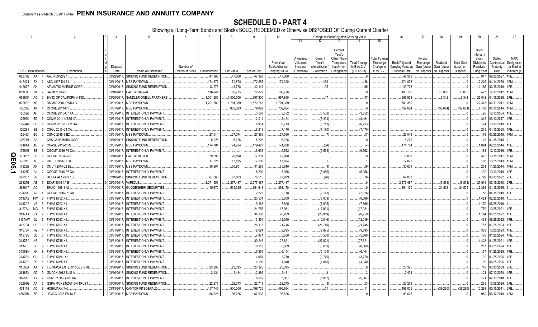SCHEDULE D - PART 4<br>Showing all Long-Term Bonds and Stocks SOLD, REDEEMED or Otherwise DISPOSED OF During Current Quarter

|           |                             | -1              | 2                              | $\mathbf{3}$<br>$\overline{4}$ | 5                                                | 6               | 7             | -8         | 9                  | 10                          |                                     |                                    | Change in Book/Adjusted Carrying Value                      |                                     |                                               | 16                                 | 17                                 | 18                      | 19                             | 20                                                 | 21                                | 22                                      |
|-----------|-----------------------------|-----------------|--------------------------------|--------------------------------|--------------------------------------------------|-----------------|---------------|------------|--------------------|-----------------------------|-------------------------------------|------------------------------------|-------------------------------------------------------------|-------------------------------------|-----------------------------------------------|------------------------------------|------------------------------------|-------------------------|--------------------------------|----------------------------------------------------|-----------------------------------|-----------------------------------------|
|           |                             |                 |                                |                                |                                                  |                 |               |            |                    |                             | 11                                  | 12                                 | 13                                                          | 14                                  | 15                                            |                                    |                                    |                         |                                |                                                    |                                   |                                         |
|           |                             |                 |                                | Disposal                       |                                                  | Number of       |               |            |                    | Prior Year<br>Book/Adjusted | Unrealized<br>Valuation<br>Increase | Current<br>Year's<br>Amortization) | Current<br>Year's<br>Other-Than-<br>Temporary<br>Impairment | <b>Total Change</b><br>in B./A.C.V. | <b>Total Foreign</b><br>Exchange<br>Change in | Book/Adjusted<br>Carrying Value at | Foreign<br>Exchange<br>Gain (Loss) | Realized<br>Gain (Loss) | <b>Total Gain</b><br>(Loss) on | Bond<br>Interest<br>Stock<br>Dividends<br>Received | Stated<br>Contractual<br>Maturity | <b>NAIC</b><br>Designation<br>or Market |
|           | <b>CUSIP</b> Identification |                 | Description                    | Date                           | Name of Purchaser                                | Shares of Stock | Consideration | Par Value  | <b>Actual Cost</b> | Carrying Value              | (Decrease)                          | / Accretion                        | Recognized                                                  | $(11+12-13)$                        | B.A.C.V.                                      | Disposal Date                      | on Disposal                        | on Disposal             | Disposal                       | During Year                                        | Date                              | Indicator (a)                           |
|           | 02377B                      | AA              | AAL 4 09/22/27                 | 03/22/2017                     | SINKING FUND REDEMPTION                          |                 | .47,368       | .47,368    | .47,368            | .47,368                     |                                     |                                    |                                                             |                                     |                                               | .47,368                            |                                    |                         |                                | .947                                               | 09/22/2027                        |                                         |
|           | 045424 EX                   |                 | ASC 1997-D4 B4.                | 03/11/201                      | MBS PAYDOWN.                                     |                 | .174,878      | 174,878    | 172,255            | 174,390                     |                                     | .488                               |                                                             | .488                                |                                               | .174,878                           |                                    |                         |                                | .2,228                                             | 04/14/2029                        | IFM.                                    |
|           | 048677                      | AH              | ATLANTIC MARINE CORP.          | 02/15/201                      | SINKING FUND REDEMPTION.                         |                 | .43,778       | .43,778    | .42,143            |                             |                                     | 95                                 |                                                             | .95                                 |                                               | .43,778                            |                                    |                         |                                | .1,185                                             | 02/15/2048                        |                                         |
|           | 05947U                      | ZK              | BACM 2004-6 E.                 | 01/10/201                      | CALL at 109.428.                                 |                 | .116,841      | 106,775    | 76,879             | .106,776                    |                                     |                                    |                                                             |                                     |                                               | .106,776                           |                                    | .10,065                 | 10,065                         | .497                                               | 12/10/2042                        | <b>IFM</b>                              |
|           | 05990K                      | AC              | BANC OF CALIFORNIA INC         | 03/20/201                      | SANDLER ONEILL PARTNERS.                         |                 | .1,001,250    | 1,000,000  | .997,500           | .997,860                    |                                     | .47                                |                                                             | .47                                 |                                               | .997,908                           |                                    | .3,342                  | .3,342                         | .23,042                                            | 04/15/2025.                       |                                         |
|           | 07383F                      | <b>YR</b>       | BSCMS 2004-PWR3 G              | 03/01/201                      | MBS PAYDOWN.                                     |                 | 1,701,389     | .1,701,389 | 1,522,743          | 1,701,389                   |                                     |                                    |                                                             |                                     |                                               | 1,701,389                          |                                    |                         |                                | .22,443                                            | 02/11/2041                        | 1FM                                     |
|           | 12527E                      | AK              | CFCRE 2011-C1 E.               | 01/01/2017                     | MBS PAYDOWN.                                     |                 |               | 803,623    | 679,062            | 732,684                     |                                     |                                    |                                                             |                                     |                                               | .732,684                           |                                    | .(732,684               | (732, 684)                     | .4,139                                             | 04/15/2044                        |                                         |
|           | 12532B                      | AH              | CFCRE 2016-C7 XA.              | 03/31/2017                     | <b>INTEREST ONLY PAYMENT.</b>                    |                 |               |            | .3,588             | .3,552                      |                                     | (3, 552)                           |                                                             | (3, 552)                            |                                               |                                    |                                    |                         |                                | .98                                                | 12/10/2054                        |                                         |
|           | 12592K                      | <b>BD</b>       | COMM 2014-UBS5 XA              | 03/31/2017                     | INTEREST ONLY PAYMENT.                           |                 |               |            | 12,014             | .8,494                      |                                     | (8, 494)                           |                                                             | (8,494)                             |                                               |                                    |                                    |                         |                                |                                                    | .312 09/10/2047                   |                                         |
|           | 12594M                      | <b>BD</b>       | COMM 2016-COR1 XA              | 03/31/2017                     | INTEREST ONLY PAYMENT.                           |                 |               |            | .6,914             | .6,713                      |                                     | (6, 713)                           |                                                             | (6,713)                             |                                               |                                    |                                    |                         |                                | .174                                               | 10/10/2049.                       |                                         |
|           | 126281                      | BB              | CSAIL 2015-C1 XA               | 03/31/2017                     | INTEREST ONLY PAYMENT.                           |                 |               |            | .8,218             | .7,170                      |                                     | (7, 170)                           |                                                             | (7,170)                             |                                               |                                    |                                    |                         |                                |                                                    | 215 04/15/2050                    |                                         |
|           | 12649X                      | <b>BC</b>       | CSMC 2015-3 B2.                | 03/01/2017                     | MBS PAYDOWN.                                     |                 | .27,044       | .27,044    | .27,365            | .27,050                     |                                     | (7)                                |                                                             | . (7                                |                                               | .27,044                            |                                    |                         |                                |                                                    | .178 03/25/2045.                  |                                         |
|           | 12677#                      | AA              | <b>CVS CAREMARK CORP.</b>      | 03/15/2017                     | SINKING FUND REDEMPTION.                         |                 | .5,226        | .5,226     | .5,226             | .5,226                      |                                     |                                    |                                                             |                                     |                                               | .5,226                             |                                    |                         |                                | .48                                                | 01/15/2040                        |                                         |
|           | 16164A                      | AC              | CHASE 2016-2 M2                | 03/01/2017                     | MBS PAYDOWN.                                     |                 | 174,784       | 174,784    | 179,427            | .174,838                    |                                     | (54)                               |                                                             | (54)                                |                                               | 174,784                            |                                    |                         |                                | 1,024                                              | 02/25/2044.                       |                                         |
|           | 17291E                      | <b>BB</b>       | CGCMT 2016-P6 XA.              | 03/31/2017                     | INTEREST ONLY PAYMENT.                           |                 |               |            | .6,636             | .6,562                      |                                     | (6, 562)                           |                                                             | (6, 562)                            |                                               |                                    |                                    |                         |                                | 184                                                | 12/10/2049.                       |                                         |
| Q<br>m    | 173067                      | EH              | CGCMT 2004-C2 B                | 01/18/2017                     | CALL at 100,000.                                 |                 | .79,898       | .79,898    | 77,301             | .79,898                     |                                     |                                    |                                                             |                                     |                                               | .79,898                            |                                    |                         |                                | .322                                               | 10/15/2041.                       |                                         |
| <b>GO</b> | 17321L                      | AE              | MLTI 2013-J1 B1                | 03/01/2017                     | MBS PAYDOWN.                                     |                 | .17,825       | .17,825    | .17,580            | .17,824                     |                                     |                                    |                                                             |                                     |                                               | .17,825                            |                                    |                         |                                | 106                                                | 10/25/2043.                       |                                         |
|           | 17323E                      | AN              | CMLTI 2014-J2 B2.              | 03/01/201                      | MBS PAYDOWN.                                     |                 | .30,601       | .30,601    | .31,289            | .30,610                     |                                     | (9)                                |                                                             | (9)                                 |                                               | .30,601                            |                                    |                         |                                | .201                                               | 1/25/2044.                        |                                         |
| د         | 17325D                      | AJ              | CGCMT 2016-P5 XA.              | 03/31/2017                     | INTEREST ONLY PAYMENT.                           |                 |               |            | .5,209             | .5,056                      |                                     | (5,056)                            |                                                             | (5,056)                             |                                               |                                    |                                    |                         |                                | .132                                               | 10/10/2049.                       |                                         |
|           | 247367                      | BJ              | DELTA AIR 2007 1B              | 02/10/201                      | SINKING FUND REDEMPTION.                         |                 | .67,863       | .67,863    | 76,515             | .67,939                     |                                     | (76)                               |                                                             | (76)                                |                                               | 67,863                             |                                    |                         |                                | .2,722                                             | 08/10/2022.                       |                                         |
|           | 26827E                      | AE              | ECAF 2015-1A B1<br>- 5         | D 02/24/2017                   | /ARIOUS                                          |                 | .2,271,956    | 2,277,487  | .2,277,487         | 2,277,487                   |                                     |                                    |                                                             | . 0                                 |                                               | .2,277,487                         |                                    | (5,531)                 | (5,531)                        | .27,619                                            | 07/15/2040.                       |                                         |
|           | 268617                      | AC              | EMAC 1998-1 A3.                | 01/04/201                      | <b>GUGGENHEIM SECURITIES</b>                     |                 | .415,672      | .538,325   | .354,643           | .391,170                    |                                     |                                    |                                                             | . 0                                 |                                               | .391,170                           |                                    | 24,502                  | .24,502                        | .2,386                                             | 01/15/2025                        |                                         |
|           | 29429C                      | AJ              | CGCMT 2016-P3 XA               | 03/31/2017                     | <b>INTEREST ONLY PAYMENT.</b>                    |                 |               |            | .2,276             | .2,118                      |                                     | (2, 118)                           |                                                             | (2,118)                             |                                               |                                    |                                    |                         |                                | .58                                                | 04/15/2049                        |                                         |
|           | 3137AB                      | FW              | <b>FHMS K702 X1</b><br>-6      | 03/31/2017                     | INTEREST ONLY PAYMENT                            |                 |               |            | 25,501             | .8,009                      |                                     | (8,009)                            |                                                             | (8,009)                             |                                               |                                    |                                    |                         | . 0                            | .1,421                                             | 02/25/2018                        |                                         |
|           | 3137AE                      | V8              | <b>HMS K703 X1</b>             | 03/31/2011                     | <b>INTEREST ONLY PAYMENT.</b>                    |                 |               |            | .19,183            | .7,895                      |                                     | (7,895)                            |                                                             | (7,895)                             |                                               |                                    |                                    |                         |                                | .1.179                                             | 05/25/2018                        |                                         |
|           | 3137AJ                      | MG              | HMS K016 X1                    | 03/31/201                      | INTEREST ONLY PAYMENT                            |                 |               |            | .24,755            | .17,931                     |                                     | (17,931)                           |                                                             | (17, 931)                           |                                               |                                    |                                    |                         |                                | .779                                               | 10/25/2021                        |                                         |
|           | 3137AT<br>3137AW            | <b>RX</b><br>QJ | HMS K020 X1<br>FHMS K023 X1    | 03/31/2011<br>03/31/201        | INTEREST ONLY PAYMENT.<br>INTEREST ONLY PAYMENT. |                 |               |            | .34,108            | .28,959                     |                                     | (28,959)                           |                                                             | (28, 959)                           |                                               |                                    |                                    |                         |                                | .1,164<br>.438                                     | 05/25/2022.<br>08/25/2022         |                                         |
|           | 3137B1                      | UH              | <b>HMS K027 X1</b>             | 03/31/201                      | INTEREST ONLY PAYMENT.                           |                 |               |            | .13,394            | .12,049                     |                                     | (12,049)                           |                                                             | (12,049)                            |                                               |                                    |                                    |                         |                                | .767                                               | 01/25/2023                        |                                         |
|           | 3137B7                      | N <sub>2</sub>  | FHMS K036 X1                   | 03/31/201                      | <b>INTEREST ONLY PAYMENT</b>                     |                 |               |            | 28,118<br>.12,691  | .21,745<br>.9,895           |                                     | (21,745)<br>(9,895)                |                                                             | (21, 745)<br>(9,895)                |                                               |                                    |                                    |                         |                                | .309                                               | 10/25/2023                        |                                         |
|           | 3137B8                      | G5              | HMS K037 X1                    | 03/31/201                      | <b>INTEREST ONLY PAYMENT.</b>                    |                 |               |            | .7,071             | .5,560                      |                                     | (5,560)                            |                                                             | (5,560)                             |                                               |                                    |                                    |                         |                                | .176                                               | 01/25/2024                        |                                         |
|           | 3137BA                      | HB              | FHMS K715 X1                   | 03/31/201                      | INTEREST ONLY PAYMENT.                           |                 |               |            | .30,246            | .27,821                     |                                     | (27, 821)                          |                                                             | (27, 821)                           |                                               |                                    |                                    |                         |                                |                                                    | 1,423 01/25/2021                  |                                         |
|           | 3137BB                      | <b>BE</b>       | <b>HMS K038 X1</b>             | 03/31/201                      | INTEREST ONLY PAYMENT.                           |                 |               |            | 10,910             | .8,669                      |                                     | (8,669)                            |                                                             | (8,669)                             |                                               |                                    |                                    |                         |                                | .267                                               | 03/25/2024                        |                                         |
|           | 3137BH                      | XK              | <b>HMS K045 X1</b>             | 03/31/201                      | INTEREST ONLY PAYMENT.                           |                 |               |            | .6,351             | .6,104                      |                                     | (6, 104)                           |                                                             | (6, 104)                            |                                               |                                    |                                    |                         |                                | 157                                                | 01/25/2025                        |                                         |
|           | 3137BN                      | GU              | FHMS K054 X1                   | 03/31/201                      | INTEREST ONLY PAYMENT.                           |                 |               |            | .4,054             | .3,770                      |                                     | (3,770)                            |                                                             | (3,770)                             |                                               |                                    |                                    |                         |                                | .92                                                | 01/25/2026                        |                                         |
|           | 3137BS                      | P <sub>9</sub>  | HMS K058 X1                    | 03/31/201                      | INTEREST ONLY PAYMENT.                           |                 |               |            | .4,100             | .4,040                      |                                     | (4,040)                            |                                                             | (4,040)                             |                                               |                                    |                                    |                         |                                | .90                                                | 08/25/2026                        |                                         |
|           | 31503A                      | AA              | FERMACA ENTERPRISES S RL       | 03/30/2011                     | SINKING FUND REDEMPTION.                         |                 | .23,395       | .23,395    | .23,395            | .23,395                     |                                     |                                    |                                                             |                                     |                                               | .23,395                            |                                    |                         |                                | .746                                               | 03/30/2038                        |                                         |
|           | 36186X                      | AD              | GMACN 2012 BLIS A<br>- q       | 03/10/2017                     | SINKING FUND REDEMPTION.                         |                 | .2,434        | .2,434     | .2,386             | .2,431                      |                                     |                                    |                                                             |                                     |                                               | .2,434                             |                                    |                         |                                | . 21                                               | 07/10/2050.                       |                                         |
|           | 36251F                      | AY              | GSMS 2015-GC28 XA.             | 03/31/2011                     | <b>INTEREST ONLY PAYMENT.</b>                    |                 |               |            | .6,552             | .5,067                      |                                     | (5,067)                            |                                                             | (5,067)                             |                                               |                                    |                                    |                         |                                | .171                                               | 02/10/2048.                       |                                         |
|           | 36298G                      | AA              | <b>GSPA MONETIZATION TRUST</b> | 03/09/201                      | SINKING FUND REDEMPTION.                         |                 | .22,273       | .22,273    | .22,718            | .22,275                     |                                     | (3)                                |                                                             | (3)                                 |                                               | .22,273                            |                                    |                         |                                | .239                                               | 10/09/2029.                       |                                         |
|           | 431116                      | AC              | <b>HIGHMARK INC.</b>           | 03/13/2017                     | CANTOR FITZGERALD.                               |                 | .457,745      | 500,000    | 496,725            | 496,994                     |                                     | .11                                |                                                             | .11                                 |                                               | .497,005                           |                                    | (39,260)                | (39, 260)                      | 10,293                                             | 05/15/2041.                       |                                         |
|           | 46625M ZE                   |                 | JPMCC 2003-PM1A F<br>2         | 03/01/2017                     | <b>MBS PAYDOWN.</b>                              |                 | .96,626       | 96,626     | .67,638            | .96,626                     |                                     |                                    |                                                             |                                     |                                               | .96,626                            |                                    |                         |                                | 969                                                | 08/12/2040.                       |                                         |
|           |                             |                 |                                |                                |                                                  |                 |               |            |                    |                             |                                     |                                    |                                                             |                                     |                                               |                                    |                                    |                         |                                |                                                    |                                   |                                         |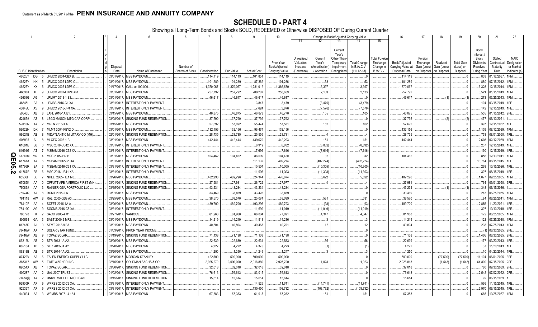SCHEDULE D - PART 4<br>Showing all Long-Term Bonds and Stocks SOLD, REDEEMED or Otherwise DISPOSED OF During Current Quarter

|   |                             |                 | 2                                               | 4                         | 5                                              | 6               | 7                 | -8                | -9                 | 10                 |                         |                   |                                              | Change in Book/Adjusted Carrying Value |                                  | 16                  | 17                  | 18          | 19                | 20                                     | 21                        | 22                         |
|---|-----------------------------|-----------------|-------------------------------------------------|---------------------------|------------------------------------------------|-----------------|-------------------|-------------------|--------------------|--------------------|-------------------------|-------------------|----------------------------------------------|----------------------------------------|----------------------------------|---------------------|---------------------|-------------|-------------------|----------------------------------------|---------------------------|----------------------------|
|   |                             |                 |                                                 |                           |                                                |                 |                   |                   |                    |                    | 11                      |                   | 13                                           |                                        | 15                               |                     |                     |             |                   |                                        |                           |                            |
|   |                             |                 |                                                 |                           |                                                |                 |                   |                   |                    | Prior Year         | Unrealized<br>Valuation | Current<br>Year's | Current<br>Year's<br>Other-Than<br>Temporary | <b>Total Change</b>                    | <b>Total Foreigr</b><br>Exchange | Book/Adjusted       | Foreign<br>Exchange | Realized    | <b>Total Gain</b> | Bond<br>Interest<br>Stock<br>Dividends | Stated<br>Contractual     | <b>NAIC</b><br>Designation |
|   |                             |                 |                                                 | Disposal                  |                                                | Number of       |                   |                   |                    | Book/Adjusted      | Increase                | Amortization)     | Impairment                                   | in $B.A.C.V.$                          | Change in                        | Carrying Value at   | Gain (Loss)         | Gain (Loss  | (Loss) on         | Received                               | Maturity                  | or Market                  |
|   | <b>CUSIP</b> Identification |                 | Description                                     | Date                      | Name of Purchaser                              | Shares of Stock | Consideration     | Par Value         | <b>Actual Cost</b> | Carrying Value     | (Decrease)              | / Accretion       | Recognized                                   | $(11+12-13)$                           | <b>B./A.C.V.</b>                 | Disposal Date       | on Disposal         | on Disposal | Disposal          | During Year                            | Date                      | Indicator (a)              |
|   | 46625Y                      | DG<br>-5        | JPMCC 2004-CBX B.                               | 03/01/2017.               | <b>MBS PAYDOWN</b>                             |                 | .114,119          | 114,119           | 101,851            | .114,119           |                         |                   |                                              |                                        |                                  | 114,119             |                     |             |                   | .803                                   | 01/12/2037                | IFM.                       |
|   | 46625Y                      | <b>NK</b>       | JPMCC 2005-LDP2 C.                              | 03/01/2017                | <b>MBS PAYDOWN</b>                             |                 | .101,289          | .101,289          | .87,362            | .101,236           |                         | .53               |                                              | .53                                    |                                  | 101,289             |                     |             |                   | .880                                   | 07/15/2042                | FM.                        |
|   | 46625Y                      | XX              | JPMCC 2005-LDP5 C.                              | 01/17/2017                | CALL at 100.000.                               |                 | .1,370,067        | 1,370,067         | 1,281,012          | 1,366,670          |                         | .3,397            |                                              | .3,397                                 |                                  | 1,370,067           |                     |             |                   | .6,328                                 | 12/15/2044                |                            |
|   | 46630J                      | AE              | JPMCC 2007-LDPX AM                              | 03/01/201                 | <b>MBS PAYDOWN</b>                             |                 | .257,792          | .257,792          | .208,207           | 255,659            |                         | .2,133            |                                              | .2,133                                 |                                  | .257,792            |                     |             |                   | .3,521                                 | 01/15/2049                |                            |
|   | 46639G                      | AG              | JPMMT 2013-1 B3                                 | 03/01/2017                | MBS PAYDOWN.                                   |                 | 46,617            | 46,617            | .46,617            | .46,617            |                         |                   |                                              |                                        |                                  | .46,617             |                     |             |                   | .273                                   | 03/25/2043                |                            |
|   | 46645L                      | BA              | JPMBB 2016-C1 XA                                | 03/31/201                 | <b>INTEREST ONLY PAYMENT</b>                   |                 |                   |                   | .3,847             | .3,479             |                         | (3, 479)          |                                              | (3, 479)                               |                                  |                     |                     |             |                   | 104                                    | 03/15/2049                |                            |
|   | 46645U                      | AV              | JPMCC 2016-JP4 XA                               | 03/31/2017                | INTEREST ONLY PAYMENT                          |                 |                   |                   | .7,624             | 3,876              |                         | (7, 576)          |                                              | (7,576)                                |                                  |                     |                     |             |                   | 142                                    | 12/15/2049                |                            |
|   | 50543L                      | AB              | LAFL 2016-1A B1                                 | 03/15/2017                | MBS PAYDOWN.                                   |                 | 46,875            | 46,875            | 46,873             | .46,770            |                         | .105              |                                              | .105                                   |                                  | .46,875             |                     |             |                   | 555                                    | 01/15/2042.               |                            |
|   | 52465#<br>59010R            | AZ              | <b>LEGG MASON MTG CAP CORP</b><br>MRLN 2016-1 A | 03/08/201<br>03/15/2017   | SINKING FUND REDEMPTION.<br><b>MBS PAYDOWN</b> |                 | .37,790           | 37,790            | .37,792            | .37,792<br>.57,531 |                         | .162              |                                              |                                        |                                  | .37,792             |                     |             | (2)               | 477<br>.397                            | 06/10/2021                |                            |
|   |                             | AA              | MLMT 2004-KEY2 D.                               |                           |                                                |                 | 57,692<br>132,156 | 57,692<br>132,156 | 55,474             | 132,156            |                         |                   |                                              | .162                                   |                                  | .57,692<br>.132,156 |                     |             |                   |                                        | 12/15/2032.               |                            |
|   | 59022H<br>59524E            | DX<br>AB        | MIDATLANTIC MILITARY CO (MH).                   | 03/01/2017.<br>02/01/2017 | MBS PAYDOWN.<br>SINKING FUND REDEMPTION.       |                 | .28,735           | .28,735           | 96,474             | .28,731            |                         |                   |                                              |                                        |                                  | .28,735             |                     |             |                   | .1,139<br>.753                         | 08/12/2039<br>08/01/2050. |                            |
|   | 606935                      | AL              | <b>MLCFC 2006-1B</b>                            |                           | <b>MBS PAYDOWN</b>                             |                 | .442.444          | 442,444           | .25,555<br>439,679 | 442,293            |                         | .151              |                                              | .151                                   |                                  | .442,444            |                     |             |                   | .2.603                                 | 02/12/2039                |                            |
|   | 61691E                      | BB              | MSC 2016-UB12 XA.                               | 03/01/2017<br>03/31/2017  | <b>INTEREST ONLY PAYMENT</b>                   |                 |                   |                   | 8,919              | .8,832             |                         | (8, 832)          |                                              | (8,832)                                |                                  |                     |                     |             |                   | .237                                   | 12/15/2049.               |                            |
|   | 61691G                      | AT              | MSBAM 2016-C32 XA                               | 03/31/2017                | INTEREST ONLY PAYMENT                          |                 |                   |                   | .7,696             | 7,616              |                         | (7,616)           |                                              | (7,616)                                |                                  |                     |                     |             |                   | 190                                    | 12/15/2049.               |                            |
| Q | 61745M                      | W7              | MSC 2005-T17 B                                  | 03/01/2017                | MBS PAYDOWN.                                   |                 | 104,462           | 104,462           | 88,009             | 104,430            |                         | .32               |                                              | .32                                    |                                  | .104,462            |                     |             |                   | 856                                    | 12/13/2041                |                            |
| Ш | 61761A                      | AA<br>-6        | MSBAM 2012-C5 XA.                               | 03/31/2017                | <b>INTEREST ONLY PAYMENT</b>                   |                 |                   |                   | 511,132            | 402,274            |                         | (402, 274)        |                                              | (402, 274)                             |                                  |                     |                     |             |                   | 13,764                                 | 08/15/2045.               |                            |
| ဌ | 61766R                      | <b>BA</b><br>-3 | <b>MSBAM 2016-C31 XA</b>                        | 03/31/2017                | INTEREST ONLY PAYMENT                          |                 |                   |                   | 10,504             | 10,305             |                         | (10, 305)         |                                              | (10, 305)                              |                                  |                     |                     |             |                   | .268                                   | 10/15/2026.               |                            |
| N | 61767F                      | BB              | MSC 2016-UB11 XA                                | 03/31/2017                | INTEREST ONLY PAYMENT                          |                 |                   |                   | .11,906            | .11,303            |                         | (11,303)          |                                              | (11, 303)                              |                                  |                     |                     |             |                   | .307                                   | 08/15/2049                |                            |
|   | 65536H                      | BE              | NHELI 2005-HE1 M3.                              | 03/26/2017                | MBS PAYDOWN.                                   |                 | 482,296           | 482,296           | .324,344           | 476,674            |                         | .5,622            |                                              | .5,622                                 |                                  | .482,296            |                     |             |                   | .1,077                                 | 09/25/2035.               |                            |
|   | 67085K                      | AA              | OFFUTT AFB AMERICA FIRST (MH)                   | 03/01/201                 | SINKING FUND REDEMPTION.                       |                 | .27,981           | 27,981            | .26,722            | 27,977             |                         |                   |                                              |                                        |                                  | .27,981             |                     |             |                   | .764                                   | 09/01/2050                |                            |
|   | 75086#                      | AA              | RAINIER GSA PORTFOLIO LLC                       | 03/15/201                 | SINKING FUND REDEMPTION.                       |                 | 43,234            | 43,234            | 43,234             | .43,234            |                         |                   |                                              | 0                                      |                                  | .43,234             |                     |             | (1                | .348                                   | 06/15/2036                |                            |
|   | 75574Q                      | AA<br>-8        | RCMT 2015-2 A.                                  | 03/01/2017                | <b>MBS PAYDOWN</b>                             |                 | .33,469           | 33,469            | .33,428            | .33,469            |                         |                   |                                              | 0                                      |                                  | .33,469             |                     |             |                   | .213                                   | 06/25/2055.               |                            |
|   | 761118                      | AW              | RALI 2005-QS9 A3.                               | 03/25/2017                | <b>MBS PAYDOWN</b>                             |                 | 38,570            | 38,570            | 25,074             | .38,039            |                         | .531              |                                              | .531                                   |                                  | .38,570             |                     |             | . 0               | .84                                    | 06/25/2041                | FM                         |
|   | 78410F                      | AA              | <b>SCFET 2016-1A A</b>                          | 03/20/201                 | MBS PAYDOWN.                                   |                 | 489,700           | 489,700           | 493,296            | 489,793            |                         | (93)              |                                              | (93)                                   |                                  | .489,700            |                     |             |                   | .2,856                                 | 1/20/2021                 |                            |
|   | 78419C                      | AG              | <b>SGCMS 2016-C5 XA</b>                         | 03/31/201                 | <b>INTEREST ONLY PAYMENT</b>                   |                 |                   |                   | 11,699             | 11,019             |                         | (11,019)          |                                              | (11,019)                               |                                  |                     |                     |             |                   | .307                                   | 10/10/2048                |                            |
|   | 785778                      | <b>FK</b>       | SACO 2005-4 M1                                  | 03/27/201                 | /ARIOUS.                                       |                 | .81,968           | .81,968           | 66,804             | .77,621            |                         | .4,347            |                                              | .4,347                                 |                                  | .81,968             |                     |             |                   | .172                                   | 06/25/2035.               | <b>IFM</b>                 |
|   | 805564                      | GA              | SAST 2000-2 MF2                                 | 03/01/201                 | <b>MBS PAYDOWN</b>                             |                 | 14,219            | 14,219            | .11,518            | 14,216             |                         |                   |                                              |                                        |                                  | .14,219             |                     |             |                   | 122                                    | 07/25/2030                |                            |
|   | 81745D                      | AJ              | SEMT 2013-9 B3.                                 | 03/01/2017                | MBS PAYDOWN.                                   |                 | 40,804            | 40,804            | 39,465             | .40,791            |                         | .12               |                                              | .12                                    |                                  | .40,804             |                     |             |                   | .238                                   | 07/25/2043                |                            |
|   | 83416W                      | AA              | <b>SOLAR STAR FUND</b>                          | 01/03/201                 | PRIOR YEAR INCOME.                             |                 |                   |                   |                    |                    |                         |                   |                                              |                                        |                                  |                     |                     |             |                   |                                        | 06/30/2035.               |                            |
|   | 83416W                      | AB              | <b>TOPAZ SOLAR.</b>                             | 01/19/201                 | SINKING FUND REDEMPTION                        |                 | .71.138           | 71,138            | 71,138             | 71,138             |                         |                   |                                              |                                        |                                  | 71,138              |                     |             |                   | 1,405                                  | 06/30/2035.               |                            |
|   | 86212U                      | AB              | STR 2013-1A A2.                                 | 03/20/201                 | <b>MBS PAYDOWN</b>                             |                 | 22,639            | 22,639            | .22,631            | .22,583            |                         | .56               |                                              | .56                                    |                                  | .22,639             |                     |             |                   | 177                                    | 03/20/2043                |                            |
|   | 86213A                      | AB              | STR 2013-3A A2.                                 | 03/20/201                 | <b>MBS PAYDOWN</b>                             |                 | .4,222            | 4,222             | .4,375             | .4,223             |                         |                   |                                              | (1)                                    |                                  | .4,222              |                     |             |                   | 37                                     | 1/20/2043                 |                            |
|   | 86213B                      | AB              | STR 2014-1A A2.                                 | 03/20/201                 | <b>MBS PAYDOWN.</b>                            |                 | .1,250            | .1,250            | .1,249             | .1,247             |                         |                   |                                              |                                        |                                  | .1,250              |                     |             |                   |                                        | 04/20/2044                |                            |
|   | 87422V                      | AA              | TALEN ENERGY SUPPLY LLC                         | 03/30/201                 | <b>MORGAN STANLEY.</b>                         |                 | 422,500           | .500,000          | .500,000           | .500,000           |                         |                   |                                              |                                        |                                  | .500,000            |                     | (77,500)    | (77, 500)         | .11.104                                | 06/01/2025.               |                            |
|   | 887317                      | AW              | TIME WARNER INC                                 | 02/15/2017                | GOLDMAN SACHS & CO.                            |                 | .2,925,270        | .3,000,000        | .2,918,880         | .2,925,790         |                         | .1,023            |                                              | .1,023                                 |                                  | .2,926,813          |                     | (1,543)     | (1,543)           | .64,800                                | 07/15/2025                |                            |
|   | 89054X                      | AB              | TOPAZ SOLAR.                                    | 03/30/2017                | SINKING FUND REDEMPTION                        |                 | .32,018           | .32,018           | .32,018            | .32,018            |                         |                   |                                              |                                        |                                  | .32,018             |                     |             |                   | .780                                   | 09/30/2039.               |                            |
|   | 909287                      | AA              | UAL 2007 TRUST                                  | 01/02/2017                | SINKING FUND REDEMPTION.                       |                 | .76,613           | .76,613           | .83,015            | 76,613             |                         |                   |                                              |                                        |                                  | 76,613              |                     |             |                   | .2.542                                 | 07/02/2022                |                            |
|   | 91474@                      | AA              | UNIVERSITY OF MICHIGAN                          | 03/15/2017                | SINKING FUND REDEMPTION.                       |                 | 15,614            | 15,614            | 15,614             | .15,614            |                         |                   |                                              |                                        |                                  | .15,614             |                     |             |                   | .92                                    | 06/15/2039                |                            |
|   | 92930R                      | AF              | <b>WFRBS 2012-C9 XA</b>                         | 03/31/2017                | <b>INTEREST ONLY PAYMENT</b>                   |                 |                   |                   | 14,525             | .11,741            |                         | (11,741)          |                                              | (11,741)                               |                                  |                     |                     |             |                   | 566                                    | 11/15/2045.               |                            |
|   | 92936T                      | AF<br>- q       | WFRBS 2012-C7 XA.                               | 03/31/2017                | <b>INTEREST ONLY PAYMENT</b>                   |                 |                   |                   | 130,450            | 103,732            |                         | (103,732)         |                                              | (103, 732)                             |                                  |                     |                     |             |                   | .2,970                                 | 06/15/2045.               |                            |
|   | 949834                      | AA<br>-3        | WFMBS 2007-14 1A1                               | 03/01/2017.               | <b>MBS PAYDOWN</b>                             |                 | 67,383            | 67,383            | 61,915             | .67,232            |                         | .151              |                                              | .151                                   |                                  | .67.383             |                     |             |                   | 665                                    | 10/25/2037                |                            |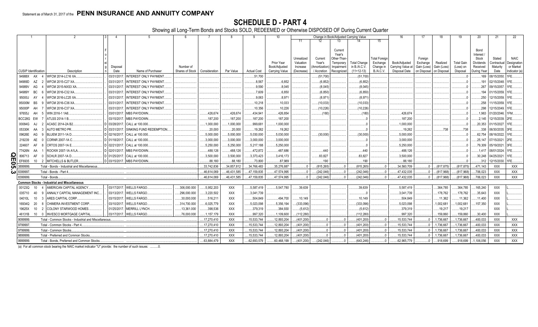# **SCHEDULE D - PART 4**

Showing all Long-Term Bonds and Stocks SOLD, REDEEMED or Otherwise DISPOSED OF During Current Quarter

|                |          |                             |                                                       |               | -5                             |                 |               | -8          |                    | 10                    |            | 12            | Change in Book/Adjusted Carrying Value<br>13 |                     |                  | 16                | 17                      | 18             | 19                | -20         | 21                 | 22            |
|----------------|----------|-----------------------------|-------------------------------------------------------|---------------|--------------------------------|-----------------|---------------|-------------|--------------------|-----------------------|------------|---------------|----------------------------------------------|---------------------|------------------|-------------------|-------------------------|----------------|-------------------|-------------|--------------------|---------------|
|                |          |                             |                                                       |               |                                |                 |               |             |                    |                       | 11         |               |                                              |                     | 15               |                   |                         |                |                   |             |                    |               |
|                |          |                             |                                                       |               |                                |                 |               |             |                    |                       |            |               | Current                                      |                     |                  |                   |                         |                |                   | Bond        |                    |               |
|                |          |                             |                                                       |               |                                |                 |               |             |                    |                       |            |               | Year's                                       |                     |                  |                   |                         |                |                   | Interest    |                    |               |
|                |          |                             |                                                       |               |                                |                 |               |             |                    |                       | Unrealized | Current       | Other-Than-                                  |                     | Total Foreign    |                   | Foreian                 |                |                   | Stock       | Stated             | <b>NAIC</b>   |
|                |          |                             |                                                       |               |                                |                 |               |             |                    | <b>Prior Year</b>     | Valuation  | Year's        | Temporary                                    | <b>Total Change</b> | Exchange         | Book/Adjusted     | Exchange                | Realized       | <b>Total Gain</b> | Dividends   | Contractua         | Designation   |
|                |          |                             |                                                       | Disposal      |                                | Number of       |               |             |                    | Book/Adjusted         | Increase   | Amortization) | Impairment                                   | in B./A.C.V         | Change in        | Carrying Value at | Gain (Loss)             | Gain (Loss)    | (Loss) on         | Received    | Maturity           | or Market     |
|                |          | <b>CUSIP</b> Identification | Description                                           | Date          | Name of Purchaser              | Shares of Stock | Consideration | Par Value   | <b>Actual Cost</b> | <b>Carrying Value</b> | (Decrease) | Accretion     | Recognized                                   | $(11+12-13)$        | <b>B./A.C.V.</b> | Disposal Date     | on Disposal on Disposal |                | Disposal          | During Year | Date               | Indicator (a) |
|                | 94988X   | AX 4                        | WFCM 2014-LC16 XA.                                    | 03/31/2017.   | <b>INTEREST ONLY PAYMENT</b>   |                 |               |             | .51,700            |                       |            | (51,700)      |                                              | (51,700)            |                  |                   |                         |                |                   |             | .169 08/15/2050.   | 1FF           |
|                | 94989D   | AZ<br>$\overline{2}$        | WFCM 2015-C27 XA.                                     | 03/31/2017.   | <b>INTEREST ONLY PAYMENT</b>   |                 |               |             | .8,567             | .6,852                |            | (6, 852)      |                                              | (6,852)             |                  |                   |                         |                |                   |             | 191 02/15/2048.    | 1FF           |
|                | 94989V   | AG                          | WFCM 2015-NXS3 XA                                     | 03/31/2017    | INTEREST ONLY PAYMENT.         |                 |               |             | 9,590              | .8,045                |            | (8,045)       |                                              | (8,045)             |                  |                   |                         |                |                   | 267         | 09/15/2057         |               |
|                | 94989Y   | <b>BC</b><br>- 6            | WFCM 2016-C32 XA                                      | 03/31/201     | <b>INTEREST ONLY PAYMENT.</b>  |                 |               |             | .7,609             | .6,850                |            | (6,850)       |                                              | (6,850)             |                  |                   |                         |                |                   |             | 194 01/15/2059.    |               |
|                | 95000J   | AY                          | WFCM 2016-LC25 XA.                                    | 03/31/201     | <b>INTEREST ONLY PAYMENT</b>   |                 |               |             | 9,063              | .8,971                |            | (8,971)       |                                              | (8,971)             |                  |                   |                         |                |                   | 250         | 12/15/2059.        |               |
|                | 95000M   | <b>BS</b>                   | WFCM 2016-C36 XA                                      | 03/31/201     | <b>INTEREST ONLY PAYMENT</b>   |                 |               |             | 10,218             | 10,033                |            | (10,033)      |                                              | (10, 033)           |                  |                   |                         |                |                   | 258         | 11/15/2059.        | 1FF           |
|                | 95000P   | AH                          | WFCM 2016-C37 XA                                      | 03/31/201     | <b>INTEREST ONLY PAYMENT</b>   |                 |               |             | .10,356            | 10,226                |            | (10,226)      |                                              | (10, 226)           |                  |                   |                         |                |                   | 298         | 12/15/2049.        | 1FF           |
|                | 97655J   | AH                          | WIN 2016-1 1A8.                                       | 03/01/201     | MBS PAYDOWN.                   |                 | 426,674       | .426,674    | 434,941            | 426,854               |            | (180)         |                                              | (180)               |                  | .426,674          |                         |                |                   | 1,963       | 01/20/2046.        |               |
|                | BCC28G   | EW                          | ATLSS 2014-1 B.                                       | 03/15/201     | <b>MBS PAYDOWN</b>             |                 | .187,200      | 187,200     | 187,200            | 187,200               |            |               |                                              |                     |                  | .187,200          |                         |                |                   | .2.145      | 12/15/2039.        |               |
|                | 00084G   | AJ                          | ACASC 2014-2A B2                                      | 03/28/2017.   | CALL at 100,000.               |                 | .1,000,000    | 1,000,000   | 999,681            | 1,000,000             |            |               |                                              |                     |                  | .1,000,000        |                         |                |                   | .20.353     | 01/15/2027.        |               |
|                |          |                             |                                                       |               |                                |                 |               |             |                    |                       |            |               |                                              |                     |                  |                   |                         |                |                   |             |                    |               |
|                | 05330K   | -3<br>AA                    | AUTO METRO PR.                                        | 03/31/2017.   | <b>SINKING FUND REDEMPTION</b> |                 | .20,000       | .20,000     | .19,262            | 19,262                |            |               |                                              |                     |                  | .19,262           |                         | 738            | .738              | .338        | 06/30/2035. 3FE    |               |
|                | 09626E   | AG<br>-9                    | BLUEM 2011-1A D.                                      |               |                                |                 | .5,000,000    | .5,000,000  | .5,030,000         | .5,030,000            |            | (30,000)      |                                              | (30,000)            |                  | 5.000.000         |                         |                |                   | .62.754     | 08/16/2022.        |               |
|                | 219239   | AE                          | CORNR 2007-1A C.                                      | 01/18/2017.   | CALL at 100,000.               |                 | .3,000,000    | .3,000,000  | .3,000,000         | .3.000.000            |            |               |                                              |                     |                  | .3.000.000        |                         |                |                   | .25,147     | 07/15/2021.        | 2FE           |
|                | 224607   | AF                          | CRTOS 2007-1A E.                                      | 02/21/2017.   | CALL at 100.000.               |                 | .5,250,000    | .5,250,000  | .5,217,188         | .5,250,000            |            |               |                                              |                     |                  | .5,250,000        |                         |                |                   | 79,309      | 05/19/2021.        | 3FF           |
|                | 77426N   | AA                          | ROCKW 2007-1A A1LA                                    | D 02/01/2017. | <b>MBS PAYDOWN</b>             |                 | .488.126      | 488,126     | 472,872            | .487,686              |            | .440          |                                              | .440                |                  | 488,126           |                         |                |                   |             | .1.417 08/01/2024. | 1FF           |
| C              | 806713   | AF<br>$\cap$                | SCHLR 2007-1A D.                                      | D 01/25/2017. | CALL at 100.000.               |                 | .3,500,000    | .3,500,000  | 3,373,423          | .3,416,173            |            | .83,827       |                                              | 83,827              |                  | .3,500,000        |                         |                |                   | .30,248     | 04/25/2021         | 1FE.          |
| Ш<br>$\bullet$ | EF6935   | 10                          | <b>IMITCHELLS &amp; BUTLER</b>                        |               |                                |                 | 88,180        | .88,180     | 73,800             | 87,989                |            | .190          |                                              | .190                |                  | .88,180           |                         |                |                   |             | 312 12/15/2030.    | 1FE.          |
| ū              | 3899999  |                             | Total - Bonds - Industrial and Miscellaneous          |               |                                |                 | .33.742.836   | .34.857.812 | 34.766.483         | 35.276.887            |            | (815, 265)    |                                              | (815, 265)          |                  | .34.560.709       |                         | (817.875       | (817.875)         | .471,143    | <b>XXX</b>         | <b>XXX</b>    |
| ພ              | 8399997  |                             | Total - Bonds - Part 4.                               |               |                                |                 | .46,614,069   | .46,431,585 | 47,159,835         | .47,574,995           |            | (242,046)     |                                              | (242,046)           |                  | .47,432,035       |                         | . (817, 968)   | (817,968)         | .706,023    | <b>XXX</b>         | XXX           |
|                | 8399999  |                             | Total - Bonds.                                        |               |                                |                 | .46.614.069   | .46.431.585 | 47,159,835         | .47,574,995           |            | (242.046)     |                                              | (242.046)           |                  | .47,432,035       |                         | . (817, 968)   | (817,968)         | 706,023     | XXX                | <b>XXX</b>    |
|                |          |                             | <b>Common Stocks - Industrial and Miscellaneous</b>   |               |                                |                 |               |             |                    |                       |            |               |                                              |                     |                  |                   |                         |                |                   |             |                    |               |
|                | 00123Q   | 10                          | AMERICAN CAPITAL AGENCY                               |               | 03/17/2017. WELLS FARGO        | .306,000.000    | 5,952,203     | <b>XXX</b>  | 5,587,419          | .5,547,780            | 39,639     |               |                                              | .39,639             |                  | .5,587,419        |                         | .364,785       | .364,785          | 165,240     | <b>XXX</b>         |               |
|                | 035710   | 40                          | ANNALY CAPITAL MANAGEMENT INC                         | 03/13/2017    | <b>WELLS FARGO</b>             | .296,000.000    | 3,220,502     | <b>XXX</b>  | .3,041,739         |                       |            |               |                                              |                     |                  | .3,041,739        |                         | .178,762       | .178,762          | 35,643      | XXX                |               |
|                | 04010L   | 10                          | ARES CAPITAL CORP.                                    | 03/15/2017.   | <b>WELLS FARGO</b>             | 30.000.000      | .516,211      | <b>XXX</b>  | .504,849           | .494.700              | 10.149     |               |                                              | 10,149              |                  | 504,849           |                         | 11,362         | .11,362           | 11,400      | <b>XXX</b>         |               |
|                | 16934Q   | 20                          | CHIMERA INVESTMENT CORP.                              | 03/10/201     | <b>WELLS FARGO.</b>            | 314,700.000     | .6,025,779    | <b>XXX</b>  | 5,023,098          | .5,356,194            | (333,096)  |               |                                              | (333,096)           |                  | .5,023,098        |                         | 1,002,681      | 1,002,681         | .157,350    | <b>XXX</b>         |               |
|                | 19625X   | 10 <sup>10</sup>            | <b>COLONY STARWOOD HOMES</b>                          | 01/25/201     | <b>MERRILL LYNCH.</b>          | .13,361.000     | .398,536      | XXX         | .379,319           | 384,930               | (5,612)    |               |                                              | (5,612)             |                  | .379,319          |                         | .19,217        | .19,217           |             | XXX                |               |
|                | 46131B   | 10                          | <b>INVESCO MORTGAGE CAPITAL</b>                       |               | 03/17/2017. WELLS FARGO        | 76.000.000      | 1.157.179     | <b>XXX</b>  | 997.320            | .1.109.600            | (112.280)  |               |                                              | (112.280)           |                  | .997.320          |                         | 159.860        | 159.860           | .30.400     | <b>XXX</b>         |               |
|                | 9099999. |                             | Total - Common Stocks - Industrial and Miscellaneous. |               |                                |                 | .17,270,410   | <b>XXX</b>  | .15,533,744        | .12,893,204           | (401, 200) | $0$           |                                              | (401, 200)          | $\Omega$         | .15,533,744       |                         | 1,736,667      | .1,736,667        | .400,033    | <b>XXX</b>         | <b>XXX</b>    |
|                |          |                             |                                                       |               |                                |                 | .17,270,410   | <b>XXX</b>  | 15,533,744         | 12,893,204            | (401, 200) | 0             |                                              | (401, 200)          | $\mathbf{0}$     | 15,533,744        | $\Omega$                | 1,736,667      | 1,736,667         | .400,033    | XXX                |               |
|                | 9799997  |                             | Total - Common Stocks - Part 4                        |               |                                |                 |               |             |                    |                       |            |               |                                              |                     |                  |                   |                         |                |                   |             |                    | XXX           |
|                | 9799999. |                             | <b>Total - Common Stocks</b>                          |               |                                |                 | .17,270,410   | XXX         | .15,533,744        | 12,893,204            | (401,200). | 0             |                                              | (401, 200)          | - 0              | .15,533,744       |                         | $0$ .1,736,667 | .1,736,667        | .400,033    | <b>XXX</b>         | XXX           |
|                | 9899999  |                             | Total - Preferred and Common Stocks.                  |               |                                |                 | 17,270,410    | <b>XXX</b>  | 15.533.744         | 12.893.204            | (401.200)  |               |                                              | (401, 200)          |                  | 15.533.744        |                         | 1.736.667      | .1,736,667        | .400.033    | <b>XXX</b>         | XXX           |
|                | 9999999. |                             | Total - Bonds, Preferred and Common Stocks.           |               |                                |                 | 63.884.479    | <b>XXX</b>  | .62.693.579        | 60,468,199            | (401, 200) | (242.046)     |                                              | (643, 246)          |                  | 62.965.779        |                         | .918.699       | .918,699          | .1,106,056  | <b>XXX</b>         | <b>XXX</b>    |

(a) For all common stock bearing the NAIC market indicator "U" provide: the number of such issues: ..........0.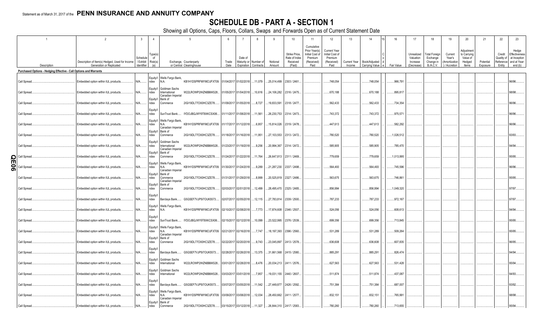# **SCHEDULE DB - PART A - SECTION 1**

Showing all Options, Caps, Floors, Collars, Swaps and Forwards Open as of Current Statement Date

|             |                                                                   | $\overline{2}$                                                             | $\overline{3}$                    | $\overline{4}$                  | 5                                                                                                                                    | -6            |                                                          | 8             | 9                  | 10 <sup>10</sup>                                     | 11<br>Cumulative                                                  | 12                                                                      | 13                     | 14                                | 16         | 17                                                | 18                                                         | 19                                                  | 20                                                       | 21                    | 22                             | 23                                                                          |
|-------------|-------------------------------------------------------------------|----------------------------------------------------------------------------|-----------------------------------|---------------------------------|--------------------------------------------------------------------------------------------------------------------------------------|---------------|----------------------------------------------------------|---------------|--------------------|------------------------------------------------------|-------------------------------------------------------------------|-------------------------------------------------------------------------|------------------------|-----------------------------------|------------|---------------------------------------------------|------------------------------------------------------------|-----------------------------------------------------|----------------------------------------------------------|-----------------------|--------------------------------|-----------------------------------------------------------------------------|
|             | Description                                                       | Description of Item(s) Hedged, Used for Income<br>Generation or Replicated | Schedule<br>Exhibit<br>Identifier | Type(s)<br>of<br>Risk(s)<br>(a) | Exchange, Counterparty<br>or Central Clearinghouse                                                                                   | Trade<br>Date | Date of<br>Maturity or Number of<br>Expiration Contracts |               | Notional<br>Amount | Strike Price.<br>Rate of Index<br>Received<br>(Paid) | Prior Year(s)<br>Initial Cost of<br>Premium<br>(Received)<br>Paid | <b>Current Year</b><br>Initial Cost of<br>Premium<br>(Received)<br>Paid | Current Year<br>Income | Book/Adjusted<br>Carrying Value e | Fair Value | Unrealized<br>Valuation<br>Increase<br>(Decrease) | <b>Total Foreign</b><br>Exchange<br>Change in<br>B./A.C.V. | Current<br>Year's<br>(Amortization<br>) / Accretion | Adjustment<br>to Carrying<br>Value of<br>Hedged<br>Items | Potential<br>Exposure | Credit<br>Quality of<br>Entity | Hedge<br>Effectiveness<br>at Inception<br>Reference and at Year-<br>end (b) |
|             | Purchased Options - Hedging Effective - Call Options and Warrants |                                                                            |                                   |                                 |                                                                                                                                      |               |                                                          |               |                    |                                                      |                                                                   |                                                                         |                        |                                   |            |                                                   |                                                            |                                                     |                                                          |                       |                                |                                                                             |
|             |                                                                   |                                                                            |                                   |                                 |                                                                                                                                      |               |                                                          |               |                    |                                                      |                                                                   |                                                                         |                        |                                   |            |                                                   |                                                            |                                                     |                                                          |                       |                                |                                                                             |
|             | Call Spread.                                                      | Embedded option within IUL products                                        | N/A                               | ndex                            | Equity/I   Wells Fargo Bank,<br>N.A.<br>KB1H1DSPRFMYMCUFXT09.                                                                        |               | 01/04/2017 01/02/2018 11,079                             |               | .25,014,499        | 2303 / 2461                                          |                                                                   | 748,054                                                                 |                        | 748,054                           | .966,791   |                                                   |                                                            |                                                     |                                                          |                       |                                | 96/96.                                                                      |
|             | Call Spread.                                                      | Embedded option within IUL products                                        | N/A                               | Equity/I<br>ndex                | Goldman Sachs<br>W22LROWP2IHZNBB6K528<br>International<br>Canadian Imperial                                                          |               | 01/05/2017 01/04/2018 10,616                             |               | .24,106,282        | 2316 / 2475                                          |                                                                   | 670,188                                                                 |                        | .670,188                          | .895,817   |                                                   |                                                            |                                                     |                                                          |                       |                                | 98/98.                                                                      |
|             | Call Spread.                                                      | Embedded option within IUL products                                        | N/A                               | Equity/I<br>ndex                | Bank of<br>2IGI19DL77OX0HC3ZE78.<br>Commerce                                                                                         |               | 01/09/2017 01/05/2018                                    | $\dots 8,727$ | .19,833,591        | 2318 / 2477.                                         |                                                                   | .562,433                                                                |                        | .562,433                          | .734,354   |                                                   |                                                            |                                                     |                                                          |                       |                                | 96/96.                                                                      |
|             | Call Spread.                                                      | Embedded option within IUL products                                        | N/A                               | Equity/I<br>ndex                | IYDOJBGJWY9T8XKCSX06<br>SunTrust Bank                                                                                                |               | 01/11/2017 01/08/2018 11,561                             |               | .26,230,753        | 2314 / 2473                                          |                                                                   | 743,372                                                                 |                        | 743,372                           | 975,571    |                                                   |                                                            |                                                     |                                                          |                       |                                | 96/96                                                                       |
|             | Call Spread.                                                      | Embedded option within IUL products                                        | N/A                               | ndex                            | Equity/I   Wells Fargo Bank,<br>KB1H1DSPRFMYMCUFXT09. 01/17/2017 01/12/2018 6,957<br>N.A.<br>Canadian Imperial                       |               |                                                          |               | .15,814,026        | 2319 / 2478.                                         |                                                                   | 447,613                                                                 |                        | .447,613                          | .582,292   |                                                   |                                                            |                                                     |                                                          |                       |                                | 96/96.                                                                      |
|             | Call Spread.                                                      | Embedded option within IUL products                                        | N/A                               | ndex                            | Equity/I Bank of<br>2IGI19DL77OX0HC3ZE78<br>Commerce                                                                                 |               | 01/18/2017 01/16/2018 11,951                             |               | 27,103,553         | 2313 / 2472                                          |                                                                   | 780,520                                                                 |                        | .780,520                          | .1,026,512 |                                                   |                                                            |                                                     |                                                          |                       |                                | 93/93.                                                                      |
|             | Call Spread.                                                      | Embedded option within IUL products                                        | N/A                               | Equity/I<br>ndex                | Goldman Sachs<br>W22LROWP2IHZNBB6K528<br>International<br>Canadian Imperial                                                          |               | 01/23/2017 01/19/2018 9,256                              |               | 20,994,367         | 2314 / 2472.                                         |                                                                   | .585,905                                                                |                        | .585,905                          | .785,470   |                                                   |                                                            |                                                     |                                                          |                       |                                | 94/94.                                                                      |
| O           | Call Spread.                                                      | Embedded option within IUL products                                        | N/A                               | ndex                            | Equity/I Bank of<br>Commerce<br>2IGI19DL77OX0HC3ZE78.                                                                                |               | 01/24/2017 01/22/2018 11,764                             |               |                    | 26,647,813 2311 / 2469.                              |                                                                   | 779,659                                                                 |                        | .779,659                          | .1,013,995 |                                                   |                                                            |                                                     |                                                          |                       |                                | 95/95.                                                                      |
| π<br>0<br>თ | Call Spread.                                                      | Embedded option within IUL products.                                       | N/A                               | Equity/I<br>ndex                | Wells Fargo Bank<br>KB1H1DSPRFMYMCUFXT09. 01/30/2017 01/24/2018 9,289<br>N.A.<br>Canadian Imperial                                   |               |                                                          |               | .21,287,230        | 2337 / 2498.                                         |                                                                   | .564,493                                                                |                        | .564,493                          | 745,596    |                                                   |                                                            |                                                     |                                                          |                       |                                | 96/96                                                                       |
|             | Call Spread.                                                      | Embedded option within IUL products                                        | N/A                               | ndex                            | Equity/I Bank of<br>2IGI19DL77OX0HC3ZE78<br>Commerce<br>Canadian Imperial                                                            |               | 01/31/2017 01/29/2018 .                                  | 8,999         | 20,525,819         | 2327 / 2486.                                         |                                                                   | .563,675                                                                |                        | .563,675                          | .746,861   |                                                   |                                                            |                                                     |                                                          |                       |                                | 95/95.                                                                      |
|             | Call Spread.                                                      | Embedded option within IUL products                                        | N/A                               | Equity/I Bank of<br>ndex        | 2IGI19DL77OX0HC3ZE78<br>Commerce                                                                                                     |               | 02/03/2017 02/01/2018 12,499                             |               |                    | .28,495,470 2325 / 2485.                             |                                                                   | .856,994                                                                |                        | .856,994                          | .1,049,320 |                                                   |                                                            |                                                     |                                                          |                       |                                | 97/97                                                                       |
|             | Call Spread.                                                      | Embedded option within IUL products.                                       | N/A                               | Equity/<br>ndex                 | Barclays Bank<br>G5GSEF7VJP5I7OUK5573                                                                                                |               | 02/07/2017 02/05/2018 12,115                             |               | 27,783,814         | 2339 / 2500.                                         |                                                                   | 787,233                                                                 |                        | 787,233                           | 972,167    |                                                   |                                                            |                                                     |                                                          |                       |                                | 97/97.                                                                      |
|             | Call Spread.                                                      | Embedded option within IUL products                                        | N/A                               | ndex                            | Equity/I   Wells Fargo Bank<br>KB1H1DSPRFMYMCUFXT09. 02/10/2017 02/08/2018<br>N.A.                                                   |               |                                                          | 7.773         | .17,874,608        | 2346 / 2507                                          |                                                                   | .524,056                                                                |                        | .524,056                          | .608,613   |                                                   |                                                            |                                                     |                                                          |                       |                                | 94/94.                                                                      |
|             | Call Spread.                                                      | Embedded option within IUL products                                        | N/A                               | Equity/<br>ndex                 | SunTrust Bank IYDOJBGJWY9T8XKCSX06                                                                                                   |               | 02/15/2017 02/12/2018 10,099                             |               | .23,522,995        | 2376 / 2539.                                         |                                                                   | .699,356                                                                |                        | .699,356                          | .713,845   |                                                   |                                                            |                                                     |                                                          |                       |                                | 95/95.                                                                      |
|             | Call Spread.                                                      | Embedded option within IUL products                                        | N/A                               | Equity/I<br>ndex                | Wells Fargo Bank,<br>KB1H1DSPRFMYMCUFXT09.<br>N.A.<br>Canadian Imperial                                                              |               | 02/21/2017 02/16/2018 7,747                              |               | .18,197,393        | 2396 / 2560.                                         |                                                                   | .531,289                                                                |                        | .531,289                          | .509,264   |                                                   |                                                            |                                                     |                                                          |                       |                                | 95/95.                                                                      |
|             | Call Spread.                                                      | Embedded option within IUL products.                                       | N/A                               | Equity/I<br>ndex                | Bank of<br>2IGI19DL77OX0HC3ZE78.<br>Commerce                                                                                         |               | 02/22/2017 02/20/2018 9,743                              |               | .23,045,897        | 2413 / 2578.                                         |                                                                   | .636,608                                                                |                        | .636,608                          | 607,835    |                                                   |                                                            |                                                     |                                                          |                       |                                | 96/95.                                                                      |
|             | Call Spread.                                                      | Embedded option within IUL products                                        | N/A                               | Equity/I<br>ndex                | G5GSEF7VJP5I7OUK5573<br>Barclays Bank.                                                                                               |               | 02/28/2017 02/26/2018 13,375                             |               | .31,661,568        | 2415 / 2580.                                         |                                                                   | .885,291                                                                |                        | .885,291                          | .826,474   |                                                   |                                                            |                                                     |                                                          |                       |                                | 94/94.                                                                      |
|             | Call Spread.                                                      | Embedded option within IUL products                                        | N/A                               | Equity/I<br>ndex                | Goldman Sachs<br>W22LROWP2IHZNBB6K528<br>International                                                                               |               | 03/01/2017 02/28/2018                                    | 8,476         | 20,034,213         | 2411 / 2576.                                         |                                                                   | .627,563                                                                |                        | .627,563                          | .531,428   |                                                   |                                                            |                                                     |                                                          |                       |                                | 95/94.                                                                      |
|             | Call Spread.                                                      | Embedded option within IUL products                                        | N/A                               | Equity/I<br>ndex                | Goldman Sachs<br>W22LROWP2IHZNBB6K528<br>International                                                                               |               | 03/03/2017 03/01/2018 7,957                              |               | .19,031,155        | 2440 / 2607.                                         |                                                                   | 511,874                                                                 |                        | 511,874                           | .437,087   |                                                   |                                                            |                                                     |                                                          |                       |                                | 94/93.                                                                      |
|             | Call Spread.                                                      | Embedded option within IUL products                                        | N/A                               | Equity/<br>ndex                 | G5GSEF7VJP5I7OUK5573<br>Barclays Bank                                                                                                |               | 03/07/2017 03/05/2018 11,542                             |               | 27,449,877         | 2426 / 2592.                                         |                                                                   | 751,384                                                                 |                        | 751,384                           | 687,007    |                                                   |                                                            |                                                     |                                                          |                       |                                | 93/92                                                                       |
|             | Call Spread.                                                      | Embedded option within IUL products                                        | N/A                               | ndex                            | Equity/I   Wells Fargo Bank,<br>KB1H1DSPRFMYMCUFXT09. 03/09/2017 03/08/2018  12,034<br>N.A.<br>Canadian Imperial<br>Equity/I Bank of |               |                                                          |               | .28,450,662        | 2411 / 2577.                                         |                                                                   | .832,151                                                                |                        | .832,151                          | .765,991   |                                                   |                                                            |                                                     |                                                          |                       |                                | 98/98.                                                                      |
|             | Call Spread.                                                      | Embedded option within IUL products                                        | N/A                               | ndex                            | 2IGI19DL77OX0HC3ZE78.<br>Commerce                                                                                                    |               | 03/15/2017 03/12/2018 11,327                             |               |                    | 26,844,310 2417 / 2583.                              |                                                                   | .780.260                                                                |                        | .780.260                          | .713,655   |                                                   |                                                            |                                                     |                                                          |                       |                                | 95/94                                                                       |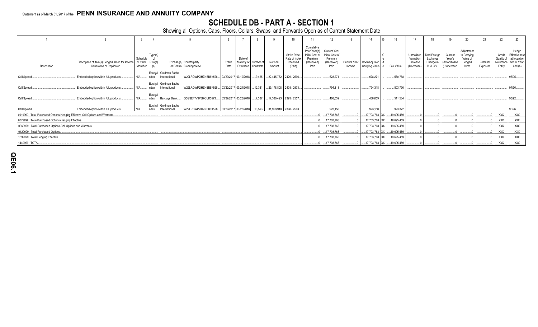# **SCHEDULE DB - PART A - SECTION 1**

Showing all Options, Caps, Floors, Collars, Swaps and Forwards Open as of Current Statement Date

|                                                                              |                                                                            |                                     | $\overline{4}$                 |                                                                                       |               |                               |                      |                    |                                                      |                                                                                 | 12                                                                      | 13     |                                              |            |                                                   | 18                                                        |                                                     | 20                                                       |                       | 22                                          | 23                                                                |
|------------------------------------------------------------------------------|----------------------------------------------------------------------------|-------------------------------------|--------------------------------|---------------------------------------------------------------------------------------|---------------|-------------------------------|----------------------|--------------------|------------------------------------------------------|---------------------------------------------------------------------------------|-------------------------------------------------------------------------|--------|----------------------------------------------|------------|---------------------------------------------------|-----------------------------------------------------------|-----------------------------------------------------|----------------------------------------------------------|-----------------------|---------------------------------------------|-------------------------------------------------------------------|
| Description                                                                  | Description of Item(s) Hedged, Used for Income<br>Generation or Replicated | Schedule<br>/ Exhibit<br>Identifier | Type(s<br>of<br>Risk(s)<br>(a) | Exchange, Counterparty<br>or Central Clearinghouse                                    | Trade<br>Date | Date of<br>Maturity or Number | Expiration Contracts | Notional<br>Amount | Strike Price,<br>Rate of Index<br>Received<br>(Paid) | Cumulative<br>Prior Year(s)<br>Initial Cost of<br>Premium<br>(Received)<br>Paid | <b>Current Year</b><br>Initial Cost of<br>Premium<br>(Received)<br>Paid | Income | Current Year Book/Adjusted<br>Carrying Value | Fair Value | Unrealized<br>Valuation<br>Increase<br>(Decrease) | <b>Total Foreign</b><br>Exchange<br>Change in<br>B./A.C.V | Current<br>Year's<br>(Amortization<br>) / Accretion | Adjustment<br>to Carrying<br>Value of<br>Hedged<br>Items | Potential<br>Exposure | Credit<br>Quality of<br>Reference<br>Entity | Hedge<br>Effectiveness<br>at Inception<br>and at Year-<br>end (b) |
| Call Spread.                                                                 | Embedded option within IUL products.                                       | N/A                                 | ndex                           | Equity/I Goldman Sachs<br>W22LROWP2IHZNBB6K528<br>International                       |               | 03/20/2017 03/19/2018         | 9,425                |                    | $22,445,732$ 2429 / 2596.                            |                                                                                 | 628.271                                                                 |        | 628,271                                      | 560,768    |                                                   |                                                           |                                                     |                                                          |                       |                                             | 96/95                                                             |
| Call Spread.                                                                 | Embedded option within IUL products.                                       |                                     | ndex                           | Equity/I Goldman Sachs<br>W22LROWP2IHZNBB6K528<br>International                       |               | 03/22/2017 03/21/2018         | 12.361               |                    | $29,178,808$ 2408 / 2573.                            |                                                                                 | 794.318                                                                 |        | 794,318                                      | 803,790    |                                                   |                                                           |                                                     |                                                          |                       |                                             | 97/96                                                             |
| Call Spread.                                                                 | Embedded option within IUL products.                                       | $N/A$                               | Equity/I<br>ndex               | G5GSEF7VJP5I7OUK5573<br>Barclays Bank                                                 |               | 03/27/2017 03/26/2018         | 7.387                |                    | 17,330,493 2393 / 2557                               |                                                                                 | .488.059                                                                |        | 488,059                                      | .511,584   |                                                   |                                                           |                                                     |                                                          |                       |                                             | 93/92                                                             |
| Call Spread                                                                  | Embedded option within IUL products.                                       |                                     | ndex                           | Equity/I Goldman Sachs<br>W22LROWP2IHZNBB6K528 03/29/2017 03/28/2018<br>International |               |                               | 13,593               |                    | 31,958,910 2398 / 2563                               |                                                                                 | .923.150                                                                |        | 923,150                                      | .923.372   |                                                   |                                                           |                                                     |                                                          |                       |                                             | 96/96                                                             |
| 0019999. Total-Purchased Options-Hedging Effective-Call Options and Warrants |                                                                            |                                     |                                |                                                                                       |               |                               |                      |                    |                                                      |                                                                                 | 17,703,768                                                              |        | .17,703,768 XX                               | 19,695,459 |                                                   |                                                           |                                                     |                                                          |                       | <b>XXX</b>                                  | XXX                                                               |
| 0079999. Total-Purchased Options-Hedging Effective.                          |                                                                            |                                     |                                |                                                                                       |               |                               |                      |                    |                                                      |                                                                                 | .17,703,768                                                             |        | .17,703,768 XX                               | 19,695,459 |                                                   |                                                           |                                                     |                                                          |                       | <b>XXX</b>                                  | <b>XXX</b>                                                        |
| 0369999. Total-Purchased Options-Call Options and Warrants.                  |                                                                            |                                     |                                |                                                                                       |               |                               |                      |                    |                                                      |                                                                                 | 17,703,768                                                              |        | .17,703,768 XX                               | 19,695,459 |                                                   |                                                           |                                                     |                                                          |                       | <b>XXX</b>                                  | <b>XXX</b>                                                        |
| 0429999. Total-Purchased Options                                             |                                                                            |                                     |                                |                                                                                       |               |                               |                      |                    |                                                      |                                                                                 | 17,703,768                                                              |        | .17,703,768 XX                               | 19,695,459 |                                                   |                                                           |                                                     |                                                          |                       | XXX                                         | XXX                                                               |
| 1399999. Total-Hedging Effective.                                            |                                                                            |                                     |                                |                                                                                       |               |                               |                      |                    |                                                      |                                                                                 | 17,703,768                                                              |        | .17,703,768 XX                               | 19,695,459 |                                                   |                                                           |                                                     |                                                          |                       | <b>XXX</b>                                  | <b>XXX</b>                                                        |
| 1449999. TOTAL.                                                              |                                                                            |                                     |                                |                                                                                       |               |                               |                      |                    |                                                      |                                                                                 | .17,703,768                                                             |        | .17.703.768 XX                               | 19,695,459 |                                                   |                                                           |                                                     |                                                          |                       | <b>XXX</b>                                  | <b>XXX</b>                                                        |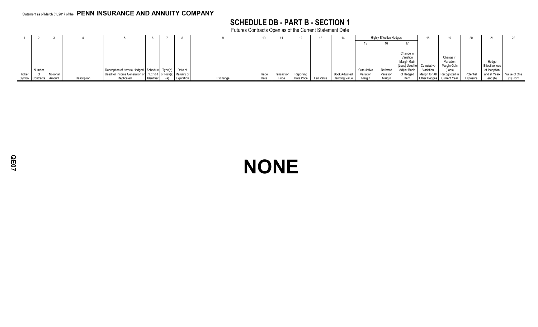# **SCHEDULE DB - PART B - SECTION 1**

Futures Contracts Open as of the Current Statement Date

|        |                  |          |             |                                                                      |            |            |          |       |             |            | 13         |                |                        | <b>Highly Effective Hedges</b> |                     |                |              |           |               |              |
|--------|------------------|----------|-------------|----------------------------------------------------------------------|------------|------------|----------|-------|-------------|------------|------------|----------------|------------------------|--------------------------------|---------------------|----------------|--------------|-----------|---------------|--------------|
|        |                  |          |             |                                                                      |            |            |          |       |             |            |            |                |                        |                                |                     |                |              |           |               |              |
|        |                  |          |             |                                                                      |            |            |          |       |             |            |            |                |                        |                                |                     |                |              |           |               |              |
|        |                  |          |             |                                                                      |            |            |          |       |             |            |            |                |                        |                                | Change in           |                |              |           |               |              |
|        |                  |          |             |                                                                      |            |            |          |       |             |            |            |                |                        |                                | Variation           |                | Change in    |           |               |              |
|        |                  |          |             |                                                                      |            |            |          |       |             |            |            |                |                        |                                | Margin Gain         |                | Variation    |           | Hedge         |              |
|        |                  |          |             |                                                                      |            |            |          |       |             |            |            |                |                        |                                | (Loss) Used to      | Cumulative     | Margin Gain  |           | Effectiveness |              |
|        | Number           |          |             | Description of Item(s) Hedged, Schedule   Type(s)                    |            | Date of    |          |       |             |            |            |                | Cumulativ <sup>,</sup> | Deferred                       | <b>Adjust Basis</b> | Variation      | (Loss)       |           | at Inception  |              |
| Ticker |                  | Notional |             | Used for Income Generation or   / Exhibit   of Risk(s)   Maturity or |            |            |          | Trade | Transaction | Reportina  |            | Book/Adjusted  | Variation              | Variation                      | of Hedged           | Margin for All | Recognized i | Potential | and at Year-  | Value of One |
|        | Symbol Contracts | Amount   | Description | Replicated                                                           | Identifier | Expiration | Exchange | Date  | Price       | Date Price | Fair Value | Carrying Value | Margin                 | Margin                         | ltem                | Other Hedges   | Current Year | Exposure  | end (b)       | $(1)$ Point  |

**NONE**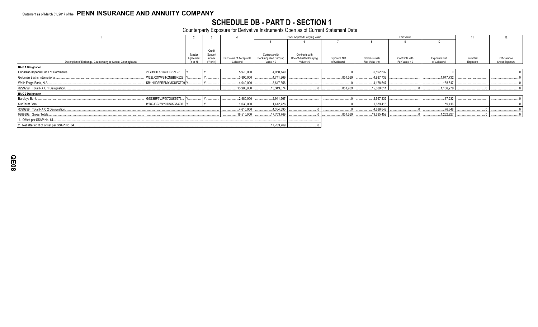# SCHEDULE DB - PART D - SECTION 1<br>Counterparty Exposure for Derivative Instruments Open as of Current Statement Date

|                                                                |                       |                              |                                        |                                       | Book Adjusted Carrying Value          |                               |                                  | Fair Value                       |                               |                       |                               |
|----------------------------------------------------------------|-----------------------|------------------------------|----------------------------------------|---------------------------------------|---------------------------------------|-------------------------------|----------------------------------|----------------------------------|-------------------------------|-----------------------|-------------------------------|
|                                                                |                       |                              |                                        |                                       |                                       |                               |                                  |                                  | 10 <sup>10</sup>              |                       |                               |
|                                                                |                       |                              |                                        |                                       |                                       |                               |                                  |                                  |                               |                       |                               |
|                                                                |                       | Credit                       |                                        |                                       |                                       |                               |                                  |                                  |                               |                       |                               |
|                                                                | Master                | Support                      |                                        | Contracts with                        | Contracts with                        |                               |                                  |                                  |                               |                       |                               |
| Description of Exchange, Counterparty or Central Clearinghouse | Agreement<br>(Y or N) | Annex<br>$(Y \text{ or } N)$ | Fair Value of Acceptable<br>Collateral | Book/Adjusted Carrying<br>Value $> 0$ | Book/Adjusted Carrying<br>Value $< 0$ | Exposure Net<br>of Collateral | Contracts with<br>Fair Value > 0 | Contracts with<br>Fair Value < 0 | Exposure Net<br>of Collateral | Potential<br>Exposure | Off-Balance<br>Sheet Exposure |
|                                                                |                       |                              |                                        |                                       |                                       |                               |                                  |                                  |                               |                       |                               |
| <b>NAIC 1 Designation</b>                                      |                       |                              |                                        |                                       |                                       |                               |                                  |                                  |                               |                       |                               |
| Canadian Imperial Bank of Commerce.<br>2IGI19DL77OX0HC3ZE78    |                       |                              | .5,970,000                             | .4,960,149                            |                                       |                               | .5,892,532                       |                                  |                               |                       |                               |
| Goldman Sachs International<br>W22LROWP2IHZNBB6K528            |                       |                              | .3,890,000                             | .4,741,269                            |                                       | .851,269                      | .4,937,732                       |                                  | .1,047,732                    |                       |                               |
| Wells Fargo Bank, N.A<br>KB1H1DSPRFMYMCUFXT09 Y                |                       |                              | .4,040,000                             | .3,647,656                            |                                       |                               | .4,178,547                       |                                  | .138,547                      |                       |                               |
| 0299999. Total NAIC 1 Designation.                             |                       |                              | 13,900,000                             | .13,349,074                           |                                       | .851,269                      | 15,008,811                       |                                  | 1,186,279                     |                       |                               |
| <b>NAIC 2 Designation</b>                                      |                       |                              |                                        |                                       |                                       |                               |                                  |                                  |                               |                       |                               |
| Barclays Bank<br>G5GSEF7VJP5I7OUK5573                          |                       |                              | .2,980,000                             | .2,911,967                            |                                       |                               | .2,997,232                       |                                  | .17.232                       |                       |                               |
| SunTrust Bank<br>IYDOJBGJWY9T8XKCSX06. Y                       |                       |                              | .1,630,000                             | 1,442,728                             |                                       |                               | .1,689,416                       |                                  | .59,416                       |                       |                               |
| 0399999. Total NAIC 2 Designation.                             |                       |                              | .4,610,000                             | .4,354,695                            |                                       |                               | .4,686,648                       |                                  | .76,648                       |                       |                               |
| 0999999. Gross Totals                                          |                       |                              | 18,510,000                             | 17,703,769                            |                                       | .851,269                      | .19,695,459                      |                                  | 1,262,927                     |                       |                               |
| 1. Offset per SSAP No. 64.                                     |                       |                              |                                        |                                       |                                       |                               |                                  |                                  |                               |                       |                               |
| 2. Net after right of offset per SSAP No. 64                   |                       |                              |                                        | 17,703,769                            |                                       |                               |                                  |                                  |                               |                       |                               |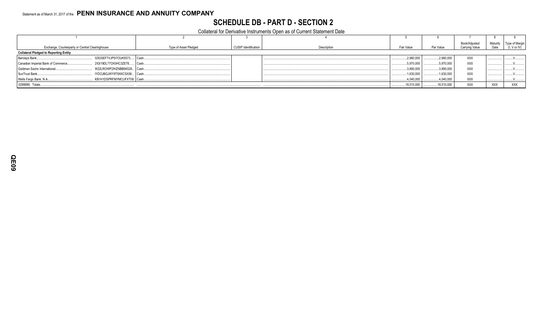# **SCHEDULE DB - PART D - SECTION 2**

Collateral for Derivative Instruments Open as of Current Statement Date

| Exchange, Counterparty or Central Clearinghouse                    | Type of Asset Pledged | <b>CUSIP Identification</b> | Description | Fair Value | Par Value  | Book/Adjusted<br>Carrying Value | Maturity<br>Date | Type of Margin<br>(I, V or IV) |
|--------------------------------------------------------------------|-----------------------|-----------------------------|-------------|------------|------------|---------------------------------|------------------|--------------------------------|
| <b>Collateral Pledged to Reporting Entity</b>                      |                       |                             |             |            |            |                                 |                  |                                |
| G5GSEF7VJP5I7OUK5573   Cash.<br>Barclays Bank                      |                       |                             |             | 2,980,000  | 2,980,000  | <b>XXX</b>                      |                  |                                |
| 2IGI19DL77OX0HC3ZE78<br>Canadian Imperial Bank of Commerce<br>Cash |                       |                             |             | .5,970,000 | 5,970,000  | XXX                             |                  |                                |
| Goldman Sachs International<br>W22LROWP2IHZNBB6K528 Cash.          |                       |                             |             | 3,890,000  | 3,890,000  | <b>XXX</b>                      |                  |                                |
| IYDOJBGJWY9T8XKCSX06   Cash<br>SunTrust Bank                       |                       |                             |             | 1,630,000  | 1,630,000  | XXX                             |                  |                                |
| Wells Fargo Bank, N.A<br>KB1H1DSPRFMYMCUFXT09. Cash                |                       |                             |             | .4,040,000 | .4,040,000 | XXX                             |                  |                                |
| 0299999. Totals                                                    |                       |                             |             | 18,510,000 | 18,510,000 | XXX                             | <b>XXX</b>       | <b>XXX</b>                     |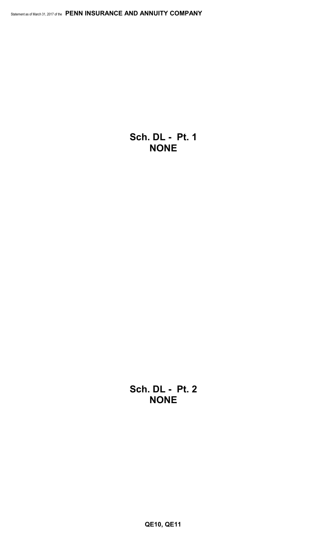**Sch. DL - Pt. 1 NONE**

**Sch. DL - Pt. 2 NONE**

**QE10, QE11**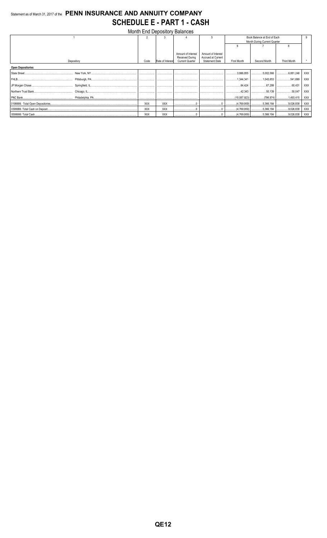# Statement as of March 31, 2017 of the PENN INSURANCE AND ANNUITY COMPANY **SCHEDULE E - PART 1 - CASH**

|                          |            |                  | Month End Depository Balances                |                                          |                    |                              |                    |            |
|--------------------------|------------|------------------|----------------------------------------------|------------------------------------------|--------------------|------------------------------|--------------------|------------|
|                          | 2          |                  |                                              |                                          |                    | Book Balance at End of Each  |                    |            |
|                          |            |                  |                                              |                                          |                    | Month During Current Quarter |                    |            |
|                          |            |                  |                                              |                                          | ĥ                  |                              |                    |            |
|                          |            |                  |                                              |                                          |                    |                              |                    |            |
|                          |            |                  | Amount of Interest<br><b>Received During</b> | Amount of Interest<br>Accrued at Current |                    |                              |                    |            |
| Depository               | Code       | Rate of Interest | <b>Current Quarter</b>                       | <b>Statement Date</b>                    | <b>First Month</b> | Second Month                 | <b>Third Month</b> |            |
| <b>Open Depositories</b> |            |                  |                                              |                                          |                    |                              |                    |            |
|                          |            |                  |                                              |                                          | 3,866,855          |                              |                    | <b>XXX</b> |
|                          |            |                  |                                              |                                          | 1,344,341          | 1,043,653   541,699          |                    | XXX        |
|                          |            |                  |                                              |                                          | 64.424<br>         |                              | 60,431             | XXX        |
|                          |            |                  |                                              |                                          | 42,343             |                              | 50,047             | XXX        |
|                          |            |                  |                                              |                                          |                    |                              |                    | <b>XXX</b> |
|                          | <b>XXX</b> | <b>XXX</b>       |                                              |                                          |                    |                              |                    | XXX        |
|                          | <b>XXX</b> | <b>XXX</b>       |                                              |                                          |                    |                              |                    | XXX        |
|                          | <b>XXX</b> | <b>XXX</b>       |                                              |                                          |                    |                              |                    | XXX        |